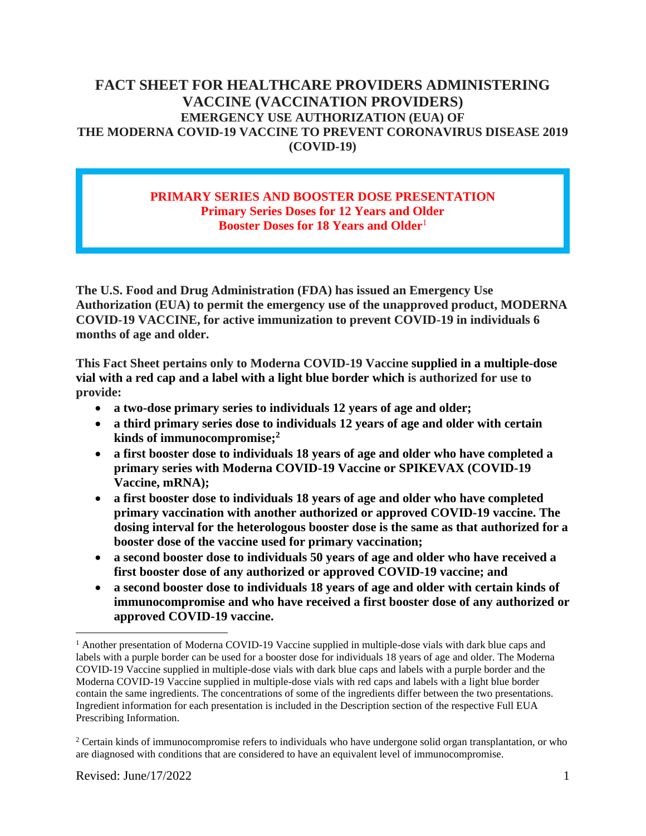# **FACT SHEET FOR HEALTHCARE PROVIDERS ADMINISTERING VACCINE (VACCINATION PROVIDERS) EMERGENCY USE AUTHORIZATION (EUA) OF THE MODERNA COVID-19 VACCINE TO PREVENT CORONAVIRUS DISEASE 2019 (COVID-19)**

#### **PRIMARY SERIES AND BOOSTER DOSE PRESENTATION Primary Series Doses for 12 Years and Older Booster Doses for 18 Years and Older**<sup>1</sup>

**The U.S. Food and Drug Administration (FDA) has issued an Emergency Use Authorization (EUA) to permit the emergency use of the unapproved product, MODERNA COVID-19 VACCINE, for active immunization to prevent COVID-19 in individuals 6 months of age and older.**

**This Fact Sheet pertains only to Moderna COVID-19 Vaccine supplied in a multiple-dose vial with a red cap and a label with a light blue border which is authorized for use to provide:**

- **a two-dose primary series to individuals 12 years of age and older;**
- **a third primary series dose to individuals 12 years of age and older with certain kinds of immunocompromise;<sup>2</sup>**
- **a first booster dose to individuals 18 years of age and older who have completed a primary series with Moderna COVID-19 Vaccine or SPIKEVAX (COVID-19 Vaccine, mRNA);**
- **a first booster dose to individuals 18 years of age and older who have completed primary vaccination with another authorized or approved COVID-19 vaccine. The dosing interval for the heterologous booster dose is the same as that authorized for a booster dose of the vaccine used for primary vaccination;**
- **a second booster dose to individuals 50 years of age and older who have received a first booster dose of any authorized or approved COVID-19 vaccine; and**
- **a second booster dose to individuals 18 years of age and older with certain kinds of immunocompromise and who have received a first booster dose of any authorized or approved COVID-19 vaccine.**

<sup>&</sup>lt;sup>1</sup> Another presentation of Moderna COVID-19 Vaccine supplied in multiple-dose vials with dark blue caps and labels with a purple border can be used for a booster dose for individuals 18 years of age and older. The Moderna COVID-19 Vaccine supplied in multiple-dose vials with dark blue caps and labels with a purple border and the Moderna COVID-19 Vaccine supplied in multiple-dose vials with red caps and labels with a light blue border contain the same ingredients. The concentrations of some of the ingredients differ between the two presentations. Ingredient information for each presentation is included in the Description section of the respective Full EUA Prescribing Information.

<sup>&</sup>lt;sup>2</sup> Certain kinds of immunocompromise refers to individuals who have undergone solid organ transplantation, or who are diagnosed with conditions that are considered to have an equivalent level of immunocompromise.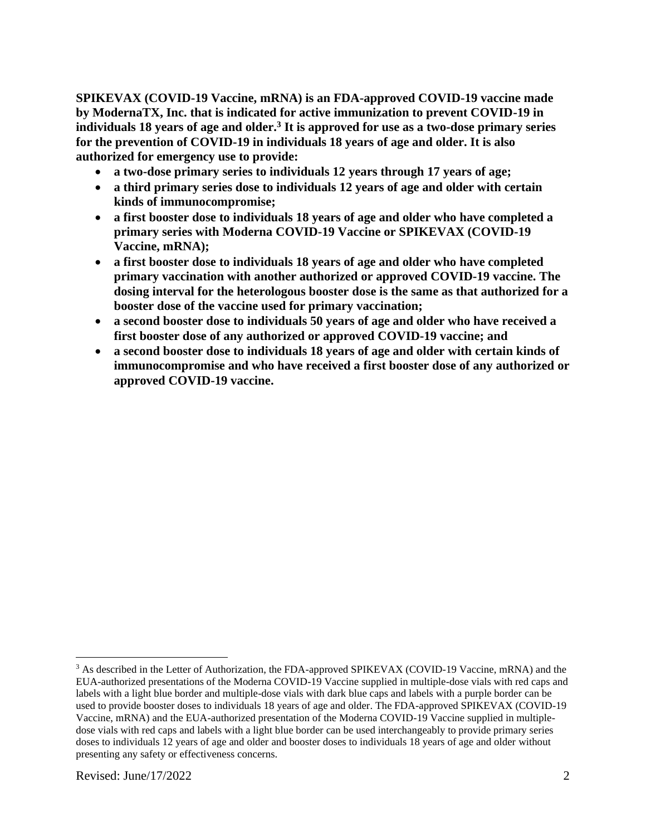**SPIKEVAX (COVID-19 Vaccine, mRNA) is an FDA-approved COVID-19 vaccine made by ModernaTX, Inc. that is indicated for active immunization to prevent COVID-19 in individuals 18 years of age and older.<sup>3</sup> It is approved for use as a two-dose primary series for the prevention of COVID-19 in individuals 18 years of age and older. It is also authorized for emergency use to provide:**

- **a two-dose primary series to individuals 12 years through 17 years of age;**
- **a third primary series dose to individuals 12 years of age and older with certain kinds of immunocompromise;**
- **a first booster dose to individuals 18 years of age and older who have completed a primary series with Moderna COVID-19 Vaccine or SPIKEVAX (COVID-19 Vaccine, mRNA);**
- **a first booster dose to individuals 18 years of age and older who have completed primary vaccination with another authorized or approved COVID-19 vaccine. The dosing interval for the heterologous booster dose is the same as that authorized for a booster dose of the vaccine used for primary vaccination;**
- **a second booster dose to individuals 50 years of age and older who have received a first booster dose of any authorized or approved COVID-19 vaccine; and**
- **a second booster dose to individuals 18 years of age and older with certain kinds of immunocompromise and who have received a first booster dose of any authorized or approved COVID-19 vaccine.**

<sup>&</sup>lt;sup>3</sup> As described in the Letter of Authorization, the FDA-approved SPIKEVAX (COVID-19 Vaccine, mRNA) and the EUA-authorized presentations of the Moderna COVID-19 Vaccine supplied in multiple-dose vials with red caps and labels with a light blue border and multiple-dose vials with dark blue caps and labels with a purple border can be used to provide booster doses to individuals 18 years of age and older. The FDA-approved SPIKEVAX (COVID-19 Vaccine, mRNA) and the EUA-authorized presentation of the Moderna COVID-19 Vaccine supplied in multipledose vials with red caps and labels with a light blue border can be used interchangeably to provide primary series doses to individuals 12 years of age and older and booster doses to individuals 18 years of age and older without presenting any safety or effectiveness concerns.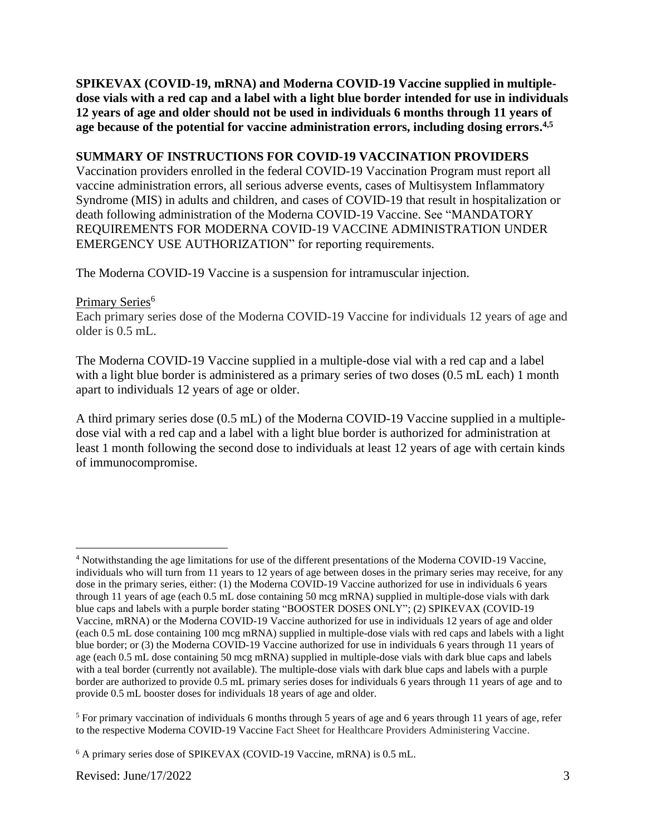**SPIKEVAX (COVID-19, mRNA) and Moderna COVID-19 Vaccine supplied in multipledose vials with a red cap and a label with a light blue border intended for use in individuals 12 years of age and older should not be used in individuals 6 months through 11 years of age because of the potential for vaccine administration errors, including dosing errors. 4,5**

### **SUMMARY OF INSTRUCTIONS FOR COVID-19 VACCINATION PROVIDERS**

Vaccination providers enrolled in the federal COVID-19 Vaccination Program must report all vaccine administration errors, all serious adverse events, cases of Multisystem Inflammatory Syndrome (MIS) in adults and children, and cases of COVID-19 that result in hospitalization or death following administration of the Moderna COVID-19 Vaccine. See "MANDATORY REQUIREMENTS FOR MODERNA COVID-19 VACCINE ADMINISTRATION UNDER EMERGENCY USE AUTHORIZATION" for reporting requirements.

The Moderna COVID-19 Vaccine is a suspension for intramuscular injection.

#### Primary Series<sup>6</sup>

Each primary series dose of the Moderna COVID-19 Vaccine for individuals 12 years of age and older is 0.5 mL.

The Moderna COVID-19 Vaccine supplied in a multiple-dose vial with a red cap and a label with a light blue border is administered as a primary series of two doses  $(0.5 \text{ mL each})$  1 month apart to individuals 12 years of age or older.

A third primary series dose (0.5 mL) of the Moderna COVID-19 Vaccine supplied in a multipledose vial with a red cap and a label with a light blue border is authorized for administration at least 1 month following the second dose to individuals at least 12 years of age with certain kinds of immunocompromise.

<sup>4</sup> Notwithstanding the age limitations for use of the different presentations of the Moderna COVID-19 Vaccine, individuals who will turn from 11 years to 12 years of age between doses in the primary series may receive, for any dose in the primary series, either: (1) the Moderna COVID-19 Vaccine authorized for use in individuals 6 years through 11 years of age (each 0.5 mL dose containing 50 mcg mRNA) supplied in multiple-dose vials with dark blue caps and labels with a purple border stating "BOOSTER DOSES ONLY"; (2) SPIKEVAX (COVID-19 Vaccine, mRNA) or the Moderna COVID-19 Vaccine authorized for use in individuals 12 years of age and older (each 0.5 mL dose containing 100 mcg mRNA) supplied in multiple-dose vials with red caps and labels with a light blue border; or (3) the Moderna COVID-19 Vaccine authorized for use in individuals 6 years through 11 years of age (each 0.5 mL dose containing 50 mcg mRNA) supplied in multiple-dose vials with dark blue caps and labels with a teal border (currently not available). The multiple-dose vials with dark blue caps and labels with a purple border are authorized to provide 0.5 mL primary series doses for individuals 6 years through 11 years of age and to provide 0.5 mL booster doses for individuals 18 years of age and older.

<sup>&</sup>lt;sup>5</sup> For primary vaccination of individuals 6 months through 5 years of age and 6 years through 11 years of age, refer to the respective Moderna COVID-19 Vaccine Fact Sheet for Healthcare Providers Administering Vaccine.

<sup>6</sup> A primary series dose of SPIKEVAX (COVID-19 Vaccine, mRNA) is 0.5 mL.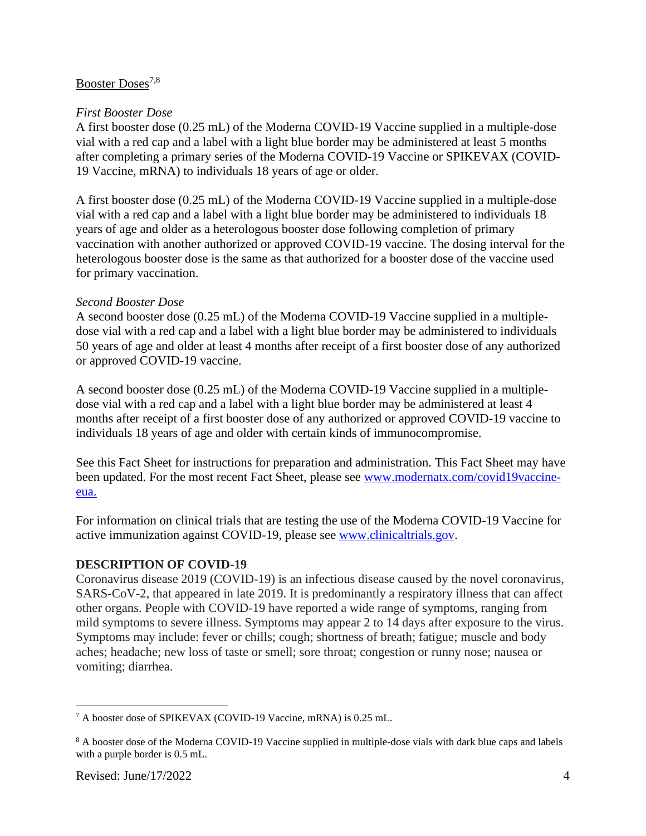## Booster Doses<sup>7,8</sup>

#### *First Booster Dose*

A first booster dose (0.25 mL) of the Moderna COVID-19 Vaccine supplied in a multiple-dose vial with a red cap and a label with a light blue border may be administered at least 5 months after completing a primary series of the Moderna COVID-19 Vaccine or SPIKEVAX (COVID-19 Vaccine, mRNA) to individuals 18 years of age or older.

A first booster dose (0.25 mL) of the Moderna COVID-19 Vaccine supplied in a multiple-dose vial with a red cap and a label with a light blue border may be administered to individuals 18 years of age and older as a heterologous booster dose following completion of primary vaccination with another authorized or approved COVID-19 vaccine. The dosing interval for the heterologous booster dose is the same as that authorized for a booster dose of the vaccine used for primary vaccination.

#### *Second Booster Dose*

A second booster dose (0.25 mL) of the Moderna COVID-19 Vaccine supplied in a multipledose vial with a red cap and a label with a light blue border may be administered to individuals 50 years of age and older at least 4 months after receipt of a first booster dose of any authorized or approved COVID-19 vaccine.

A second booster dose (0.25 mL) of the Moderna COVID-19 Vaccine supplied in a multipledose vial with a red cap and a label with a light blue border may be administered at least 4 months after receipt of a first booster dose of any authorized or approved COVID-19 vaccine to individuals 18 years of age and older with certain kinds of immunocompromise.

See this Fact Sheet for instructions for preparation and administration. This Fact Sheet may have been updated. For the most recent Fact Sheet, please see www.modernatx.com/covid19vaccineeua.

For information on clinical trials that are testing the use of the Moderna COVID-19 Vaccine for active immunization against COVID-19, please see www.clinicaltrials.gov.

#### **DESCRIPTION OF COVID-19**

Coronavirus disease 2019 (COVID-19) is an infectious disease caused by the novel coronavirus, SARS-CoV-2, that appeared in late 2019. It is predominantly a respiratory illness that can affect other organs. People with COVID-19 have reported a wide range of symptoms, ranging from mild symptoms to severe illness. Symptoms may appear 2 to 14 days after exposure to the virus. Symptoms may include: fever or chills; cough; shortness of breath; fatigue; muscle and body aches; headache; new loss of taste or smell; sore throat; congestion or runny nose; nausea or vomiting; diarrhea.

<sup>7</sup> A booster dose of SPIKEVAX (COVID-19 Vaccine, mRNA) is 0.25 mL.

<sup>&</sup>lt;sup>8</sup> A booster dose of the Moderna COVID-19 Vaccine supplied in multiple-dose vials with dark blue caps and labels with a purple border is 0.5 mL.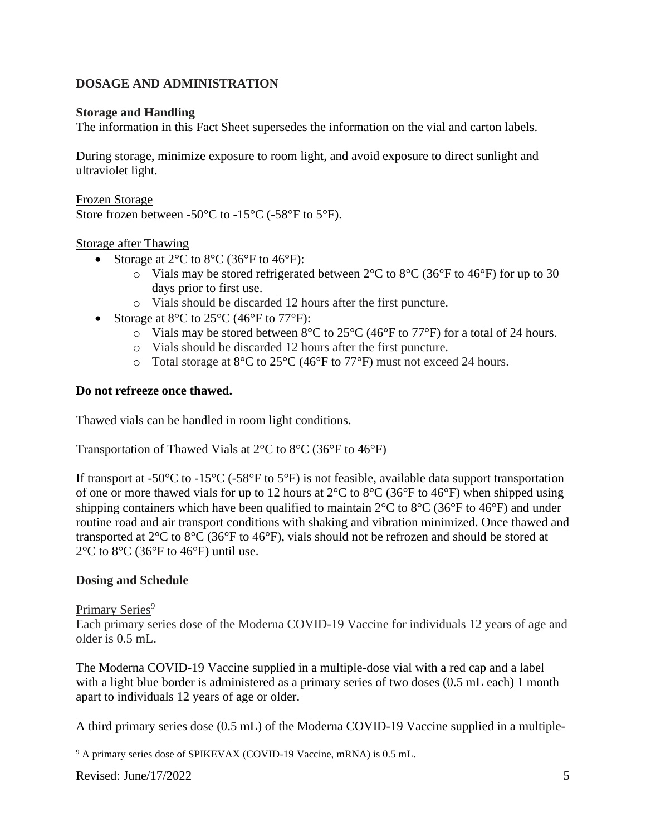# **DOSAGE AND ADMINISTRATION**

### **Storage and Handling**

The information in this Fact Sheet supersedes the information on the vial and carton labels.

During storage, minimize exposure to room light, and avoid exposure to direct sunlight and ultraviolet light.

#### Frozen Storage

Store frozen between -50°C to -15°C (-58°F to 5°F).

### Storage after Thawing

- Storage at  $2^{\circ}$ C to  $8^{\circ}$ C (36 $^{\circ}$ F to 46 $^{\circ}$ F):
	- $\circ$  Vials may be stored refrigerated between 2°C to 8°C (36°F to 46°F) for up to 30 days prior to first use.
	- o Vials should be discarded 12 hours after the first puncture.
- Storage at 8°C to 25°C (46°F to 77°F):
	- $\circ$  Vials may be stored between 8°C to 25°C (46°F to 77°F) for a total of 24 hours.
	- o Vials should be discarded 12 hours after the first puncture.
	- o Total storage at 8°C to 25°C (46°F to 77°F) must not exceed 24 hours.

### **Do not refreeze once thawed.**

Thawed vials can be handled in room light conditions.

#### Transportation of Thawed Vials at 2°C to 8°C (36°F to 46°F)

If transport at -50 $\rm{°C}$  to -15 $\rm{°C}$  (-58 $\rm{°F}$ ) is not feasible, available data support transportation of one or more thawed vials for up to 12 hours at  $2^{\circ}$ C to  $8^{\circ}$ C (36°F to 46°F) when shipped using shipping containers which have been qualified to maintain 2°C to 8°C (36°F to 46°F) and under routine road and air transport conditions with shaking and vibration minimized. Once thawed and transported at 2°C to 8°C (36°F to 46°F), vials should not be refrozen and should be stored at  $2^{\circ}$ C to  $8^{\circ}$ C (36 $^{\circ}$ F to 46 $^{\circ}$ F) until use.

## **Dosing and Schedule**

#### Primary Series<sup>9</sup>

Each primary series dose of the Moderna COVID-19 Vaccine for individuals 12 years of age and older is 0.5 mL.

The Moderna COVID-19 Vaccine supplied in a multiple-dose vial with a red cap and a label with a light blue border is administered as a primary series of two doses  $(0.5 \text{ mL each})$  1 month apart to individuals 12 years of age or older.

A third primary series dose (0.5 mL) of the Moderna COVID-19 Vaccine supplied in a multiple-

<sup>&</sup>lt;sup>9</sup> A primary series dose of SPIKEVAX (COVID-19 Vaccine, mRNA) is 0.5 mL.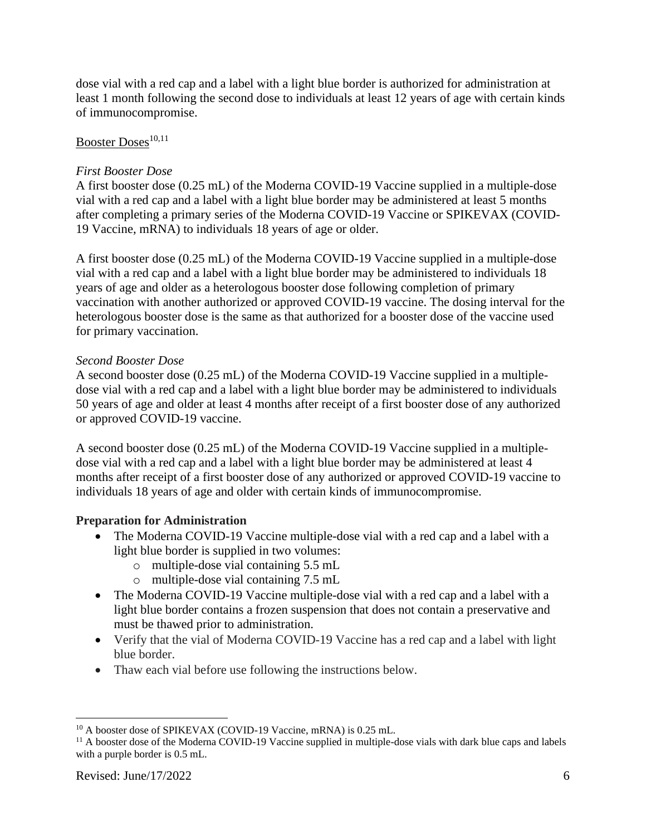dose vial with a red cap and a label with a light blue border is authorized for administration at least 1 month following the second dose to individuals at least 12 years of age with certain kinds of immunocompromise.

# Booster Doses<sup>10,11</sup>

### *First Booster Dose*

A first booster dose (0.25 mL) of the Moderna COVID-19 Vaccine supplied in a multiple-dose vial with a red cap and a label with a light blue border may be administered at least 5 months after completing a primary series of the Moderna COVID-19 Vaccine or SPIKEVAX (COVID-19 Vaccine, mRNA) to individuals 18 years of age or older.

A first booster dose (0.25 mL) of the Moderna COVID-19 Vaccine supplied in a multiple-dose vial with a red cap and a label with a light blue border may be administered to individuals 18 years of age and older as a heterologous booster dose following completion of primary vaccination with another authorized or approved COVID-19 vaccine. The dosing interval for the heterologous booster dose is the same as that authorized for a booster dose of the vaccine used for primary vaccination.

### *Second Booster Dose*

A second booster dose (0.25 mL) of the Moderna COVID-19 Vaccine supplied in a multipledose vial with a red cap and a label with a light blue border may be administered to individuals 50 years of age and older at least 4 months after receipt of a first booster dose of any authorized or approved COVID-19 vaccine.

A second booster dose (0.25 mL) of the Moderna COVID-19 Vaccine supplied in a multipledose vial with a red cap and a label with a light blue border may be administered at least 4 months after receipt of a first booster dose of any authorized or approved COVID-19 vaccine to individuals 18 years of age and older with certain kinds of immunocompromise.

## **Preparation for Administration**

- The Moderna COVID-19 Vaccine multiple-dose vial with a red cap and a label with a light blue border is supplied in two volumes:
	- o multiple-dose vial containing 5.5 mL
	- o multiple-dose vial containing 7.5 mL
- The Moderna COVID-19 Vaccine multiple-dose vial with a red cap and a label with a light blue border contains a frozen suspension that does not contain a preservative and must be thawed prior to administration.
- Verify that the vial of Moderna COVID-19 Vaccine has a red cap and a label with light blue border.
- Thaw each vial before use following the instructions below.

<sup>&</sup>lt;sup>10</sup> A booster dose of SPIKEVAX (COVID-19 Vaccine, mRNA) is 0.25 mL.

 $11$  A booster dose of the Moderna COVID-19 Vaccine supplied in multiple-dose vials with dark blue caps and labels with a purple border is 0.5 mL.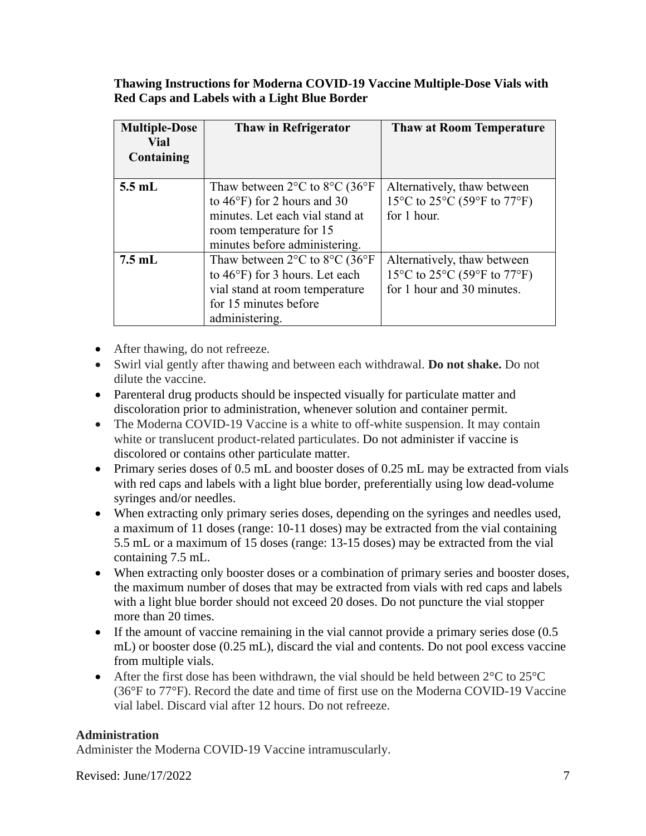**Thawing Instructions for Moderna COVID-19 Vaccine Multiple-Dose Vials with Red Caps and Labels with a Light Blue Border**

| <b>Multiple-Dose</b><br>Vial<br>Containing | Thaw in Refrigerator                                          | <b>Thaw at Room Temperature</b>                                                          |  |
|--------------------------------------------|---------------------------------------------------------------|------------------------------------------------------------------------------------------|--|
| $5.5$ mL                                   | Thaw between $2^{\circ}$ C to $8^{\circ}$ C (36 $^{\circ}$ F) | Alternatively, thaw between                                                              |  |
|                                            | to $46^{\circ}$ F) for 2 hours and 30                         | 15 $\rm{^{\circ}C}$ to 25 $\rm{^{\circ}C}$ (59 $\rm{^{\circ}F}$ to 77 $\rm{^{\circ}F}$ ) |  |
|                                            | minutes. Let each vial stand at                               | for 1 hour.                                                                              |  |
|                                            | room temperature for 15                                       |                                                                                          |  |
|                                            | minutes before administering.                                 |                                                                                          |  |
| $7.5$ mL                                   | Thaw between $2^{\circ}$ C to $8^{\circ}$ C (36 $^{\circ}$ F) | Alternatively, thaw between                                                              |  |
|                                            | to $46^{\circ}$ F) for 3 hours. Let each                      | 15°C to 25°C (59°F to 77°F)                                                              |  |
|                                            | vial stand at room temperature                                | for 1 hour and 30 minutes.                                                               |  |
|                                            | for 15 minutes before                                         |                                                                                          |  |
|                                            | administering.                                                |                                                                                          |  |

- After thawing, do not refreeze.
- Swirl vial gently after thawing and between each withdrawal. **Do not shake.** Do not dilute the vaccine.
- Parenteral drug products should be inspected visually for particulate matter and discoloration prior to administration, whenever solution and container permit.
- The Moderna COVID-19 Vaccine is a white to off-white suspension. It may contain white or translucent product-related particulates. Do not administer if vaccine is discolored or contains other particulate matter.
- Primary series doses of 0.5 mL and booster doses of 0.25 mL may be extracted from vials with red caps and labels with a light blue border, preferentially using low dead-volume syringes and/or needles.
- When extracting only primary series doses, depending on the syringes and needles used, a maximum of 11 doses (range: 10-11 doses) may be extracted from the vial containing 5.5 mL or a maximum of 15 doses (range: 13-15 doses) may be extracted from the vial containing 7.5 mL.
- When extracting only booster doses or a combination of primary series and booster doses, the maximum number of doses that may be extracted from vials with red caps and labels with a light blue border should not exceed 20 doses. Do not puncture the vial stopper more than 20 times.
- If the amount of vaccine remaining in the vial cannot provide a primary series dose (0.5) mL) or booster dose (0.25 mL), discard the vial and contents. Do not pool excess vaccine from multiple vials.
- After the first dose has been withdrawn, the vial should be held between  $2^{\circ}$ C to  $25^{\circ}$ C (36°F to 77°F). Record the date and time of first use on the Moderna COVID-19 Vaccine vial label. Discard vial after 12 hours. Do not refreeze.

## **Administration**

Administer the Moderna COVID-19 Vaccine intramuscularly.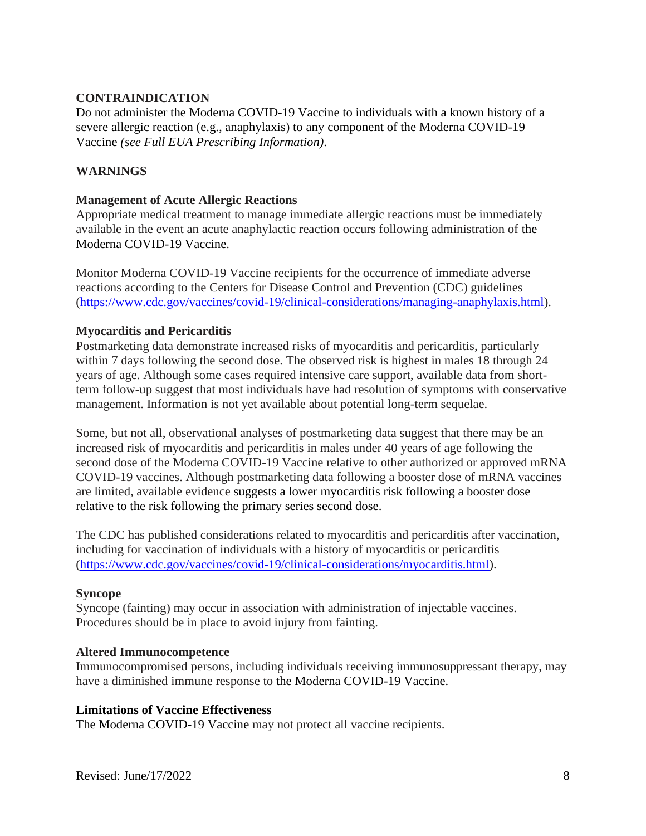## **CONTRAINDICATION**

Do not administer the Moderna COVID-19 Vaccine to individuals with a known history of a severe allergic reaction (e.g., anaphylaxis) to any component of the Moderna COVID-19 Vaccine *(see Full EUA Prescribing Information)*.

## **WARNINGS**

#### **Management of Acute Allergic Reactions**

Appropriate medical treatment to manage immediate allergic reactions must be immediately available in the event an acute anaphylactic reaction occurs following administration of the Moderna COVID-19 Vaccine.

Monitor Moderna COVID-19 Vaccine recipients for the occurrence of immediate adverse reactions according to the Centers for Disease Control and Prevention (CDC) guidelines (https://www.cdc.gov/vaccines/covid-19/clinical-considerations/managing-anaphylaxis.html).

### **Myocarditis and Pericarditis**

Postmarketing data demonstrate increased risks of myocarditis and pericarditis, particularly within 7 days following the second dose. The observed risk is highest in males 18 through 24 years of age. Although some cases required intensive care support, available data from shortterm follow-up suggest that most individuals have had resolution of symptoms with conservative management. Information is not yet available about potential long-term sequelae.

Some, but not all, observational analyses of postmarketing data suggest that there may be an increased risk of myocarditis and pericarditis in males under 40 years of age following the second dose of the Moderna COVID-19 Vaccine relative to other authorized or approved mRNA COVID-19 vaccines. Although postmarketing data following a booster dose of mRNA vaccines are limited, available evidence suggests a lower myocarditis risk following a booster dose relative to the risk following the primary series second dose.

The CDC has published considerations related to myocarditis and pericarditis after vaccination, including for vaccination of individuals with a history of myocarditis or pericarditis [\(https://www.cdc.gov/vaccines/covid-19/clinical-considerations/myocarditis.html\)](https://www.cdc.gov/vaccines/covid-19/clinical-considerations/myocarditis.html).

#### **Syncope**

Syncope (fainting) may occur in association with administration of injectable vaccines. Procedures should be in place to avoid injury from fainting.

#### **Altered Immunocompetence**

Immunocompromised persons, including individuals receiving immunosuppressant therapy, may have a diminished immune response to the Moderna COVID-19 Vaccine.

#### **Limitations of Vaccine Effectiveness**

The Moderna COVID-19 Vaccine may not protect all vaccine recipients.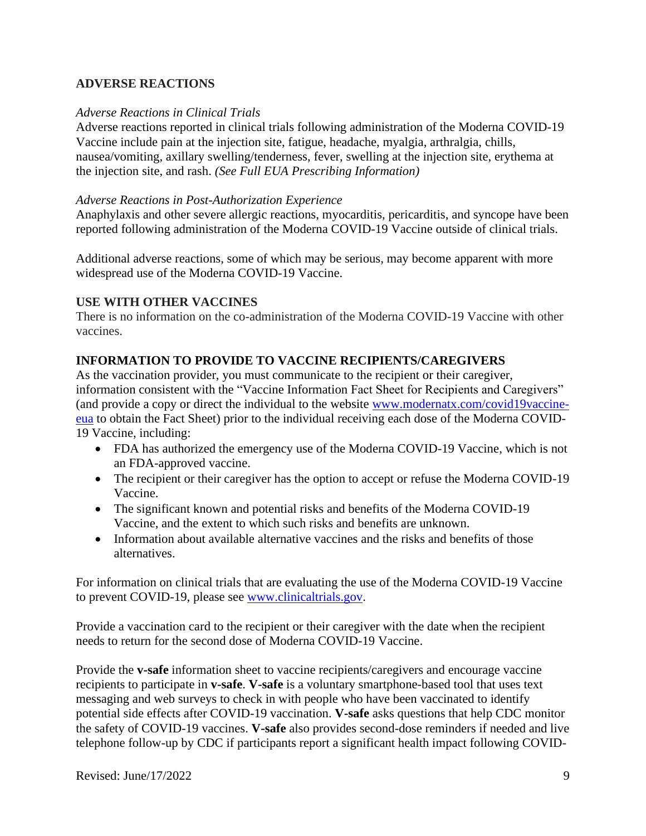## **ADVERSE REACTIONS**

#### *Adverse Reactions in Clinical Trials*

Adverse reactions reported in clinical trials following administration of the Moderna COVID-19 Vaccine include pain at the injection site, fatigue, headache, myalgia, arthralgia, chills, nausea/vomiting, axillary swelling/tenderness, fever, swelling at the injection site, erythema at the injection site, and rash. *(See Full EUA Prescribing Information)*

#### *Adverse Reactions in Post-Authorization Experience*

Anaphylaxis and other severe allergic reactions, myocarditis, pericarditis, and syncope have been reported following administration of the Moderna COVID-19 Vaccine outside of clinical trials.

Additional adverse reactions, some of which may be serious, may become apparent with more widespread use of the Moderna COVID-19 Vaccine.

#### **USE WITH OTHER VACCINES**

There is no information on the co-administration of the Moderna COVID-19 Vaccine with other vaccines.

### **INFORMATION TO PROVIDE TO VACCINE RECIPIENTS/CAREGIVERS**

As the vaccination provider, you must communicate to the recipient or their caregiver, information consistent with the "Vaccine Information Fact Sheet for Recipients and Caregivers" (and provide a copy or direct the individual to the website www.modernatx.com/covid19vaccineeua to obtain the Fact Sheet) prior to the individual receiving each dose of the Moderna COVID-19 Vaccine, including:

- FDA has authorized the emergency use of the Moderna COVID-19 Vaccine, which is not an FDA-approved vaccine.
- The recipient or their caregiver has the option to accept or refuse the Moderna COVID-19 Vaccine.
- The significant known and potential risks and benefits of the Moderna COVID-19 Vaccine, and the extent to which such risks and benefits are unknown.
- Information about available alternative vaccines and the risks and benefits of those alternatives.

For information on clinical trials that are evaluating the use of the Moderna COVID-19 Vaccine to prevent COVID-19, please see www.clinicaltrials.gov.

Provide a vaccination card to the recipient or their caregiver with the date when the recipient needs to return for the second dose of Moderna COVID-19 Vaccine.

Provide the **v-safe** information sheet to vaccine recipients/caregivers and encourage vaccine recipients to participate in **v-safe**. **V-safe** is a voluntary smartphone-based tool that uses text messaging and web surveys to check in with people who have been vaccinated to identify potential side effects after COVID-19 vaccination. **V-safe** asks questions that help CDC monitor the safety of COVID-19 vaccines. **V-safe** also provides second-dose reminders if needed and live telephone follow-up by CDC if participants report a significant health impact following COVID-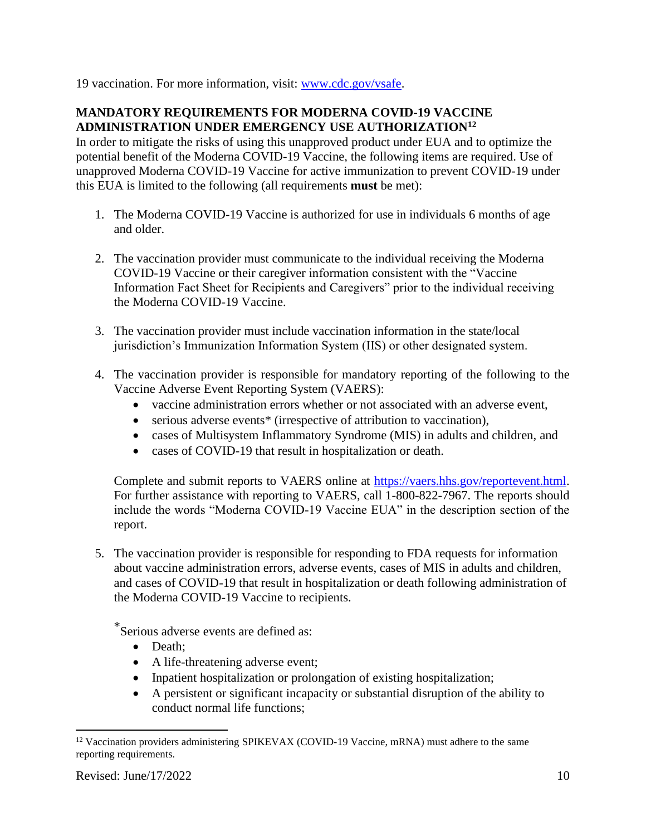19 vaccination. For more information, visit: www.cdc.gov/vsafe.

## **MANDATORY REQUIREMENTS FOR MODERNA COVID-19 VACCINE ADMINISTRATION UNDER EMERGENCY USE AUTHORIZATION<sup>12</sup>**

In order to mitigate the risks of using this unapproved product under EUA and to optimize the potential benefit of the Moderna COVID-19 Vaccine, the following items are required. Use of unapproved Moderna COVID-19 Vaccine for active immunization to prevent COVID-19 under this EUA is limited to the following (all requirements **must** be met):

- 1. The Moderna COVID-19 Vaccine is authorized for use in individuals 6 months of age and older.
- 2. The vaccination provider must communicate to the individual receiving the Moderna COVID-19 Vaccine or their caregiver information consistent with the "Vaccine Information Fact Sheet for Recipients and Caregivers" prior to the individual receiving the Moderna COVID-19 Vaccine.
- 3. The vaccination provider must include vaccination information in the state/local jurisdiction's Immunization Information System (IIS) or other designated system.
- 4. The vaccination provider is responsible for mandatory reporting of the following to the Vaccine Adverse Event Reporting System (VAERS):
	- vaccine administration errors whether or not associated with an adverse event,
	- serious adverse events<sup>\*</sup> (irrespective of attribution to vaccination),
	- cases of Multisystem Inflammatory Syndrome (MIS) in adults and children, and
	- cases of COVID-19 that result in hospitalization or death.

Complete and submit reports to VAERS online at https://vaers.hhs.gov/reportevent.html. For further assistance with reporting to VAERS, call 1-800-822-7967. The reports should include the words "Moderna COVID-19 Vaccine EUA" in the description section of the report.

5. The vaccination provider is responsible for responding to FDA requests for information about vaccine administration errors, adverse events, cases of MIS in adults and children, and cases of COVID-19 that result in hospitalization or death following administration of the Moderna COVID-19 Vaccine to recipients.

\*Serious adverse events are defined as:

- Death:
- A life-threatening adverse event;
- Inpatient hospitalization or prolongation of existing hospitalization;
- A persistent or significant incapacity or substantial disruption of the ability to conduct normal life functions;

<sup>&</sup>lt;sup>12</sup> Vaccination providers administering SPIKEVAX (COVID-19 Vaccine, mRNA) must adhere to the same reporting requirements.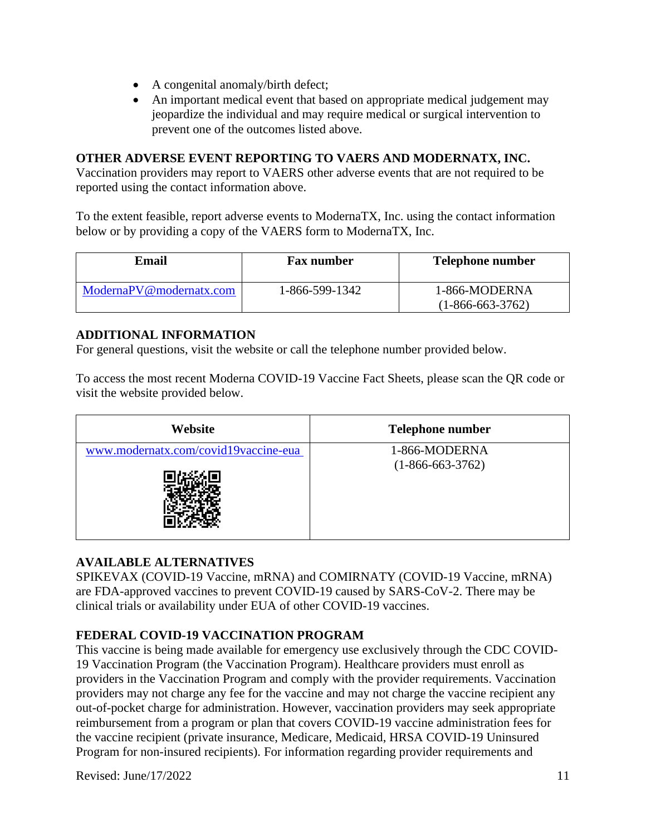- A congenital anomaly/birth defect;
- An important medical event that based on appropriate medical judgement may jeopardize the individual and may require medical or surgical intervention to prevent one of the outcomes listed above.

# **OTHER ADVERSE EVENT REPORTING TO VAERS AND MODERNATX, INC.**

Vaccination providers may report to VAERS other adverse events that are not required to be reported using the contact information above.

To the extent feasible, report adverse events to ModernaTX, Inc. using the contact information below or by providing a copy of the VAERS form to ModernaTX, Inc.

| Email                   | <b>Fax number</b> | <b>Telephone number</b>             |
|-------------------------|-------------------|-------------------------------------|
| ModernaPV@modernatx.com | 1-866-599-1342    | 1-866-MODERNA<br>$(1-866-663-3762)$ |

## **ADDITIONAL INFORMATION**

For general questions, visit the website or call the telephone number provided below.

To access the most recent Moderna COVID-19 Vaccine Fact Sheets, please scan the QR code or visit the website provided below.

| Website                              | <b>Telephone number</b> |
|--------------------------------------|-------------------------|
| www.modernatx.com/covid19vaccine-eua | 1-866-MODERNA           |
|                                      | $(1-866-663-3762)$      |

# **AVAILABLE ALTERNATIVES**

SPIKEVAX (COVID-19 Vaccine, mRNA) and COMIRNATY (COVID-19 Vaccine, mRNA) are FDA-approved vaccines to prevent COVID-19 caused by SARS-CoV-2. There may be clinical trials or availability under EUA of other COVID-19 vaccines.

# **FEDERAL COVID-19 VACCINATION PROGRAM**

This vaccine is being made available for emergency use exclusively through the CDC COVID-19 Vaccination Program (the Vaccination Program). Healthcare providers must enroll as providers in the Vaccination Program and comply with the provider requirements. Vaccination providers may not charge any fee for the vaccine and may not charge the vaccine recipient any out-of-pocket charge for administration. However, vaccination providers may seek appropriate reimbursement from a program or plan that covers COVID-19 vaccine administration fees for the vaccine recipient (private insurance, Medicare, Medicaid, HRSA COVID-19 Uninsured Program for non-insured recipients). For information regarding provider requirements and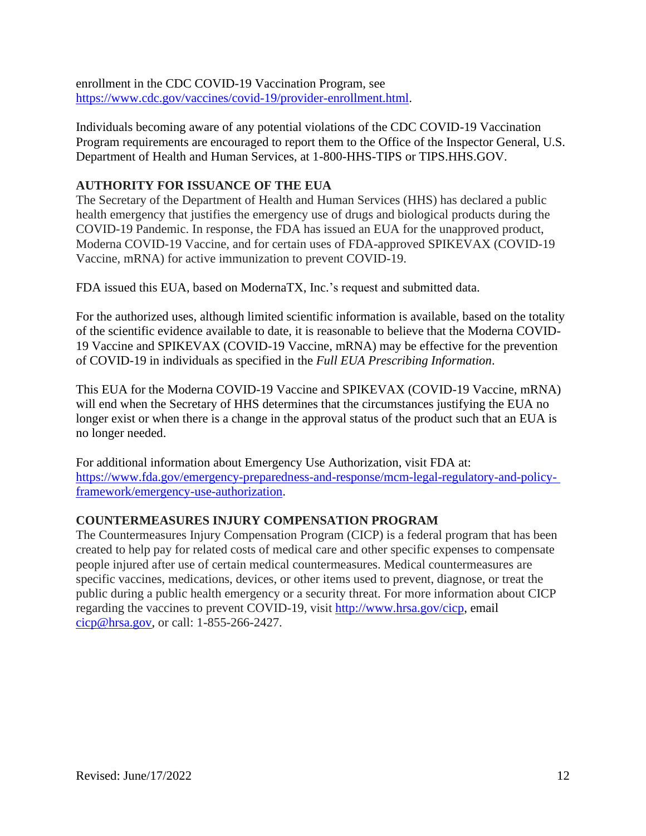enrollment in the CDC COVID-19 Vaccination Program, see https://www.cdc.gov/vaccines/covid-19/provider-enrollment.html.

Individuals becoming aware of any potential violations of the CDC COVID-19 Vaccination Program requirements are encouraged to report them to the Office of the Inspector General, U.S. Department of Health and Human Services, at 1-800-HHS-TIPS or TIPS.HHS.GOV.

# **AUTHORITY FOR ISSUANCE OF THE EUA**

The Secretary of the Department of Health and Human Services (HHS) has declared a public health emergency that justifies the emergency use of drugs and biological products during the COVID-19 Pandemic. In response, the FDA has issued an EUA for the unapproved product, Moderna COVID-19 Vaccine, and for certain uses of FDA-approved SPIKEVAX (COVID-19 Vaccine, mRNA) for active immunization to prevent COVID-19.

FDA issued this EUA, based on ModernaTX, Inc.'s request and submitted data.

For the authorized uses, although limited scientific information is available, based on the totality of the scientific evidence available to date, it is reasonable to believe that the Moderna COVID-19 Vaccine and SPIKEVAX (COVID-19 Vaccine, mRNA) may be effective for the prevention of COVID-19 in individuals as specified in the *Full EUA Prescribing Information*.

This EUA for the Moderna COVID-19 Vaccine and SPIKEVAX (COVID-19 Vaccine, mRNA) will end when the Secretary of HHS determines that the circumstances justifying the EUA no longer exist or when there is a change in the approval status of the product such that an EUA is no longer needed.

For additional information about Emergency Use Authorization, visit FDA at: https://www.fda.gov/emergency-preparedness-and-response/mcm-legal-regulatory-and-policyframework/emergency-use-authorization.

## **COUNTERMEASURES INJURY COMPENSATION PROGRAM**

The Countermeasures Injury Compensation Program (CICP) is a federal program that has been created to help pay for related costs of medical care and other specific expenses to compensate people injured after use of certain medical countermeasures. Medical countermeasures are specific vaccines, medications, devices, or other items used to prevent, diagnose, or treat the public during a public health emergency or a security threat. For more information about CICP regarding the vaccines to prevent COVID-19, visit http://www.hrsa.gov/cicp, email cicp@hrsa.gov, or call: 1-855-266-2427.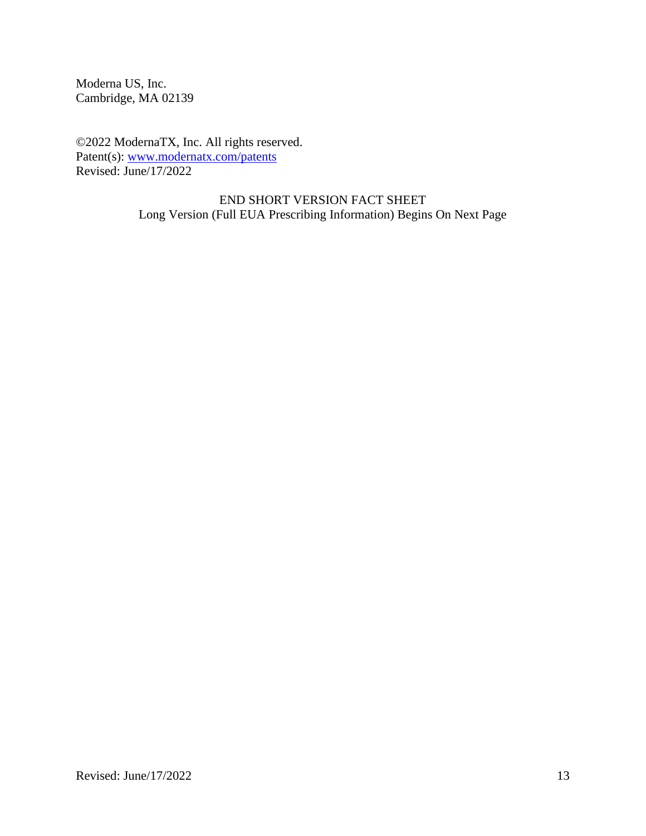Moderna US, Inc. Cambridge, MA 02139

©2022 ModernaTX, Inc. All rights reserved. Patent(s): www.modernatx.com/patents Revised: June/17/2022

> END SHORT VERSION FACT SHEET Long Version (Full EUA Prescribing Information) Begins On Next Page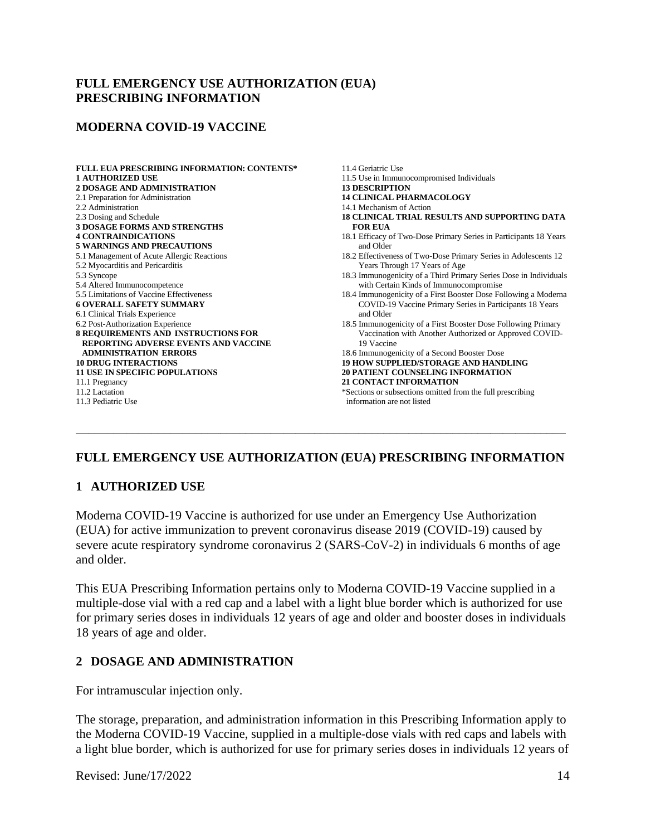### **FULL EMERGENCY USE AUTHORIZATION (EUA) PRESCRIBING INFORMATION**

#### **MODERNA COVID-19 VACCINE**

| <b>FULL EUA PRESCRIBING INFORMATION: CONTENTS*</b> | 11.4 Geriatric Use                                                |
|----------------------------------------------------|-------------------------------------------------------------------|
| <b>1 AUTHORIZED USE</b>                            | 11.5 Use in Immunocompromised Individuals                         |
| <b>2 DOSAGE AND ADMINISTRATION</b>                 | <b>13 DESCRIPTION</b>                                             |
| 2.1 Preparation for Administration                 | <b>14 CLINICAL PHARMACOLOGY</b>                                   |
| 2.2 Administration                                 | 14.1 Mechanism of Action                                          |
| 2.3 Dosing and Schedule                            | <b>18 CLINICAL TRIAL RESULTS AND SUPPORTING DATA</b>              |
| <b>3 DOSAGE FORMS AND STRENGTHS</b>                | <b>FOR EUA</b>                                                    |
| <b>4 CONTRAINDICATIONS</b>                         | 18.1 Efficacy of Two-Dose Primary Series in Participants 18 Years |
| <b>5 WARNINGS AND PRECAUTIONS</b>                  | and Older                                                         |
| 5.1 Management of Acute Allergic Reactions         | 18.2 Effectiveness of Two-Dose Primary Series in Adolescents 12   |
| 5.2 Myocarditis and Pericarditis                   | Years Through 17 Years of Age                                     |
| 5.3 Syncope                                        | 18.3 Immunogenicity of a Third Primary Series Dose in Individuals |
| 5.4 Altered Immunocompetence                       | with Certain Kinds of Immunocompromise                            |
| 5.5 Limitations of Vaccine Effectiveness           | 18.4 Immunogenicity of a First Booster Dose Following a Moderna   |
| <b>6 OVERALL SAFETY SUMMARY</b>                    | COVID-19 Vaccine Primary Series in Participants 18 Years          |
| 6.1 Clinical Trials Experience                     | and Older                                                         |
| 6.2 Post-Authorization Experience                  | 18.5 Immunogenicity of a First Booster Dose Following Primary     |
| 8 REQUIREMENTS AND INSTRUCTIONS FOR                | Vaccination with Another Authorized or Approved COVID-            |
| <b>REPORTING ADVERSE EVENTS AND VACCINE</b>        | 19 Vaccine                                                        |
| <b>ADMINISTRATION ERRORS</b>                       | 18.6 Immunogenicity of a Second Booster Dose                      |
| <b>10 DRUG INTERACTIONS</b>                        | <b>19 HOW SUPPLIED/STORAGE AND HANDLING</b>                       |
| <b>11 USE IN SPECIFIC POPULATIONS</b>              | <b>20 PATIENT COUNSELING INFORMATION</b>                          |
| 11.1 Pregnancy                                     | <b>21 CONTACT INFORMATION</b>                                     |
| 11.2 Lactation                                     | *Sections or subsections omitted from the full prescribing        |
| 11.3 Pediatric Use                                 | information are not listed                                        |
|                                                    |                                                                   |
|                                                    |                                                                   |
|                                                    |                                                                   |

## **FULL EMERGENCY USE AUTHORIZATION (EUA) PRESCRIBING INFORMATION**

## **1 AUTHORIZED USE**

Moderna COVID-19 Vaccine is authorized for use under an Emergency Use Authorization (EUA) for active immunization to prevent coronavirus disease 2019 (COVID-19) caused by severe acute respiratory syndrome coronavirus 2 (SARS-CoV-2) in individuals 6 months of age and older.

This EUA Prescribing Information pertains only to Moderna COVID-19 Vaccine supplied in a multiple-dose vial with a red cap and a label with a light blue border which is authorized for use for primary series doses in individuals 12 years of age and older and booster doses in individuals 18 years of age and older.

#### **2 DOSAGE AND ADMINISTRATION**

For intramuscular injection only.

The storage, preparation, and administration information in this Prescribing Information apply to the Moderna COVID-19 Vaccine, supplied in a multiple-dose vials with red caps and labels with a light blue border, which is authorized for use for primary series doses in individuals 12 years of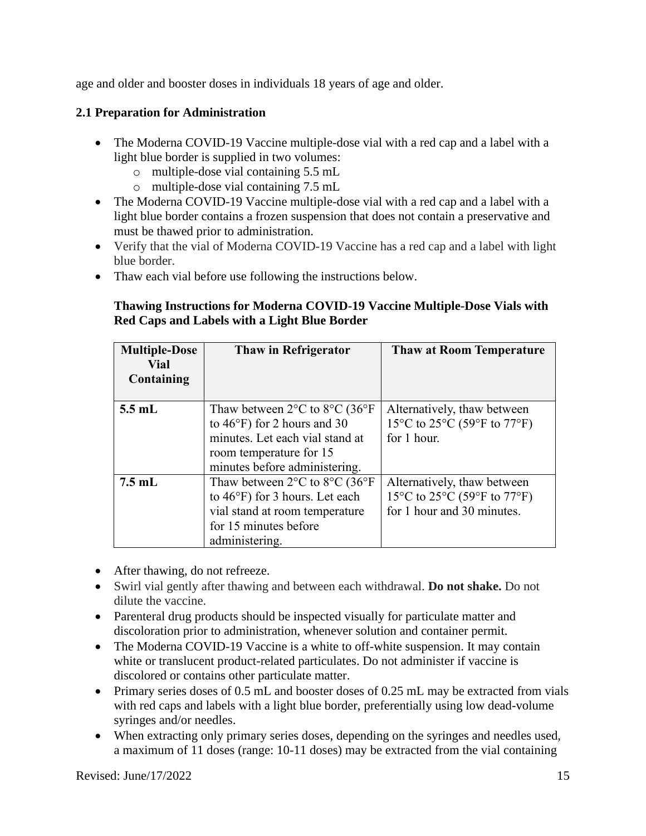age and older and booster doses in individuals 18 years of age and older.

# **2.1 Preparation for Administration**

- The Moderna COVID-19 Vaccine multiple-dose vial with a red cap and a label with a light blue border is supplied in two volumes:
	- o multiple-dose vial containing 5.5 mL
	- o multiple-dose vial containing 7.5 mL
- The Moderna COVID-19 Vaccine multiple-dose vial with a red cap and a label with a light blue border contains a frozen suspension that does not contain a preservative and must be thawed prior to administration.
- Verify that the vial of Moderna COVID-19 Vaccine has a red cap and a label with light blue border.
- Thaw each vial before use following the instructions below.

## **Thawing Instructions for Moderna COVID-19 Vaccine Multiple-Dose Vials with Red Caps and Labels with a Light Blue Border**

| <b>Multiple-Dose</b><br>Vial<br>Containing | <b>Thaw in Refrigerator</b>                                                                                                                                                                           | <b>Thaw at Room Temperature</b>                                                                                               |
|--------------------------------------------|-------------------------------------------------------------------------------------------------------------------------------------------------------------------------------------------------------|-------------------------------------------------------------------------------------------------------------------------------|
| $5.5$ mL                                   | Thaw between $2^{\circ}$ C to $8^{\circ}$ C (36 $^{\circ}$ F)<br>to $46^{\circ}$ F) for 2 hours and 30<br>minutes. Let each vial stand at<br>room temperature for 15<br>minutes before administering. | Alternatively, thaw between<br>15 <sup>o</sup> C to 25 <sup>o</sup> C (59 <sup>o</sup> F to 77 <sup>o</sup> F)<br>for 1 hour. |
| $7.5$ mL                                   | Thaw between $2^{\circ}$ C to $8^{\circ}$ C (36 $^{\circ}$ F)<br>to $46^{\circ}$ F) for 3 hours. Let each<br>vial stand at room temperature<br>for 15 minutes before<br>administering.                | Alternatively, thaw between<br>15°C to 25°C (59°F to 77°F)<br>for 1 hour and 30 minutes.                                      |

- After thawing, do not refreeze.
- Swirl vial gently after thawing and between each withdrawal. **Do not shake.** Do not dilute the vaccine.
- Parenteral drug products should be inspected visually for particulate matter and discoloration prior to administration, whenever solution and container permit.
- The Moderna COVID-19 Vaccine is a white to off-white suspension. It may contain white or translucent product-related particulates. Do not administer if vaccine is discolored or contains other particulate matter.
- Primary series doses of 0.5 mL and booster doses of 0.25 mL may be extracted from vials with red caps and labels with a light blue border, preferentially using low dead-volume syringes and/or needles.
- When extracting only primary series doses, depending on the syringes and needles used, a maximum of 11 doses (range: 10-11 doses) may be extracted from the vial containing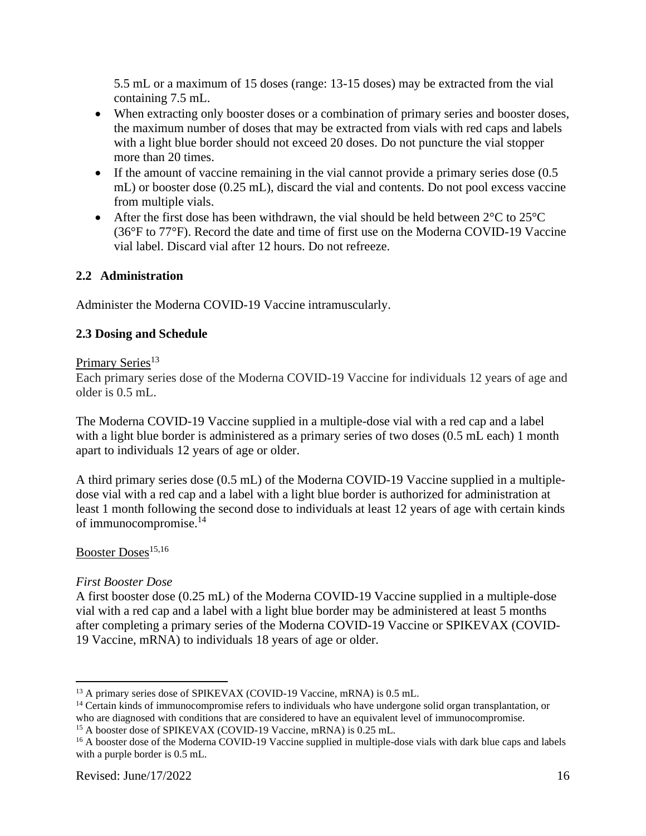5.5 mL or a maximum of 15 doses (range: 13-15 doses) may be extracted from the vial containing 7.5 mL.

- When extracting only booster doses or a combination of primary series and booster doses, the maximum number of doses that may be extracted from vials with red caps and labels with a light blue border should not exceed 20 doses. Do not puncture the vial stopper more than 20 times.
- If the amount of vaccine remaining in the vial cannot provide a primary series dose (0.5) mL) or booster dose (0.25 mL), discard the vial and contents. Do not pool excess vaccine from multiple vials.
- After the first dose has been withdrawn, the vial should be held between  $2^{\circ}$ C to  $25^{\circ}$ C (36°F to 77°F). Record the date and time of first use on the Moderna COVID-19 Vaccine vial label. Discard vial after 12 hours. Do not refreeze.

# **2.2 Administration**

Administer the Moderna COVID-19 Vaccine intramuscularly.

# **2.3 Dosing and Schedule**

### Primary Series<sup>13</sup>

Each primary series dose of the Moderna COVID-19 Vaccine for individuals 12 years of age and older is 0.5 mL.

The Moderna COVID-19 Vaccine supplied in a multiple-dose vial with a red cap and a label with a light blue border is administered as a primary series of two doses  $(0.5 \text{ mL each})$  1 month apart to individuals 12 years of age or older.

A third primary series dose (0.5 mL) of the Moderna COVID-19 Vaccine supplied in a multipledose vial with a red cap and a label with a light blue border is authorized for administration at least 1 month following the second dose to individuals at least 12 years of age with certain kinds of immunocompromise.<sup>14</sup>

## Booster Doses<sup>15,16</sup>

## *First Booster Dose*

A first booster dose (0.25 mL) of the Moderna COVID-19 Vaccine supplied in a multiple-dose vial with a red cap and a label with a light blue border may be administered at least 5 months after completing a primary series of the Moderna COVID-19 Vaccine or SPIKEVAX (COVID-19 Vaccine, mRNA) to individuals 18 years of age or older.

<sup>&</sup>lt;sup>13</sup> A primary series dose of SPIKEVAX (COVID-19 Vaccine, mRNA) is 0.5 mL.

<sup>&</sup>lt;sup>14</sup> Certain kinds of immunocompromise refers to individuals who have undergone solid organ transplantation, or who are diagnosed with conditions that are considered to have an equivalent level of immunocompromise.

<sup>&</sup>lt;sup>15</sup> A booster dose of SPIKEVAX (COVID-19 Vaccine, mRNA) is 0.25 mL.

<sup>&</sup>lt;sup>16</sup> A booster dose of the Moderna COVID-19 Vaccine supplied in multiple-dose vials with dark blue caps and labels with a purple border is 0.5 mL.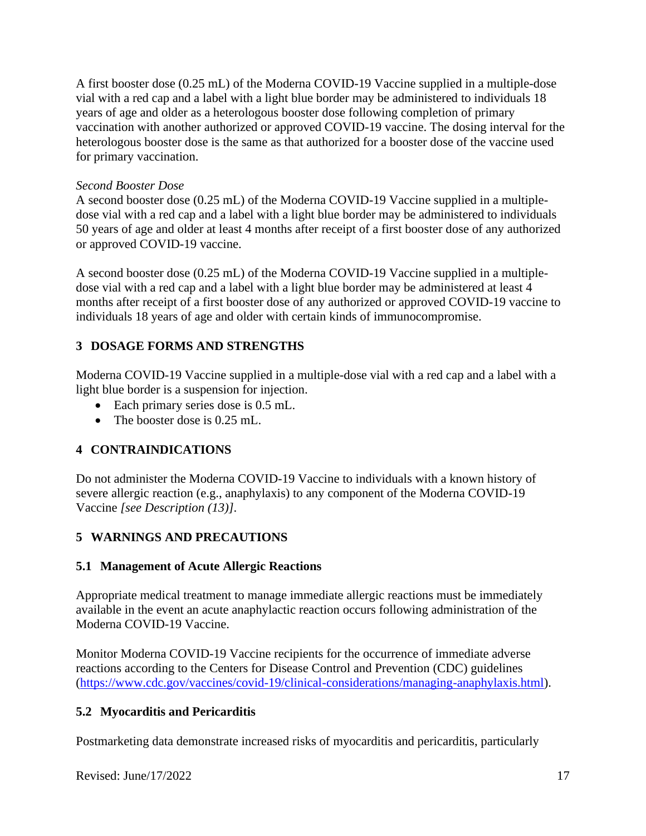A first booster dose (0.25 mL) of the Moderna COVID-19 Vaccine supplied in a multiple-dose vial with a red cap and a label with a light blue border may be administered to individuals 18 years of age and older as a heterologous booster dose following completion of primary vaccination with another authorized or approved COVID-19 vaccine. The dosing interval for the heterologous booster dose is the same as that authorized for a booster dose of the vaccine used for primary vaccination.

### *Second Booster Dose*

A second booster dose (0.25 mL) of the Moderna COVID-19 Vaccine supplied in a multipledose vial with a red cap and a label with a light blue border may be administered to individuals 50 years of age and older at least 4 months after receipt of a first booster dose of any authorized or approved COVID-19 vaccine.

A second booster dose (0.25 mL) of the Moderna COVID-19 Vaccine supplied in a multipledose vial with a red cap and a label with a light blue border may be administered at least 4 months after receipt of a first booster dose of any authorized or approved COVID-19 vaccine to individuals 18 years of age and older with certain kinds of immunocompromise.

# **3 DOSAGE FORMS AND STRENGTHS**

Moderna COVID-19 Vaccine supplied in a multiple-dose vial with a red cap and a label with a light blue border is a suspension for injection.

- Each primary series dose is 0.5 mL.
- The booster dose is 0.25 mL.

# **4 CONTRAINDICATIONS**

Do not administer the Moderna COVID-19 Vaccine to individuals with a known history of severe allergic reaction (e.g., anaphylaxis) to any component of the Moderna COVID-19 Vaccine *[see Description (13)]*.

# **5 WARNINGS AND PRECAUTIONS**

# **5.1 Management of Acute Allergic Reactions**

Appropriate medical treatment to manage immediate allergic reactions must be immediately available in the event an acute anaphylactic reaction occurs following administration of the Moderna COVID-19 Vaccine.

Monitor Moderna COVID-19 Vaccine recipients for the occurrence of immediate adverse reactions according to the Centers for Disease Control and Prevention (CDC) guidelines (https://www.cdc.gov/vaccines/covid-19/clinical-considerations/managing-anaphylaxis.html).

# **5.2 Myocarditis and Pericarditis**

Postmarketing data demonstrate increased risks of myocarditis and pericarditis, particularly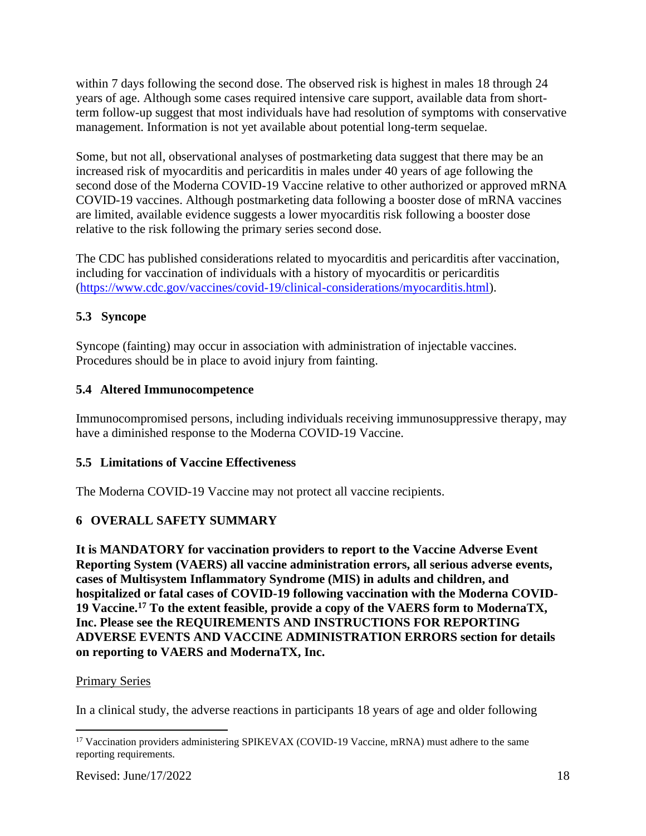within 7 days following the second dose. The observed risk is highest in males 18 through 24 years of age. Although some cases required intensive care support, available data from shortterm follow-up suggest that most individuals have had resolution of symptoms with conservative management. Information is not yet available about potential long-term sequelae.

Some, but not all, observational analyses of postmarketing data suggest that there may be an increased risk of myocarditis and pericarditis in males under 40 years of age following the second dose of the Moderna COVID-19 Vaccine relative to other authorized or approved mRNA COVID-19 vaccines. Although postmarketing data following a booster dose of mRNA vaccines are limited, available evidence suggests a lower myocarditis risk following a booster dose relative to the risk following the primary series second dose.

The CDC has published considerations related to myocarditis and pericarditis after vaccination, including for vaccination of individuals with a history of myocarditis or pericarditis (https://www.cdc.gov/vaccines/covid-19/clinical-considerations/myocarditis.html).

# **5.3 Syncope**

Syncope (fainting) may occur in association with administration of injectable vaccines. Procedures should be in place to avoid injury from fainting.

# **5.4 Altered Immunocompetence**

Immunocompromised persons, including individuals receiving immunosuppressive therapy, may have a diminished response to the Moderna COVID-19 Vaccine.

## **5.5 Limitations of Vaccine Effectiveness**

The Moderna COVID-19 Vaccine may not protect all vaccine recipients.

# **6 OVERALL SAFETY SUMMARY**

**It is MANDATORY for vaccination providers to report to the Vaccine Adverse Event Reporting System (VAERS) all vaccine administration errors, all serious adverse events, cases of Multisystem Inflammatory Syndrome (MIS) in adults and children, and hospitalized or fatal cases of COVID-19 following vaccination with the Moderna COVID-19 Vaccine.<sup>17</sup> To the extent feasible, provide a copy of the VAERS form to ModernaTX, Inc. Please see the REQUIREMENTS AND INSTRUCTIONS FOR REPORTING ADVERSE EVENTS AND VACCINE ADMINISTRATION ERRORS section for details on reporting to VAERS and ModernaTX, Inc.**

## Primary Series

In a clinical study, the adverse reactions in participants 18 years of age and older following

<sup>&</sup>lt;sup>17</sup> Vaccination providers administering SPIKEVAX (COVID-19 Vaccine, mRNA) must adhere to the same reporting requirements.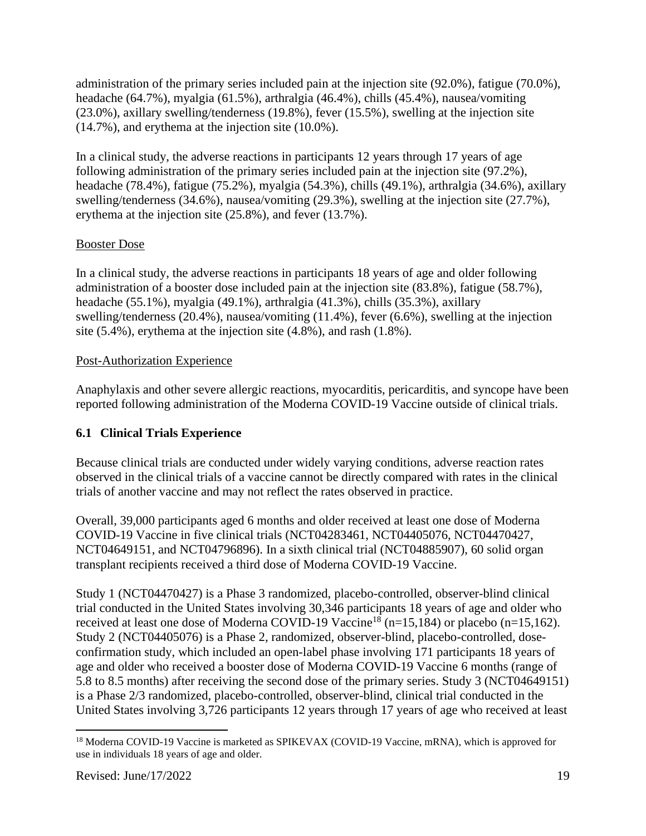administration of the primary series included pain at the injection site (92.0%), fatigue (70.0%), headache (64.7%), myalgia (61.5%), arthralgia (46.4%), chills (45.4%), nausea/vomiting (23.0%), axillary swelling/tenderness (19.8%), fever (15.5%), swelling at the injection site (14.7%), and erythema at the injection site (10.0%).

In a clinical study, the adverse reactions in participants 12 years through 17 years of age following administration of the primary series included pain at the injection site (97.2%), headache (78.4%), fatigue (75.2%), myalgia (54.3%), chills (49.1%), arthralgia (34.6%), axillary swelling/tenderness (34.6%), nausea/vomiting (29.3%), swelling at the injection site (27.7%), erythema at the injection site (25.8%), and fever (13.7%).

# Booster Dose

In a clinical study, the adverse reactions in participants 18 years of age and older following administration of a booster dose included pain at the injection site (83.8%), fatigue (58.7%), headache (55.1%), myalgia (49.1%), arthralgia (41.3%), chills (35.3%), axillary swelling/tenderness (20.4%), nausea/vomiting (11.4%), fever (6.6%), swelling at the injection site (5.4%), erythema at the injection site (4.8%), and rash (1.8%).

# Post-Authorization Experience

Anaphylaxis and other severe allergic reactions, myocarditis, pericarditis, and syncope have been reported following administration of the Moderna COVID-19 Vaccine outside of clinical trials.

# **6.1 Clinical Trials Experience**

Because clinical trials are conducted under widely varying conditions, adverse reaction rates observed in the clinical trials of a vaccine cannot be directly compared with rates in the clinical trials of another vaccine and may not reflect the rates observed in practice.

Overall, 39,000 participants aged 6 months and older received at least one dose of Moderna COVID-19 Vaccine in five clinical trials (NCT04283461, NCT04405076, NCT04470427, NCT04649151, and NCT04796896). In a sixth clinical trial (NCT04885907), 60 solid organ transplant recipients received a third dose of Moderna COVID-19 Vaccine.

Study 1 (NCT04470427) is a Phase 3 randomized, placebo-controlled, observer-blind clinical trial conducted in the United States involving 30,346 participants 18 years of age and older who received at least one dose of Moderna COVID-19 Vaccine<sup>18</sup> (n=15,184) or placebo (n=15,162). Study 2 (NCT04405076) is a Phase 2, randomized, observer-blind, placebo-controlled, doseconfirmation study, which included an open-label phase involving 171 participants 18 years of age and older who received a booster dose of Moderna COVID-19 Vaccine 6 months (range of 5.8 to 8.5 months) after receiving the second dose of the primary series. Study 3 (NCT04649151) is a Phase 2/3 randomized, placebo-controlled, observer-blind, clinical trial conducted in the United States involving 3,726 participants 12 years through 17 years of age who received at least

<sup>&</sup>lt;sup>18</sup> Moderna COVID-19 Vaccine is marketed as SPIKEVAX (COVID-19 Vaccine, mRNA), which is approved for use in individuals 18 years of age and older.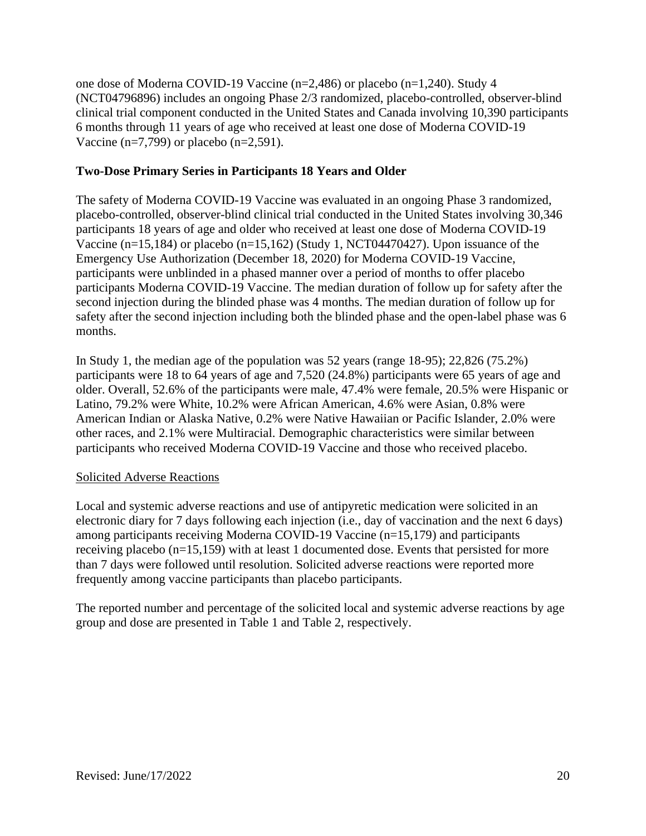one dose of Moderna COVID-19 Vaccine (n=2,486) or placebo (n=1,240). Study 4 (NCT04796896) includes an ongoing Phase 2/3 randomized, placebo-controlled, observer-blind clinical trial component conducted in the United States and Canada involving 10,390 participants 6 months through 11 years of age who received at least one dose of Moderna COVID-19 Vaccine (n=7,799) or placebo (n=2,591).

## **Two-Dose Primary Series in Participants 18 Years and Older**

The safety of Moderna COVID-19 Vaccine was evaluated in an ongoing Phase 3 randomized, placebo-controlled, observer-blind clinical trial conducted in the United States involving 30,346 participants 18 years of age and older who received at least one dose of Moderna COVID-19 Vaccine (n=15,184) or placebo (n=15,162) (Study 1, NCT04470427). Upon issuance of the Emergency Use Authorization (December 18, 2020) for Moderna COVID-19 Vaccine, participants were unblinded in a phased manner over a period of months to offer placebo participants Moderna COVID-19 Vaccine. The median duration of follow up for safety after the second injection during the blinded phase was 4 months. The median duration of follow up for safety after the second injection including both the blinded phase and the open-label phase was 6 months.

In Study 1, the median age of the population was 52 years (range 18-95); 22,826 (75.2%) participants were 18 to 64 years of age and 7,520 (24.8%) participants were 65 years of age and older. Overall, 52.6% of the participants were male, 47.4% were female, 20.5% were Hispanic or Latino, 79.2% were White, 10.2% were African American, 4.6% were Asian, 0.8% were American Indian or Alaska Native, 0.2% were Native Hawaiian or Pacific Islander, 2.0% were other races, and 2.1% were Multiracial. Demographic characteristics were similar between participants who received Moderna COVID-19 Vaccine and those who received placebo.

## Solicited Adverse Reactions

Local and systemic adverse reactions and use of antipyretic medication were solicited in an electronic diary for 7 days following each injection (i.e., day of vaccination and the next 6 days) among participants receiving Moderna COVID-19 Vaccine (n=15,179) and participants receiving placebo (n=15,159) with at least 1 documented dose. Events that persisted for more than 7 days were followed until resolution. Solicited adverse reactions were reported more frequently among vaccine participants than placebo participants.

The reported number and percentage of the solicited local and systemic adverse reactions by age group and dose are presented in Table 1 and Table 2, respectively.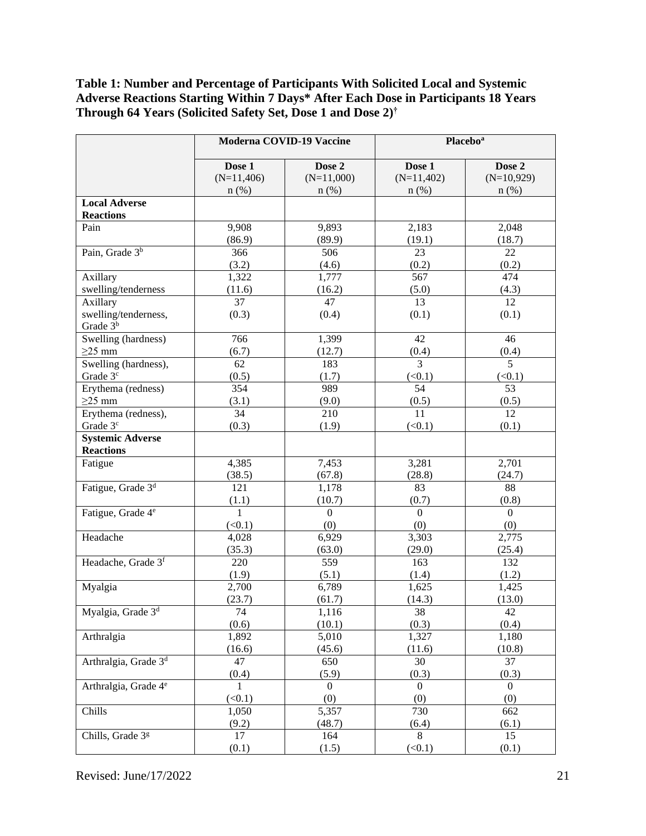## **Table 1: Number and Percentage of Participants With Solicited Local and Systemic Adverse Reactions Starting Within 7 Days\* After Each Dose in Participants 18 Years Through 64 Years (Solicited Safety Set, Dose 1 and Dose 2) †**

|                                  | Moderna COVID-19 Vaccine |                       | <b>Placebo</b> <sup>a</sup> |                     |  |
|----------------------------------|--------------------------|-----------------------|-----------------------------|---------------------|--|
|                                  | Dose 1                   | Dose 2                | Dose 1                      | Dose 2              |  |
|                                  | $(N=11,406)$             | $(N=11,000)$          | $(N=11,402)$                | $(N=10,929)$        |  |
|                                  | $n$ (%)                  | $n$ (%)               | $n$ (%)                     | $n$ (%)             |  |
| <b>Local Adverse</b>             |                          |                       |                             |                     |  |
| <b>Reactions</b>                 |                          |                       |                             |                     |  |
| Pain                             | 9,908                    | 9,893                 | 2,183                       | 2,048               |  |
|                                  | (86.9)                   | (89.9)                | (19.1)                      | (18.7)              |  |
| Pain, Grade 3 <sup>b</sup>       | 366                      | 506                   | 23                          | 22                  |  |
|                                  | (3.2)                    | (4.6)                 | (0.2)                       | (0.2)               |  |
| Axillary                         | 1,322                    | 1,777                 | 567                         | 474                 |  |
| swelling/tenderness              | (11.6)                   | (16.2)                | (5.0)                       | (4.3)               |  |
| Axillary                         | $\overline{37}$          | 47                    | $\overline{13}$             | $\overline{12}$     |  |
| swelling/tenderness,             | (0.3)                    | (0.4)                 | (0.1)                       | (0.1)               |  |
| Grade 3 <sup>b</sup>             |                          |                       |                             |                     |  |
| Swelling (hardness)              | 766                      | 1,399                 | 42                          | 46                  |  |
| $\geq$ 25 mm                     | (6.7)                    | (12.7)                | (0.4)                       | (0.4)               |  |
| Swelling (hardness),             | 62                       | 183                   | $\overline{3}$              | $\overline{5}$      |  |
| Grade 3 <sup>c</sup>             | (0.5)                    | (1.7)                 | (<0.1)                      | (<0.1)              |  |
| Erythema (redness)               | 354                      | 989                   | 54                          | 53                  |  |
| $\geq$ 25 mm                     | (3.1)                    | (9.0)                 | (0.5)                       | (0.5)               |  |
| Erythema (redness),              | 34                       | 210                   | 11                          | 12                  |  |
| Grade 3 <sup>c</sup>             | (0.3)                    | (1.9)                 | (<0.1)                      | (0.1)               |  |
| <b>Systemic Adverse</b>          |                          |                       |                             |                     |  |
| <b>Reactions</b>                 |                          |                       |                             |                     |  |
| Fatigue                          | 4,385                    | 7,453                 | 3,281                       | 2,701               |  |
|                                  | (38.5)                   | (67.8)                | (28.8)                      | (24.7)              |  |
| Fatigue, Grade 3 <sup>d</sup>    | 121                      | 1,178                 | 83                          | 88                  |  |
|                                  | (1.1)                    | (10.7)                | (0.7)                       | (0.8)               |  |
| Fatigue, Grade 4 <sup>e</sup>    | $\mathbf{1}$             | $\overline{0}$        | $\overline{0}$              | $\overline{0}$      |  |
|                                  | (<0.1)                   | (0)                   | (0)                         | (0)                 |  |
| Headache                         | 4,028                    | 6,929                 | 3,303                       | 2,775               |  |
|                                  | (35.3)                   | (63.0)                | (29.0)                      | (25.4)              |  |
| Headache, Grade 3f               | 220                      | 559                   | 163                         | 132                 |  |
|                                  | (1.9)                    | (5.1)                 | (1.4)                       | (1.2)               |  |
| Myalgia                          | 2,700                    | 6,789                 | 1,625                       | 1,425               |  |
|                                  | (23.7)                   | (61.7)                | (14.3)                      | (13.0)              |  |
| Myalgia, Grade 3 <sup>d</sup>    | 74                       | 1,116                 | 38                          | 42                  |  |
|                                  | (0.6)                    | (10.1)                | (0.3)                       | (0.4)               |  |
| Arthralgia                       | 1,892                    | 5,010                 | 1,327                       | 1,180               |  |
|                                  | (16.6)                   | (45.6)                | (11.6)                      | (10.8)<br>37        |  |
| Arthralgia, Grade 3 <sup>d</sup> | 47                       | 650                   | 30                          |                     |  |
|                                  | (0.4)                    | (5.9)<br>$\mathbf{0}$ | (0.3)                       | (0.3)               |  |
| Arthralgia, Grade 4 <sup>e</sup> | $\mathbf{1}$<br>(<0.1)   | (0)                   | $\boldsymbol{0}$<br>(0)     | $\mathbf{0}$<br>(0) |  |
| Chills                           | 1,050                    | 5,357                 | 730                         | 662                 |  |
|                                  | (9.2)                    | (48.7)                | (6.4)                       | (6.1)               |  |
| Chills, Grade 3g                 | 17                       | 164                   | 8                           | 15                  |  |
|                                  | (0.1)                    | (1.5)                 | (<0.1)                      | (0.1)               |  |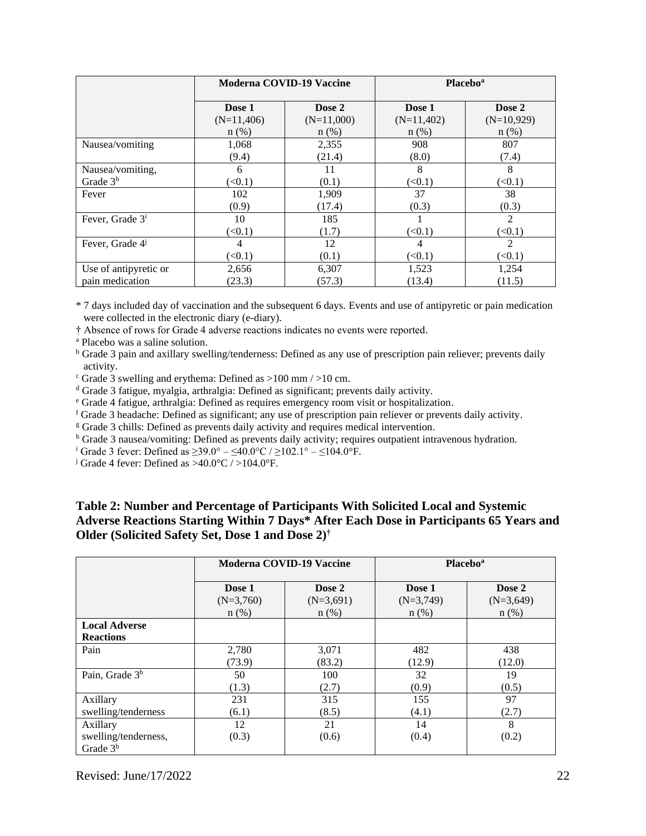|                             | <b>Moderna COVID-19 Vaccine</b> |              | <b>Placebo</b> <sup>a</sup> |                |
|-----------------------------|---------------------------------|--------------|-----------------------------|----------------|
|                             | Dose 1                          | Dose 2       | Dose 1                      | Dose 2         |
|                             | $(N=11,406)$                    | $(N=11,000)$ | $(N=11,402)$                | $(N=10,929)$   |
|                             | $n$ (%)                         | $n$ (%)      | $n$ (%)                     | $n$ (%)        |
| Nausea/vomiting             | 1,068                           | 2,355        | 908                         | 807            |
|                             | (9.4)                           | (21.4)       | (8.0)                       | (7.4)          |
| Nausea/vomiting,            | 6                               | 11           | 8                           | 8              |
| Grade $3h$                  | (<0.1)                          | (0.1)        | (<0.1)                      | (<0.1)         |
| Fever                       | 102                             | 1,909        | 37                          | 38             |
|                             | (0.9)                           | (17.4)       | (0.3)                       | (0.3)          |
| Fever, Grade 3 <sup>i</sup> | 10                              | 185          |                             | $\mathfrak{D}$ |
|                             | (<0.1)                          | (1.7)        | (<0.1)                      | (<0.1)         |
| Fever, Grade 4              | 4                               | 12           | 4                           | 2              |
|                             | (<0.1)                          | (0.1)        | (<0.1)                      | (<0.1)         |
| Use of antipyretic or       | 2,656                           | 6,307        | 1,523                       | 1,254          |
| pain medication             | (23.3)                          | (57.3)       | (13.4)                      | (11.5)         |

\* 7 days included day of vaccination and the subsequent 6 days. Events and use of antipyretic or pain medication were collected in the electronic diary (e-diary).

† Absence of rows for Grade 4 adverse reactions indicates no events were reported.

<sup>a</sup> Placebo was a saline solution.

**b** Grade 3 pain and axillary swelling/tenderness: Defined as any use of prescription pain reliever; prevents daily activity.

- $\degree$  Grade 3 swelling and erythema: Defined as  $>100$  mm  $/>10$  cm.
- <sup>d</sup> Grade 3 fatigue, myalgia, arthralgia: Defined as significant; prevents daily activity.
- <sup>e</sup> Grade 4 fatigue, arthralgia: Defined as requires emergency room visit or hospitalization.
- <sup>f</sup> Grade 3 headache: Defined as significant; any use of prescription pain reliever or prevents daily activity.

<sup>g</sup> Grade 3 chills: Defined as prevents daily activity and requires medical intervention.

h Grade 3 nausea/vomiting: Defined as prevents daily activity; requires outpatient intravenous hydration.

<sup>i</sup> Grade 3 fever: Defined as ≥39.0° – ≤40.0°C / ≥102.1° – ≤104.0°F.

<sup>j</sup> Grade 4 fever: Defined as  $>40.0^{\circ}$ C /  $>104.0^{\circ}$ F.

## **Table 2: Number and Percentage of Participants With Solicited Local and Systemic Adverse Reactions Starting Within 7 Days\* After Each Dose in Participants 65 Years and Older (Solicited Safety Set, Dose 1 and Dose 2)†**

|                                                          | Moderna COVID-19 Vaccine |             | <b>Placebo</b> <sup>a</sup> |             |
|----------------------------------------------------------|--------------------------|-------------|-----------------------------|-------------|
|                                                          | Dose 1                   | Dose 2      | Dose 1                      | Dose 2      |
|                                                          | $(N=3,760)$              | $(N=3,691)$ | $(N=3,749)$                 | $(N=3,649)$ |
|                                                          | $n$ (%)                  | $n$ (%)     | $n$ (%)                     | $n$ (%)     |
| <b>Local Adverse</b><br><b>Reactions</b>                 |                          |             |                             |             |
| Pain                                                     | 2,780                    | 3,071       | 482                         | 438         |
|                                                          | (73.9)                   | (83.2)      | (12.9)                      | (12.0)      |
| Pain, Grade 3 <sup>b</sup>                               | 50                       | 100         | 32                          | 19          |
|                                                          | (1.3)                    | (2.7)       | (0.9)                       | (0.5)       |
| Axillary                                                 | 231                      | 315         | 155                         | 97          |
| swelling/tenderness                                      | (6.1)                    | (8.5)       | (4.1)                       | (2.7)       |
| Axillary<br>swelling/tenderness,<br>Grade 3 <sup>b</sup> | 12<br>(0.3)              | 21<br>(0.6) | 14<br>(0.4)                 | 8<br>(0.2)  |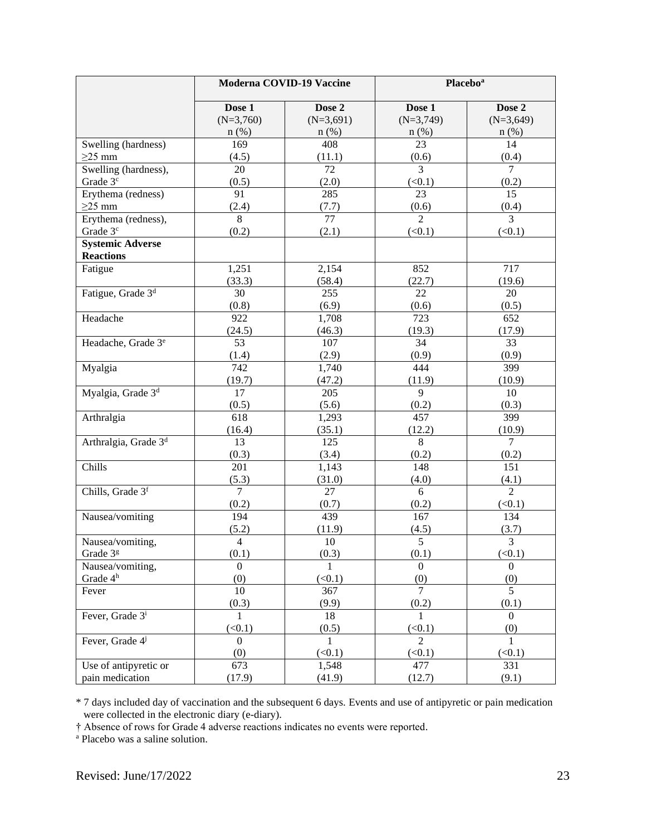|                                     | Moderna COVID-19 Vaccine |                       | <b>Placebo</b> <sup>a</sup> |                         |  |
|-------------------------------------|--------------------------|-----------------------|-----------------------------|-------------------------|--|
|                                     | Dose 1<br>$(N=3,760)$    | Dose 2<br>$(N=3,691)$ | Dose 1<br>$(N=3,749)$       | Dose 2<br>$(N=3,649)$   |  |
|                                     | $n$ (%)<br>169           | $n$ (%)<br>408        | $n$ (%)<br>23               | $n$ (%)<br>14           |  |
| Swelling (hardness)<br>$\geq$ 25 mm | (4.5)                    | (11.1)                | (0.6)                       | (0.4)                   |  |
| Swelling (hardness),                | 20                       | 72                    | 3                           | $\tau$                  |  |
| Grade 3 <sup>c</sup>                | (0.5)                    | (2.0)                 | (<0.1)                      | (0.2)                   |  |
| Erythema (redness)                  | 91                       | 285                   | 23                          | 15                      |  |
| $\geq$ 25 mm                        | (2.4)                    | (7.7)                 | (0.6)                       | (0.4)                   |  |
| Erythema (redness),                 | 8                        | $\overline{77}$       | $\overline{2}$              | 3                       |  |
| Grade 3 <sup>c</sup>                | (0.2)                    | (2.1)                 | (< 0.1)                     | (<0.1)                  |  |
| <b>Systemic Adverse</b>             |                          |                       |                             |                         |  |
| <b>Reactions</b>                    |                          |                       |                             |                         |  |
| Fatigue                             | 1,251                    | 2,154                 | 852                         | 717                     |  |
|                                     | (33.3)                   | (58.4)                | (22.7)                      | (19.6)                  |  |
| Fatigue, Grade 3 <sup>d</sup>       | 30                       | 255                   | 22                          | 20                      |  |
|                                     | (0.8)                    | (6.9)                 | (0.6)                       | (0.5)                   |  |
| Headache                            | 922                      | 1,708                 | 723                         | 652                     |  |
|                                     | (24.5)                   | (46.3)                | (19.3)                      | (17.9)                  |  |
| Headache, Grade 3 <sup>e</sup>      | 53                       | 107                   | 34                          | 33                      |  |
|                                     | (1.4)                    | (2.9)                 | (0.9)                       | (0.9)                   |  |
| Myalgia                             | 742                      | 1,740                 | 444                         | 399                     |  |
|                                     | (19.7)                   | (47.2)                | (11.9)                      | (10.9)                  |  |
| Myalgia, Grade 3 <sup>d</sup>       | 17                       | 205                   | 9                           | 10                      |  |
|                                     | (0.5)                    | (5.6)                 | (0.2)                       | (0.3)                   |  |
| Arthralgia                          | 618                      | 1,293                 | 457                         | 399                     |  |
|                                     | (16.4)                   | (35.1)                | (12.2)                      | (10.9)                  |  |
| Arthralgia, Grade 3 <sup>d</sup>    | 13                       | 125                   | 8                           | $\overline{7}$          |  |
|                                     | (0.3)                    | (3.4)                 | (0.2)                       | (0.2)                   |  |
| Chills                              | 201                      | 1,143                 | 148                         | 151                     |  |
|                                     | (5.3)                    | (31.0)                | (4.0)                       | (4.1)                   |  |
| Chills, Grade 3 <sup>f</sup>        | $\overline{7}$           | 27                    | 6                           | $\overline{2}$          |  |
|                                     | (0.2)                    | (0.7)                 | (0.2)                       | (<0.1)                  |  |
| Nausea/vomiting                     | 194<br>(5.2)             | 439<br>(11.9)         | 167<br>(4.5)                | 134<br>(3.7)            |  |
| Nausea/vomiting,                    | $\overline{4}$           | 10                    | $\overline{5}$              | $\overline{3}$          |  |
| Grade 3g                            | (0.1)                    | (0.3)                 | (0.1)                       | (<0.1)                  |  |
| Nausea/vomiting,                    | $\overline{0}$           | $\mathbf{1}$          | $\Omega$                    | $\Omega$                |  |
| Grade 4 <sup>h</sup>                | (0)                      | (<0.1)                | (0)                         | (0)                     |  |
| Fever                               | 10<br>(0.3)              | 367<br>(9.9)          | $\overline{7}$<br>(0.2)     | $\overline{5}$<br>(0.1) |  |
| Fever, Grade 3 <sup>i</sup>         | 1                        | 18                    | 1                           | $\Omega$                |  |
|                                     | (<0.1)                   | (0.5)                 | (<0.1)                      | (0)                     |  |
| Fever, Grade 4 <sup>j</sup>         | $\overline{0}$           | $\mathbf{1}$          | $\overline{2}$              | $\mathbf{1}$            |  |
|                                     | (0)                      | (<0.1)                | (<0.1)                      | (<0.1)                  |  |
| Use of antipyretic or               | 673                      | 1,548                 | 477                         | 331                     |  |
| pain medication                     | (17.9)                   | (41.9)                | (12.7)                      | (9.1)                   |  |

\* 7 days included day of vaccination and the subsequent 6 days. Events and use of antipyretic or pain medication were collected in the electronic diary (e-diary).

† Absence of rows for Grade 4 adverse reactions indicates no events were reported.

<sup>a</sup> Placebo was a saline solution.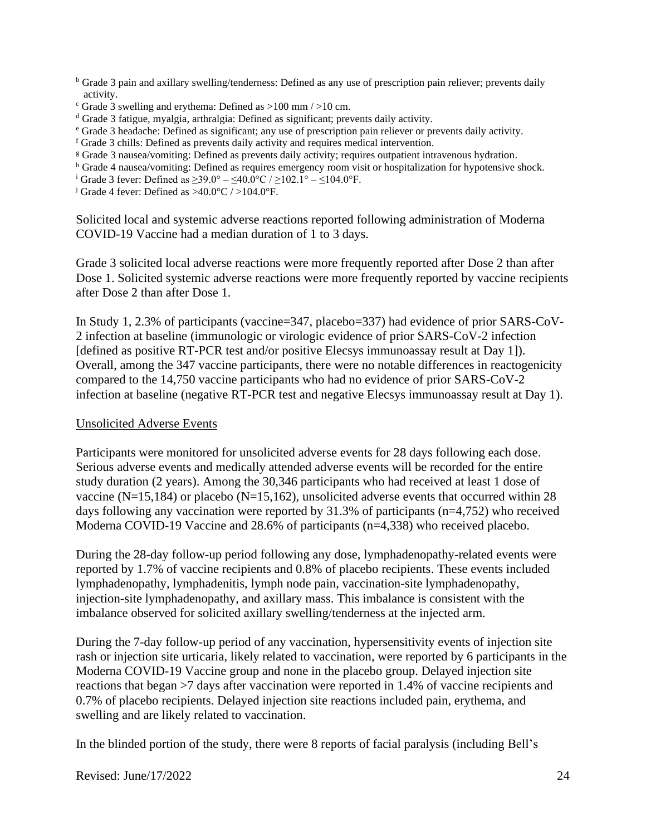- <sup>b</sup> Grade 3 pain and axillary swelling/tenderness: Defined as any use of prescription pain reliever; prevents daily activity.
- $\degree$  Grade 3 swelling and erythema: Defined as  $>100$  mm  $/$   $>10$  cm.
- <sup>d</sup> Grade 3 fatigue, myalgia, arthralgia: Defined as significant; prevents daily activity.
- <sup>e</sup> Grade 3 headache: Defined as significant; any use of prescription pain reliever or prevents daily activity.
- <sup>f</sup> Grade 3 chills: Defined as prevents daily activity and requires medical intervention.
- <sup>g</sup> Grade 3 nausea/vomiting: Defined as prevents daily activity; requires outpatient intravenous hydration.
- <sup>h</sup> Grade 4 nausea/vomiting: Defined as requires emergency room visit or hospitalization for hypotensive shock.
- <sup>i</sup> Grade 3 fever: Defined as ≥39.0° ≤40.0°C / ≥102.1° ≤104.0°F.
- <sup>j</sup> Grade 4 fever: Defined as  $>40.0$ °C /  $>104.0$ °F.

Solicited local and systemic adverse reactions reported following administration of Moderna COVID-19 Vaccine had a median duration of 1 to 3 days.

Grade 3 solicited local adverse reactions were more frequently reported after Dose 2 than after Dose 1. Solicited systemic adverse reactions were more frequently reported by vaccine recipients after Dose 2 than after Dose 1.

In Study 1, 2.3% of participants (vaccine=347, placebo=337) had evidence of prior SARS-CoV-2 infection at baseline (immunologic or virologic evidence of prior SARS-CoV-2 infection [defined as positive RT-PCR test and/or positive Elecsys immunoassay result at Day 1]). Overall, among the 347 vaccine participants, there were no notable differences in reactogenicity compared to the 14,750 vaccine participants who had no evidence of prior SARS-CoV-2 infection at baseline (negative RT-PCR test and negative Elecsys immunoassay result at Day 1).

#### Unsolicited Adverse Events

Participants were monitored for unsolicited adverse events for 28 days following each dose. Serious adverse events and medically attended adverse events will be recorded for the entire study duration (2 years). Among the 30,346 participants who had received at least 1 dose of vaccine (N=15,184) or placebo (N=15,162), unsolicited adverse events that occurred within 28 days following any vaccination were reported by 31.3% of participants (n=4,752) who received Moderna COVID-19 Vaccine and 28.6% of participants (n=4,338) who received placebo.

During the 28-day follow-up period following any dose, lymphadenopathy-related events were reported by 1.7% of vaccine recipients and 0.8% of placebo recipients. These events included lymphadenopathy, lymphadenitis, lymph node pain, vaccination-site lymphadenopathy, injection-site lymphadenopathy, and axillary mass. This imbalance is consistent with the imbalance observed for solicited axillary swelling/tenderness at the injected arm.

During the 7-day follow-up period of any vaccination, hypersensitivity events of injection site rash or injection site urticaria, likely related to vaccination, were reported by 6 participants in the Moderna COVID-19 Vaccine group and none in the placebo group. Delayed injection site reactions that began >7 days after vaccination were reported in 1.4% of vaccine recipients and 0.7% of placebo recipients. Delayed injection site reactions included pain, erythema, and swelling and are likely related to vaccination.

In the blinded portion of the study, there were 8 reports of facial paralysis (including Bell's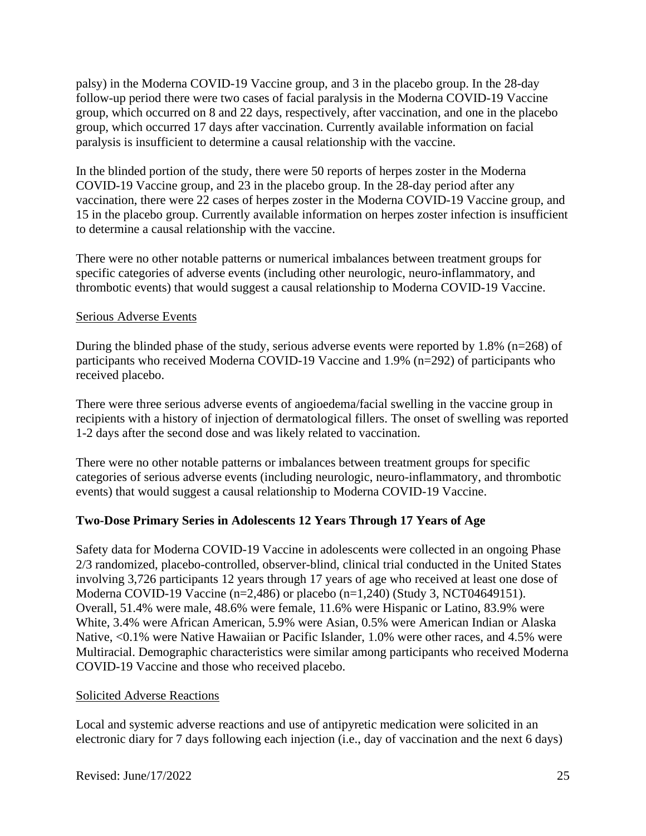palsy) in the Moderna COVID-19 Vaccine group, and 3 in the placebo group. In the 28-day follow-up period there were two cases of facial paralysis in the Moderna COVID-19 Vaccine group, which occurred on 8 and 22 days, respectively, after vaccination, and one in the placebo group, which occurred 17 days after vaccination. Currently available information on facial paralysis is insufficient to determine a causal relationship with the vaccine.

In the blinded portion of the study, there were 50 reports of herpes zoster in the Moderna COVID-19 Vaccine group, and 23 in the placebo group. In the 28-day period after any vaccination, there were 22 cases of herpes zoster in the Moderna COVID-19 Vaccine group, and 15 in the placebo group. Currently available information on herpes zoster infection is insufficient to determine a causal relationship with the vaccine.

There were no other notable patterns or numerical imbalances between treatment groups for specific categories of adverse events (including other neurologic, neuro-inflammatory, and thrombotic events) that would suggest a causal relationship to Moderna COVID-19 Vaccine.

### Serious Adverse Events

During the blinded phase of the study, serious adverse events were reported by 1.8% (n=268) of participants who received Moderna COVID-19 Vaccine and 1.9% (n=292) of participants who received placebo.

There were three serious adverse events of angioedema/facial swelling in the vaccine group in recipients with a history of injection of dermatological fillers. The onset of swelling was reported 1-2 days after the second dose and was likely related to vaccination.

There were no other notable patterns or imbalances between treatment groups for specific categories of serious adverse events (including neurologic, neuro-inflammatory, and thrombotic events) that would suggest a causal relationship to Moderna COVID-19 Vaccine.

## **Two-Dose Primary Series in Adolescents 12 Years Through 17 Years of Age**

Safety data for Moderna COVID-19 Vaccine in adolescents were collected in an ongoing Phase 2/3 randomized, placebo-controlled, observer-blind, clinical trial conducted in the United States involving 3,726 participants 12 years through 17 years of age who received at least one dose of Moderna COVID-19 Vaccine (n=2,486) or placebo (n=1,240) (Study 3, NCT04649151). Overall, 51.4% were male, 48.6% were female, 11.6% were Hispanic or Latino, 83.9% were White, 3.4% were African American, 5.9% were Asian, 0.5% were American Indian or Alaska Native, <0.1% were Native Hawaiian or Pacific Islander, 1.0% were other races, and 4.5% were Multiracial. Demographic characteristics were similar among participants who received Moderna COVID-19 Vaccine and those who received placebo.

#### Solicited Adverse Reactions

Local and systemic adverse reactions and use of antipyretic medication were solicited in an electronic diary for 7 days following each injection (i.e., day of vaccination and the next 6 days)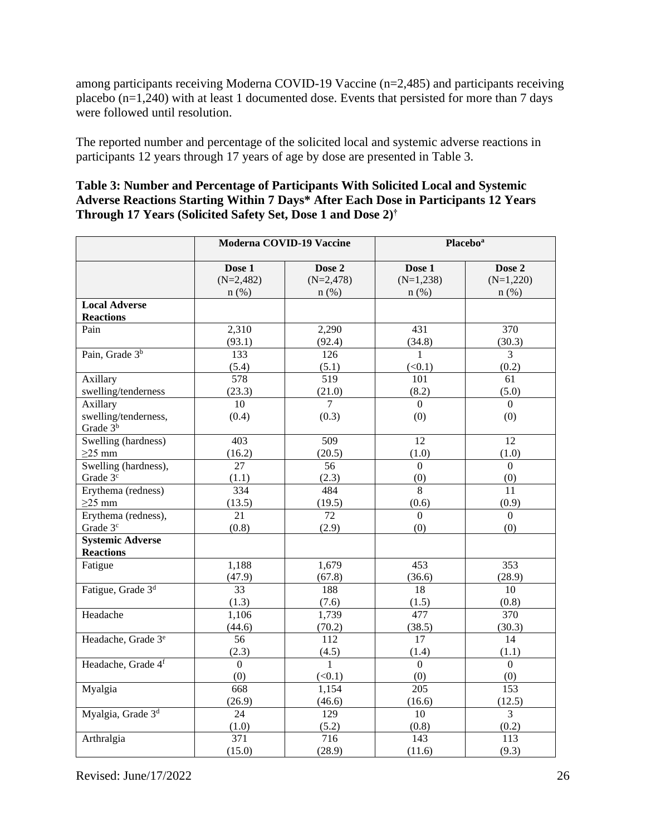among participants receiving Moderna COVID-19 Vaccine (n=2,485) and participants receiving placebo  $(n=1,240)$  with at least 1 documented dose. Events that persisted for more than 7 days were followed until resolution.

The reported number and percentage of the solicited local and systemic adverse reactions in participants 12 years through 17 years of age by dose are presented in Table 3.

| Table 3: Number and Percentage of Participants With Solicited Local and Systemic   |
|------------------------------------------------------------------------------------|
| Adverse Reactions Starting Within 7 Days* After Each Dose in Participants 12 Years |
| <b>Through 17 Years (Solicited Safety Set, Dose 1 and Dose 2)</b> <sup>†</sup>     |

|                                | <b>Moderna COVID-19 Vaccine</b> |                | Placebo <sup>a</sup> |                  |
|--------------------------------|---------------------------------|----------------|----------------------|------------------|
|                                | Dose 1                          | Dose 2         | Dose 1               | Dose 2           |
|                                | $(N=2,482)$                     | $(N=2,478)$    | $(N=1,238)$          | $(N=1,220)$      |
|                                | $n$ (%)                         | $n$ (%)        | $n$ (%)              | $n$ (%)          |
| <b>Local Adverse</b>           |                                 |                |                      |                  |
| <b>Reactions</b>               |                                 |                |                      |                  |
| Pain                           | 2,310                           | 2,290          | 431                  | 370              |
|                                | (93.1)                          | (92.4)         | (34.8)               | (30.3)           |
| Pain, Grade 3 <sup>b</sup>     | 133                             | 126            | 1                    | $\overline{3}$   |
|                                | (5.4)                           | (5.1)          | (<0.1)               | (0.2)            |
| Axillary                       | 578                             | 519            | 101                  | 61               |
| swelling/tenderness            | (23.3)                          | (21.0)         | (8.2)                | (5.0)            |
| Axillary                       | 10                              | $\overline{7}$ | $\Omega$             | $\overline{0}$   |
| swelling/tenderness,           | (0.4)                           | (0.3)          | (0)                  | (0)              |
| Grade 3 <sup>b</sup>           |                                 |                |                      |                  |
| Swelling (hardness)            | 403                             | 509            | 12                   | 12               |
| $\geq$ 25 mm                   | (16.2)                          | (20.5)         | (1.0)                | (1.0)            |
| Swelling (hardness),           | 27                              | 56             | $\Omega$             | $\overline{0}$   |
| Grade 3 <sup>c</sup>           | (1.1)                           | (2.3)          | (0)                  | (0)              |
| Erythema (redness)             | 334                             | 484            | $\overline{8}$       | 11               |
| $\geq$ 25 mm                   | (13.5)                          | (19.5)         | (0.6)                | (0.9)            |
| Erythema (redness),            | 21                              | 72             | $\overline{0}$       | $\boldsymbol{0}$ |
| Grade 3 <sup>c</sup>           | (0.8)                           | (2.9)          | (0)                  | (0)              |
| <b>Systemic Adverse</b>        |                                 |                |                      |                  |
| <b>Reactions</b>               |                                 |                |                      |                  |
| Fatigue                        | 1,188                           | 1,679          | 453                  | $\overline{353}$ |
|                                | (47.9)                          | (67.8)         | (36.6)               | (28.9)           |
| Fatigue, Grade 3 <sup>d</sup>  | 33                              | 188            | 18                   | 10               |
|                                | (1.3)                           | (7.6)          | (1.5)                | (0.8)            |
| Headache                       | 1,106                           | 1,739          | 477                  | 370              |
|                                | (44.6)                          | (70.2)         | (38.5)               | (30.3)           |
| Headache, Grade 3 <sup>e</sup> | 56                              | 112            | 17                   | 14               |
|                                | (2.3)                           | (4.5)          | (1.4)                | (1.1)            |
| Headache, Grade 4f             | $\overline{0}$                  | $\mathbf{1}$   | $\overline{0}$       | $\overline{0}$   |
|                                | (0)                             | (<0.1)         | (0)                  | (0)              |
| Myalgia                        | 668                             | 1,154          | 205                  | 153              |
|                                | (26.9)                          | (46.6)         | (16.6)               | (12.5)           |
| Myalgia, Grade 3 <sup>d</sup>  | 24                              | 129            | 10                   | $\overline{3}$   |
|                                | (1.0)                           | (5.2)          | (0.8)                | (0.2)            |
| Arthralgia                     | $\overline{371}$                | 716            | 143                  | 113              |
|                                | (15.0)                          | (28.9)         | (11.6)               | (9.3)            |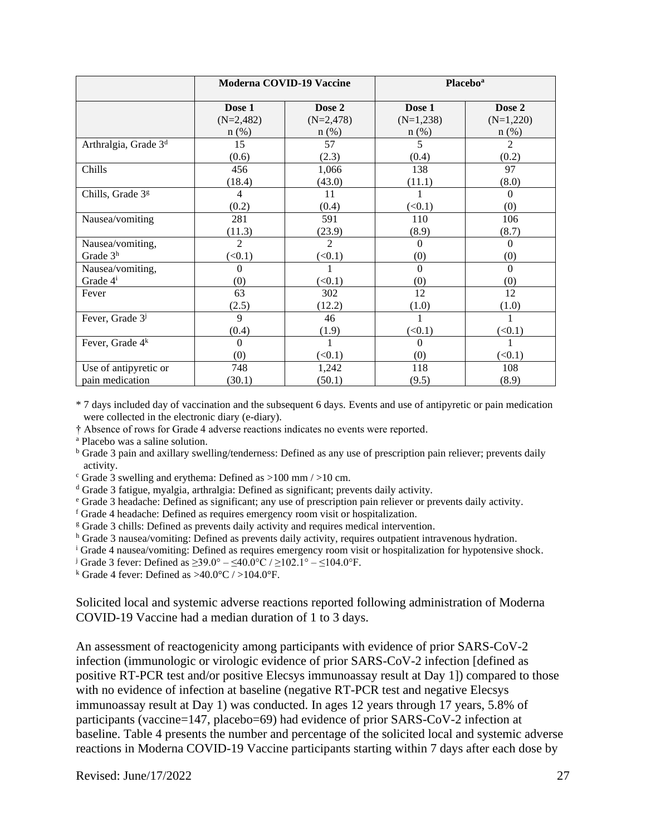|                                  | <b>Moderna COVID-19 Vaccine</b> |                | <b>Placebo</b> <sup>a</sup> |                |
|----------------------------------|---------------------------------|----------------|-----------------------------|----------------|
|                                  | Dose 1                          | Dose 2         | Dose 1                      | Dose 2         |
|                                  | $(N=2,482)$                     | $(N=2,478)$    | $(N=1,238)$                 | $(N=1,220)$    |
|                                  | $n$ (%)                         | $n$ (%)        | $n$ (%)                     | $n$ (%)        |
| Arthralgia, Grade 3 <sup>d</sup> | 15                              | 57             | 5                           | $\mathfrak{D}$ |
|                                  | (0.6)                           | (2.3)          | (0.4)                       | (0.2)          |
| Chills                           | 456                             | 1,066          | 138                         | 97             |
|                                  | (18.4)                          | (43.0)         | (11.1)                      | (8.0)          |
| Chills, Grade 3 <sup>g</sup>     | 4                               | 11             |                             | $\Omega$       |
|                                  | (0.2)                           | (0.4)          | (<0.1)                      | (0)            |
| Nausea/vomiting                  | 281                             | 591            | 110                         | 106            |
|                                  | (11.3)                          | (23.9)         | (8.9)                       | (8.7)          |
| Nausea/vomiting,                 | $\overline{c}$                  | $\overline{2}$ | 0                           | $\Omega$       |
| Grade $3h$                       | (<0.1)                          | (<0.1)         | (0)                         | (0)            |
| Nausea/vomiting,                 | 0                               |                | $\Omega$                    | $\Omega$       |
| Grade 4 <sup>i</sup>             | (0)                             | (<0.1)         | (0)                         | (0)            |
| Fever                            | 63                              | 302            | 12                          | 12             |
|                                  | (2.5)                           | (12.2)         | (1.0)                       | (1.0)          |
| Fever, Grade 3 <sup>j</sup>      | $\mathbf{Q}$                    | 46             |                             |                |
|                                  | (0.4)                           | (1.9)          | (<0.1)                      | (<0.1)         |
| Fever, Grade 4 <sup>k</sup>      | $\Omega$                        |                | 0                           |                |
|                                  | (0)                             | (<0.1)         | (0)                         | (<0.1)         |
| Use of antipyretic or            | 748                             | 1,242          | 118                         | 108            |
| pain medication                  | (30.1)                          | (50.1)         | (9.5)                       | (8.9)          |

\* 7 days included day of vaccination and the subsequent 6 days. Events and use of antipyretic or pain medication were collected in the electronic diary (e-diary).

† Absence of rows for Grade 4 adverse reactions indicates no events were reported.

<sup>a</sup> Placebo was a saline solution.

<sup>b</sup> Grade 3 pain and axillary swelling/tenderness: Defined as any use of prescription pain reliever; prevents daily activity.

- $\textdegree$  Grade 3 swelling and erythema: Defined as  $>100$  mm  $/>10$  cm.
- <sup>d</sup> Grade 3 fatigue, myalgia, arthralgia: Defined as significant; prevents daily activity.
- <sup>e</sup> Grade 3 headache: Defined as significant; any use of prescription pain reliever or prevents daily activity.
- <sup>f</sup> Grade 4 headache: Defined as requires emergency room visit or hospitalization.
- <sup>g</sup> Grade 3 chills: Defined as prevents daily activity and requires medical intervention.

<sup>h</sup> Grade 3 nausea/vomiting: Defined as prevents daily activity, requires outpatient intravenous hydration.

<sup>i</sup> Grade 4 nausea/vomiting: Defined as requires emergency room visit or hospitalization for hypotensive shock.

<sup>j</sup> Grade 3 fever: Defined as ≥39.0° – ≤40.0°C / ≥102.1° – ≤104.0°F.

<sup>k</sup> Grade 4 fever: Defined as  $>40.0^{\circ}$ C /  $>104.0^{\circ}$ F.

Solicited local and systemic adverse reactions reported following administration of Moderna COVID-19 Vaccine had a median duration of 1 to 3 days.

An assessment of reactogenicity among participants with evidence of prior SARS-CoV-2 infection (immunologic or virologic evidence of prior SARS-CoV-2 infection [defined as positive RT-PCR test and/or positive Elecsys immunoassay result at Day 1]) compared to those with no evidence of infection at baseline (negative RT-PCR test and negative Elecsys immunoassay result at Day 1) was conducted. In ages 12 years through 17 years, 5.8% of participants (vaccine=147, placebo=69) had evidence of prior SARS-CoV-2 infection at baseline. Table 4 presents the number and percentage of the solicited local and systemic adverse reactions in Moderna COVID-19 Vaccine participants starting within 7 days after each dose by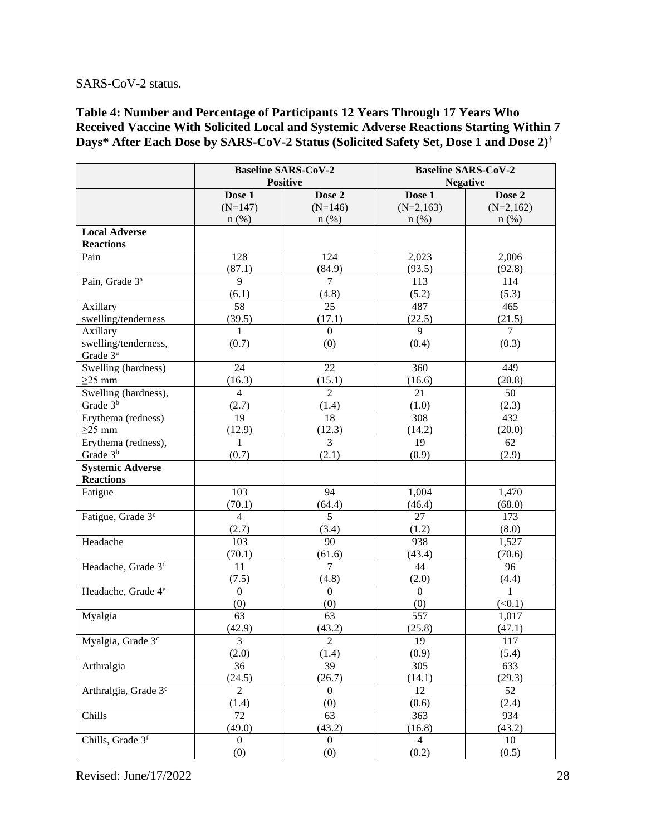#### SARS-CoV-2 status.

**Table 4: Number and Percentage of Participants 12 Years Through 17 Years Who Received Vaccine With Solicited Local and Systemic Adverse Reactions Starting Within 7 Days\* After Each Dose by SARS-CoV-2 Status (Solicited Safety Set, Dose 1 and Dose 2) †**

|                                  | <b>Baseline SARS-CoV-2</b> |                 | <b>Baseline SARS-CoV-2</b> |                 |  |
|----------------------------------|----------------------------|-----------------|----------------------------|-----------------|--|
|                                  |                            | <b>Positive</b> |                            | <b>Negative</b> |  |
|                                  | Dose 1                     | Dose 2          | Dose 1                     | Dose 2          |  |
|                                  | $(N=147)$                  | $(N=146)$       | $(N=2,163)$                | $(N=2,162)$     |  |
|                                  | $n$ (%)                    | $n$ (%)         | $n$ (%)                    | $n$ (%)         |  |
| <b>Local Adverse</b>             |                            |                 |                            |                 |  |
| <b>Reactions</b>                 |                            |                 |                            |                 |  |
| Pain                             | 128                        | 124             | 2,023                      | 2,006           |  |
|                                  | (87.1)                     | (84.9)          | (93.5)                     | (92.8)          |  |
| Pain, Grade 3 <sup>ª</sup>       | $\overline{9}$             | $\overline{7}$  | 113                        | 114             |  |
|                                  | (6.1)                      | (4.8)           | (5.2)                      | (5.3)           |  |
| Axillary                         | 58                         | 25              | 487                        | 465             |  |
| swelling/tenderness              | (39.5)                     | (17.1)          | (22.5)                     | (21.5)          |  |
| Axillary                         | $\mathbf{1}$               | $\overline{0}$  | 9                          | $\overline{7}$  |  |
| swelling/tenderness,             | (0.7)                      | (0)             | (0.4)                      | (0.3)           |  |
| Grade 3 <sup>a</sup>             |                            |                 |                            |                 |  |
| Swelling (hardness)              | 24                         | 22              | 360                        | 449             |  |
| $\geq$ 25 mm                     | (16.3)                     | (15.1)          | (16.6)                     | (20.8)          |  |
| Swelling (hardness),             | $\overline{4}$             | $\overline{2}$  | 21                         | 50              |  |
| Grade $3^{\overline{b}}$         | (2.7)                      | (1.4)           | (1.0)                      | (2.3)           |  |
| Erythema (redness)               | 19                         | 18              | 308                        | 432             |  |
| $\geq$ 25 mm                     | (12.9)                     | (12.3)          | (14.2)                     | (20.0)          |  |
| Erythema (redness),              | $\mathbf{1}$               | $\overline{3}$  | 19                         | 62              |  |
| Grade 3 <sup>b</sup>             | (0.7)                      | (2.1)           | (0.9)                      | (2.9)           |  |
| <b>Systemic Adverse</b>          |                            |                 |                            |                 |  |
| <b>Reactions</b>                 |                            |                 |                            |                 |  |
| Fatigue                          | 103                        | 94              | 1,004                      | 1,470           |  |
|                                  | (70.1)                     | (64.4)          | (46.4)                     | (68.0)          |  |
| Fatigue, Grade 3 <sup>c</sup>    | $\overline{4}$             | 5               | 27                         | 173             |  |
|                                  | (2.7)                      | (3.4)           | (1.2)                      | (8.0)           |  |
| Headache                         | 103                        | 90              | 938                        | 1,527           |  |
|                                  | (70.1)                     | (61.6)          | (43.4)                     | (70.6)          |  |
| Headache, Grade 3 <sup>d</sup>   | 11                         | $\overline{7}$  | 44                         | 96              |  |
|                                  | (7.5)                      | (4.8)           | (2.0)                      | (4.4)           |  |
| Headache, Grade 4 <sup>e</sup>   | $\boldsymbol{0}$           | $\mathbf{0}$    | $\overline{0}$             | $\mathbf{1}$    |  |
|                                  | (0)                        | (0)             | (0)                        | (<0.1)          |  |
| Myalgia                          | 63                         | 63              | 557                        | 1,017           |  |
|                                  | (42.9)                     | (43.2)          | (25.8)                     | (47.1)          |  |
| Myalgia, Grade 3 <sup>c</sup>    | 3                          | 2               | 19                         | 117             |  |
|                                  | (2.0)                      | (1.4)           | (0.9)                      | (5.4)           |  |
| Arthralgia                       | 36                         | 39              | 305                        | 633             |  |
|                                  | (24.5)                     | (26.7)          | (14.1)                     | (29.3)          |  |
| Arthralgia, Grade 3 <sup>c</sup> | $\overline{2}$             | $\mathbf{0}$    | 12                         | 52              |  |
|                                  | (1.4)                      | (0)             | (0.6)                      | (2.4)           |  |
| Chills                           | 72                         | 63              | 363                        | 934             |  |
|                                  | (49.0)                     | (43.2)          | (16.8)                     | (43.2)          |  |
| Chills, Grade 3f                 | $\overline{0}$             | $\overline{0}$  | $\overline{4}$             | 10              |  |
|                                  | (0)                        | (0)             | (0.2)                      | (0.5)           |  |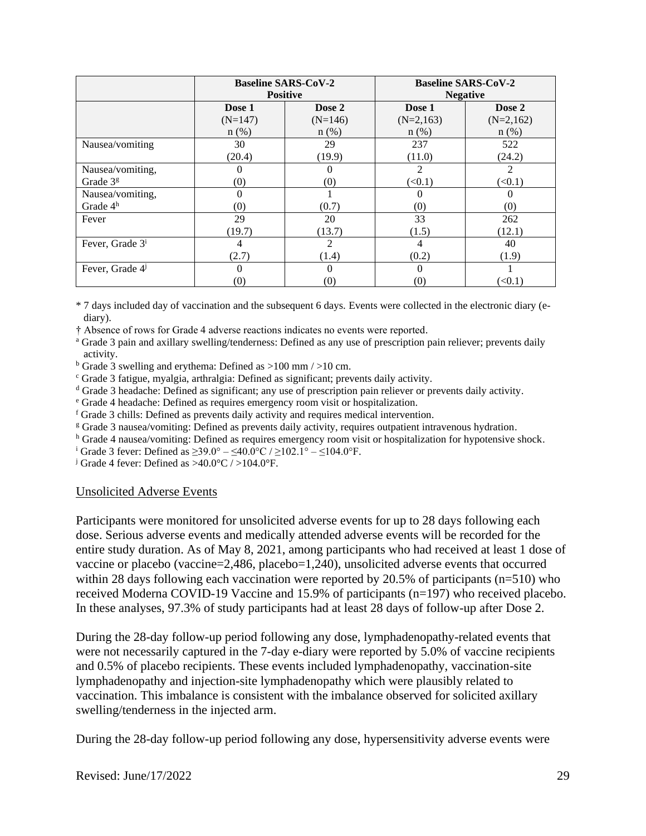|                             |           | <b>Baseline SARS-CoV-2</b> |                   | <b>Baseline SARS-CoV-2</b> |  |
|-----------------------------|-----------|----------------------------|-------------------|----------------------------|--|
|                             |           | <b>Positive</b>            | <b>Negative</b>   |                            |  |
|                             | Dose 1    | Dose 2                     | Dose 1            | Dose 2                     |  |
|                             | $(N=147)$ | $(N=146)$                  | $(N=2,163)$       | $(N=2,162)$                |  |
|                             | $n$ (%)   | $n$ (%)                    | $n$ (%)           | $n$ (%)                    |  |
| Nausea/vomiting             | 30        | 29                         | 237               | 522                        |  |
|                             | (20.4)    | (19.9)                     | (11.0)            | (24.2)                     |  |
| Nausea/vomiting,            |           |                            | 2                 | 2                          |  |
| Grade $3g$                  | (0)       | (0)                        | (<0.1)            | (<0.1)                     |  |
| Nausea/vomiting,            |           |                            |                   |                            |  |
| Grade $4h$                  | (0)       | (0.7)                      | $\left( 0\right)$ | (0)                        |  |
| Fever                       | 29        | 20                         | 33                | 262                        |  |
|                             | (19.7)    | (13.7)                     | (1.5)             | (12.1)                     |  |
| Fever, Grade 3 <sup>i</sup> | 4         | 2                          | 4                 | 40                         |  |
|                             | (2.7)     | (1.4)                      | (0.2)             | (1.9)                      |  |
| Fever, Grade 4              | 0         | 0                          | 0                 |                            |  |
|                             | (0)       | $\left( 0\right)$          | $\left( 0\right)$ | (< 0.1)                    |  |

\* 7 days included day of vaccination and the subsequent 6 days. Events were collected in the electronic diary (ediary).

† Absence of rows for Grade 4 adverse reactions indicates no events were reported.

<sup>a</sup> Grade 3 pain and axillary swelling/tenderness: Defined as any use of prescription pain reliever; prevents daily activity.

<sup>b</sup> Grade 3 swelling and erythema: Defined as >100 mm / >10 cm.

<sup>c</sup> Grade 3 fatigue, myalgia, arthralgia: Defined as significant; prevents daily activity.

<sup>d</sup> Grade 3 headache: Defined as significant; any use of prescription pain reliever or prevents daily activity.

<sup>e</sup> Grade 4 headache: Defined as requires emergency room visit or hospitalization.

 $f$  Grade 3 chills: Defined as prevents daily activity and requires medical intervention.

<sup>g</sup> Grade 3 nausea/vomiting: Defined as prevents daily activity, requires outpatient intravenous hydration.

<sup>h</sup> Grade 4 nausea/vomiting: Defined as requires emergency room visit or hospitalization for hypotensive shock.

<sup>i</sup> Grade 3 fever: Defined as  $\geq 39.0^{\circ} - \leq 40.0^{\circ}$ C /  $\geq 102.1^{\circ} - \leq 104.0^{\circ}$ F.

<sup>j</sup> Grade 4 fever: Defined as  $>40.0^{\circ}$ C /  $>104.0^{\circ}$ F.

#### Unsolicited Adverse Events

Participants were monitored for unsolicited adverse events for up to 28 days following each dose. Serious adverse events and medically attended adverse events will be recorded for the entire study duration. As of May 8, 2021, among participants who had received at least 1 dose of vaccine or placebo (vaccine=2,486, placebo=1,240), unsolicited adverse events that occurred within 28 days following each vaccination were reported by 20.5% of participants (n=510) who received Moderna COVID-19 Vaccine and 15.9% of participants (n=197) who received placebo. In these analyses, 97.3% of study participants had at least 28 days of follow-up after Dose 2.

During the 28-day follow-up period following any dose, lymphadenopathy-related events that were not necessarily captured in the 7-day e-diary were reported by 5.0% of vaccine recipients and 0.5% of placebo recipients. These events included lymphadenopathy, vaccination-site lymphadenopathy and injection-site lymphadenopathy which were plausibly related to vaccination. This imbalance is consistent with the imbalance observed for solicited axillary swelling/tenderness in the injected arm.

During the 28-day follow-up period following any dose, hypersensitivity adverse events were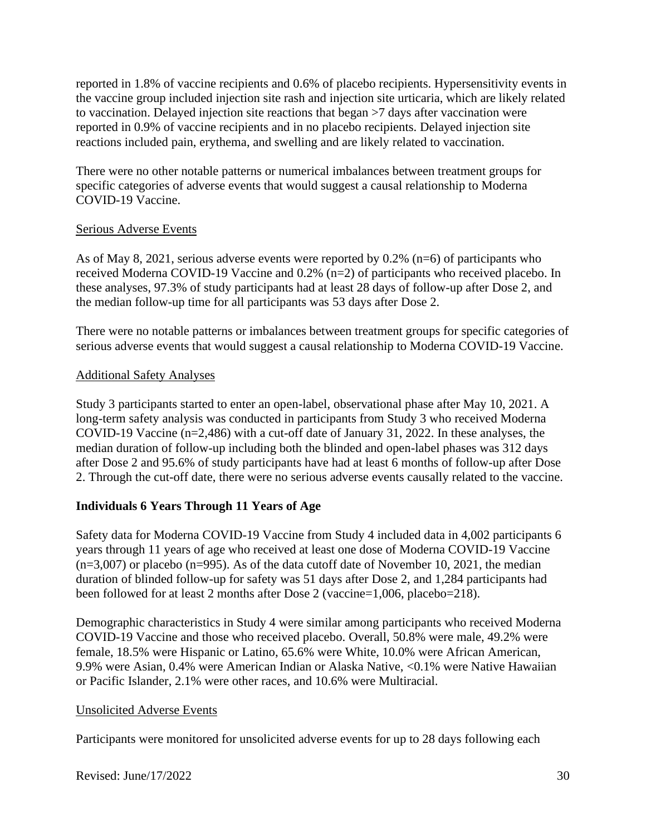reported in 1.8% of vaccine recipients and 0.6% of placebo recipients. Hypersensitivity events in the vaccine group included injection site rash and injection site urticaria, which are likely related to vaccination. Delayed injection site reactions that began >7 days after vaccination were reported in 0.9% of vaccine recipients and in no placebo recipients. Delayed injection site reactions included pain, erythema, and swelling and are likely related to vaccination.

There were no other notable patterns or numerical imbalances between treatment groups for specific categories of adverse events that would suggest a causal relationship to Moderna COVID-19 Vaccine.

### Serious Adverse Events

As of May 8, 2021, serious adverse events were reported by 0.2% (n=6) of participants who received Moderna COVID-19 Vaccine and 0.2% (n=2) of participants who received placebo. In these analyses, 97.3% of study participants had at least 28 days of follow-up after Dose 2, and the median follow-up time for all participants was 53 days after Dose 2.

There were no notable patterns or imbalances between treatment groups for specific categories of serious adverse events that would suggest a causal relationship to Moderna COVID-19 Vaccine.

### Additional Safety Analyses

Study 3 participants started to enter an open-label, observational phase after May 10, 2021. A long-term safety analysis was conducted in participants from Study 3 who received Moderna COVID-19 Vaccine (n=2,486) with a cut-off date of January 31, 2022. In these analyses, the median duration of follow-up including both the blinded and open-label phases was 312 days after Dose 2 and 95.6% of study participants have had at least 6 months of follow-up after Dose 2. Through the cut-off date, there were no serious adverse events causally related to the vaccine.

## **Individuals 6 Years Through 11 Years of Age**

Safety data for Moderna COVID-19 Vaccine from Study 4 included data in 4,002 participants 6 years through 11 years of age who received at least one dose of Moderna COVID-19 Vaccine  $(n=3,007)$  or placebo  $(n=995)$ . As of the data cutoff date of November 10, 2021, the median duration of blinded follow-up for safety was 51 days after Dose 2, and 1,284 participants had been followed for at least 2 months after Dose 2 (vaccine=1,006, placebo=218).

Demographic characteristics in Study 4 were similar among participants who received Moderna COVID-19 Vaccine and those who received placebo. Overall, 50.8% were male, 49.2% were female, 18.5% were Hispanic or Latino, 65.6% were White, 10.0% were African American, 9.9% were Asian, 0.4% were American Indian or Alaska Native, <0.1% were Native Hawaiian or Pacific Islander, 2.1% were other races, and 10.6% were Multiracial.

## Unsolicited Adverse Events

Participants were monitored for unsolicited adverse events for up to 28 days following each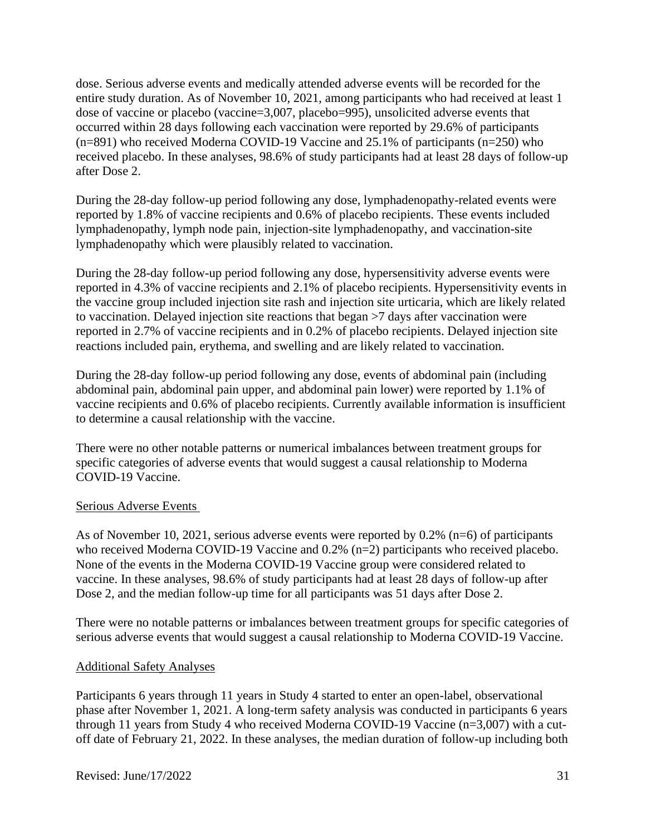dose. Serious adverse events and medically attended adverse events will be recorded for the entire study duration. As of November 10, 2021, among participants who had received at least 1 dose of vaccine or placebo (vaccine=3,007, placebo=995), unsolicited adverse events that occurred within 28 days following each vaccination were reported by 29.6% of participants (n=891) who received Moderna COVID-19 Vaccine and 25.1% of participants (n=250) who received placebo. In these analyses, 98.6% of study participants had at least 28 days of follow-up after Dose 2.

During the 28-day follow-up period following any dose, lymphadenopathy-related events were reported by 1.8% of vaccine recipients and 0.6% of placebo recipients. These events included lymphadenopathy, lymph node pain, injection-site lymphadenopathy, and vaccination-site lymphadenopathy which were plausibly related to vaccination.

During the 28-day follow-up period following any dose, hypersensitivity adverse events were reported in 4.3% of vaccine recipients and 2.1% of placebo recipients. Hypersensitivity events in the vaccine group included injection site rash and injection site urticaria, which are likely related to vaccination. Delayed injection site reactions that began >7 days after vaccination were reported in 2.7% of vaccine recipients and in 0.2% of placebo recipients. Delayed injection site reactions included pain, erythema, and swelling and are likely related to vaccination.

During the 28-day follow-up period following any dose, events of abdominal pain (including abdominal pain, abdominal pain upper, and abdominal pain lower) were reported by 1.1% of vaccine recipients and 0.6% of placebo recipients. Currently available information is insufficient to determine a causal relationship with the vaccine.

There were no other notable patterns or numerical imbalances between treatment groups for specific categories of adverse events that would suggest a causal relationship to Moderna COVID-19 Vaccine.

#### Serious Adverse Events

As of November 10, 2021, serious adverse events were reported by 0.2% (n=6) of participants who received Moderna COVID-19 Vaccine and 0.2% (n=2) participants who received placebo. None of the events in the Moderna COVID-19 Vaccine group were considered related to vaccine. In these analyses, 98.6% of study participants had at least 28 days of follow-up after Dose 2, and the median follow-up time for all participants was 51 days after Dose 2.

There were no notable patterns or imbalances between treatment groups for specific categories of serious adverse events that would suggest a causal relationship to Moderna COVID-19 Vaccine.

## Additional Safety Analyses

Participants 6 years through 11 years in Study 4 started to enter an open-label, observational phase after November 1, 2021. A long-term safety analysis was conducted in participants 6 years through 11 years from Study 4 who received Moderna COVID-19 Vaccine (n=3,007) with a cutoff date of February 21, 2022. In these analyses, the median duration of follow-up including both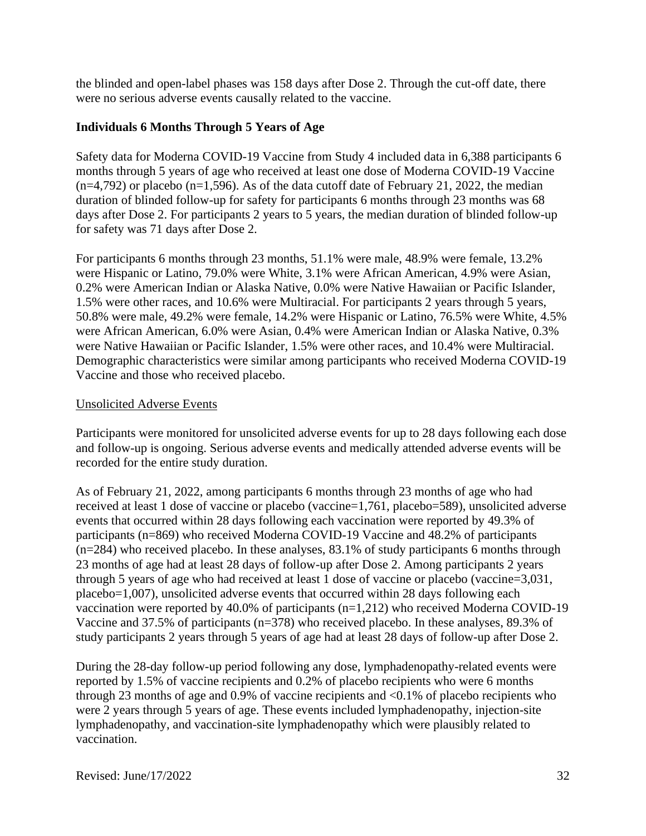the blinded and open-label phases was 158 days after Dose 2. Through the cut-off date, there were no serious adverse events causally related to the vaccine.

### **Individuals 6 Months Through 5 Years of Age**

Safety data for Moderna COVID-19 Vaccine from Study 4 included data in 6,388 participants 6 months through 5 years of age who received at least one dose of Moderna COVID-19 Vaccine  $(n=4,792)$  or placebo  $(n=1,596)$ . As of the data cutoff date of February 21, 2022, the median duration of blinded follow-up for safety for participants 6 months through 23 months was 68 days after Dose 2. For participants 2 years to 5 years, the median duration of blinded follow-up for safety was 71 days after Dose 2.

For participants 6 months through 23 months, 51.1% were male, 48.9% were female, 13.2% were Hispanic or Latino, 79.0% were White, 3.1% were African American, 4.9% were Asian, 0.2% were American Indian or Alaska Native, 0.0% were Native Hawaiian or Pacific Islander, 1.5% were other races, and 10.6% were Multiracial. For participants 2 years through 5 years, 50.8% were male, 49.2% were female, 14.2% were Hispanic or Latino, 76.5% were White, 4.5% were African American, 6.0% were Asian, 0.4% were American Indian or Alaska Native, 0.3% were Native Hawaiian or Pacific Islander, 1.5% were other races, and 10.4% were Multiracial. Demographic characteristics were similar among participants who received Moderna COVID-19 Vaccine and those who received placebo.

#### Unsolicited Adverse Events

Participants were monitored for unsolicited adverse events for up to 28 days following each dose and follow-up is ongoing. Serious adverse events and medically attended adverse events will be recorded for the entire study duration.

As of February 21, 2022, among participants 6 months through 23 months of age who had received at least 1 dose of vaccine or placebo (vaccine=1,761, placebo=589), unsolicited adverse events that occurred within 28 days following each vaccination were reported by 49.3% of participants (n=869) who received Moderna COVID-19 Vaccine and 48.2% of participants (n=284) who received placebo. In these analyses, 83.1% of study participants 6 months through 23 months of age had at least 28 days of follow-up after Dose 2. Among participants 2 years through 5 years of age who had received at least 1 dose of vaccine or placebo (vaccine=3,031, placebo=1,007), unsolicited adverse events that occurred within 28 days following each vaccination were reported by 40.0% of participants (n=1,212) who received Moderna COVID-19 Vaccine and 37.5% of participants (n=378) who received placebo. In these analyses, 89.3% of study participants 2 years through 5 years of age had at least 28 days of follow-up after Dose 2.

During the 28-day follow-up period following any dose, lymphadenopathy-related events were reported by 1.5% of vaccine recipients and 0.2% of placebo recipients who were 6 months through 23 months of age and 0.9% of vaccine recipients and  $\langle 0.1\%$  of placebo recipients who were 2 years through 5 years of age. These events included lymphadenopathy, injection-site lymphadenopathy, and vaccination-site lymphadenopathy which were plausibly related to vaccination.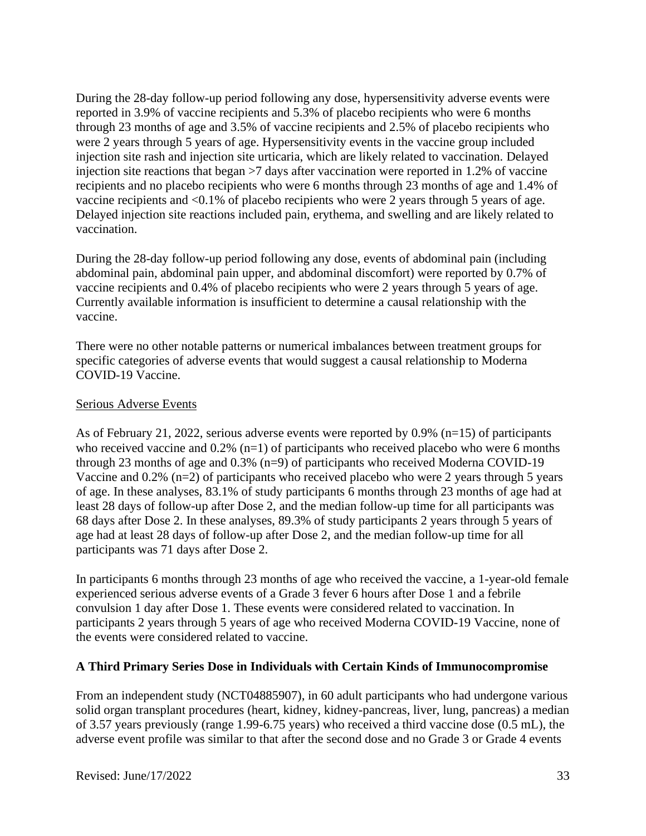During the 28-day follow-up period following any dose, hypersensitivity adverse events were reported in 3.9% of vaccine recipients and 5.3% of placebo recipients who were 6 months through 23 months of age and 3.5% of vaccine recipients and 2.5% of placebo recipients who were 2 years through 5 years of age. Hypersensitivity events in the vaccine group included injection site rash and injection site urticaria, which are likely related to vaccination. Delayed injection site reactions that began >7 days after vaccination were reported in 1.2% of vaccine recipients and no placebo recipients who were 6 months through 23 months of age and 1.4% of vaccine recipients and <0.1% of placebo recipients who were 2 years through 5 years of age. Delayed injection site reactions included pain, erythema, and swelling and are likely related to vaccination.

During the 28-day follow-up period following any dose, events of abdominal pain (including abdominal pain, abdominal pain upper, and abdominal discomfort) were reported by 0.7% of vaccine recipients and 0.4% of placebo recipients who were 2 years through 5 years of age. Currently available information is insufficient to determine a causal relationship with the vaccine.

There were no other notable patterns or numerical imbalances between treatment groups for specific categories of adverse events that would suggest a causal relationship to Moderna COVID-19 Vaccine.

### Serious Adverse Events

As of February 21, 2022, serious adverse events were reported by 0.9% (n=15) of participants who received vaccine and  $0.2\%$  (n=1) of participants who received placebo who were 6 months through 23 months of age and 0.3% (n=9) of participants who received Moderna COVID-19 Vaccine and 0.2% (n=2) of participants who received placebo who were 2 years through 5 years of age. In these analyses, 83.1% of study participants 6 months through 23 months of age had at least 28 days of follow-up after Dose 2, and the median follow-up time for all participants was 68 days after Dose 2. In these analyses, 89.3% of study participants 2 years through 5 years of age had at least 28 days of follow-up after Dose 2, and the median follow-up time for all participants was 71 days after Dose 2.

In participants 6 months through 23 months of age who received the vaccine, a 1-year-old female experienced serious adverse events of a Grade 3 fever 6 hours after Dose 1 and a febrile convulsion 1 day after Dose 1. These events were considered related to vaccination. In participants 2 years through 5 years of age who received Moderna COVID-19 Vaccine, none of the events were considered related to vaccine.

## **A Third Primary Series Dose in Individuals with Certain Kinds of Immunocompromise**

From an independent study (NCT04885907), in 60 adult participants who had undergone various solid organ transplant procedures (heart, kidney, kidney-pancreas, liver, lung, pancreas) a median of 3.57 years previously (range 1.99-6.75 years) who received a third vaccine dose (0.5 mL), the adverse event profile was similar to that after the second dose and no Grade 3 or Grade 4 events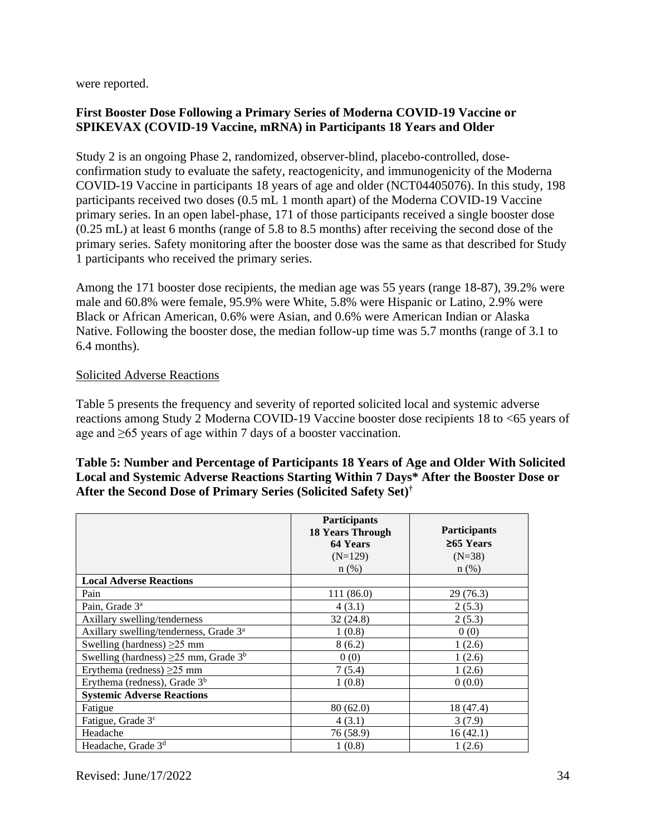were reported.

## **First Booster Dose Following a Primary Series of Moderna COVID-19 Vaccine or SPIKEVAX (COVID-19 Vaccine, mRNA) in Participants 18 Years and Older**

Study 2 is an ongoing Phase 2, randomized, observer-blind, placebo-controlled, doseconfirmation study to evaluate the safety, reactogenicity, and immunogenicity of the Moderna COVID-19 Vaccine in participants 18 years of age and older (NCT04405076). In this study, 198 participants received two doses (0.5 mL 1 month apart) of the Moderna COVID-19 Vaccine primary series. In an open label-phase, 171 of those participants received a single booster dose (0.25 mL) at least 6 months (range of 5.8 to 8.5 months) after receiving the second dose of the primary series. Safety monitoring after the booster dose was the same as that described for Study 1 participants who received the primary series.

Among the 171 booster dose recipients, the median age was 55 years (range 18-87), 39.2% were male and 60.8% were female, 95.9% were White, 5.8% were Hispanic or Latino, 2.9% were Black or African American, 0.6% were Asian, and 0.6% were American Indian or Alaska Native. Following the booster dose, the median follow-up time was 5.7 months (range of 3.1 to 6.4 months).

### Solicited Adverse Reactions

Table 5 presents the frequency and severity of reported solicited local and systemic adverse reactions among Study 2 Moderna COVID-19 Vaccine booster dose recipients 18 to <65 years of age and ≥65 years of age within 7 days of a booster vaccination.

### **Table 5: Number and Percentage of Participants 18 Years of Age and Older With Solicited Local and Systemic Adverse Reactions Starting Within 7 Days\* After the Booster Dose or After the Second Dose of Primary Series (Solicited Safety Set)†**

|                                                        | <b>Participants</b><br><b>18 Years Through</b><br>64 Years<br>$(N=129)$<br>n(%) | <b>Participants</b><br>$≥65$ Years<br>$(N=38)$<br>$n$ (%) |
|--------------------------------------------------------|---------------------------------------------------------------------------------|-----------------------------------------------------------|
| <b>Local Adverse Reactions</b>                         |                                                                                 |                                                           |
| Pain                                                   | 111 (86.0)                                                                      | 29 (76.3)                                                 |
| Pain, Grade 3 <sup>a</sup>                             | 4(3.1)                                                                          | 2(5.3)                                                    |
| Axillary swelling/tenderness                           | 32(24.8)                                                                        | 2(5.3)                                                    |
| Axillary swelling/tenderness, Grade 3 <sup>a</sup>     | 1(0.8)                                                                          | 0(0)                                                      |
| Swelling (hardness) $\geq$ 25 mm                       | 8(6.2)                                                                          | 1(2.6)                                                    |
| Swelling (hardness) $\geq$ 25 mm, Grade 3 <sup>b</sup> | 0(0)                                                                            | 1(2.6)                                                    |
| Erythema (redness) $\geq$ 25 mm                        | 7(5.4)                                                                          | 1(2.6)                                                    |
| Erythema (redness), Grade $3b$                         | 1(0.8)                                                                          | 0(0.0)                                                    |
| <b>Systemic Adverse Reactions</b>                      |                                                                                 |                                                           |
| Fatigue                                                | 80(62.0)                                                                        | 18 (47.4)                                                 |
| Fatigue, Grade 3 <sup>c</sup>                          | 4(3.1)                                                                          | 3(7.9)                                                    |
| Headache                                               | 76 (58.9)                                                                       | 16(42.1)                                                  |
| Headache, Grade 3 <sup>d</sup>                         | 1(0.8)                                                                          | 1(2.6)                                                    |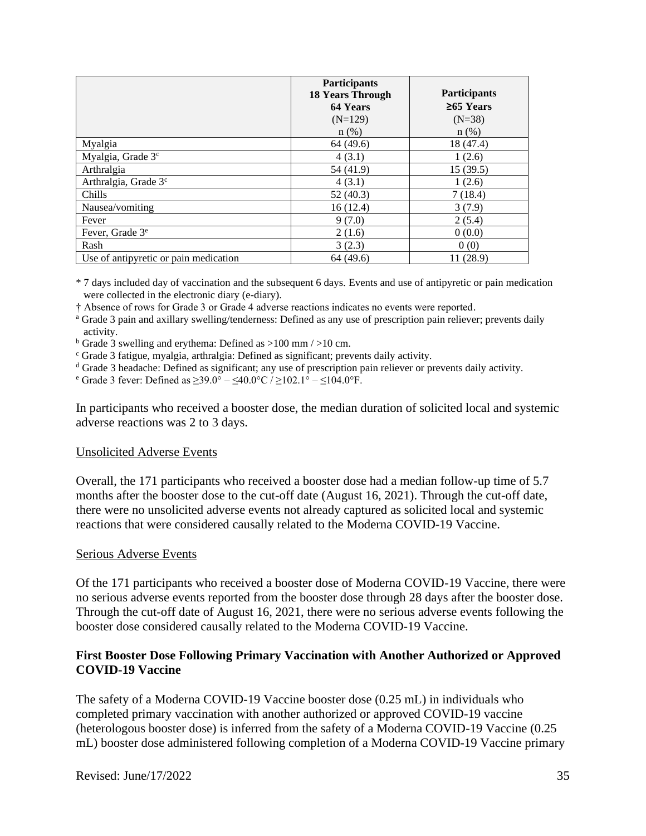|                                       | <b>Participants</b><br><b>18 Years Through</b> | <b>Participants</b> |
|---------------------------------------|------------------------------------------------|---------------------|
|                                       | 64 Years                                       | $\geq 65$ Years     |
|                                       | $(N=129)$                                      | $(N=38)$            |
|                                       | $n(\%)$                                        | $n$ (%)             |
| Myalgia                               | 64 (49.6)                                      | 18 (47.4)           |
| Myalgia, Grade 3 <sup>c</sup>         | 4(3.1)                                         | 1(2.6)              |
| Arthralgia                            | 54 (41.9)                                      | 15(39.5)            |
| Arthralgia, Grade 3 <sup>c</sup>      | 4(3.1)                                         | 1(2.6)              |
| Chills                                | 52(40.3)                                       | 7(18.4)             |
| Nausea/vomiting                       | 16(12.4)                                       | 3(7.9)              |
| Fever                                 | 9(7.0)                                         | 2(5.4)              |
| Fever, Grade 3 <sup>e</sup>           | 2(1.6)                                         | 0(0.0)              |
| Rash                                  | 3(2.3)                                         | 0(0)                |
| Use of antipyretic or pain medication | 64 (49.6)                                      | 11 (28.9)           |

\* 7 days included day of vaccination and the subsequent 6 days. Events and use of antipyretic or pain medication were collected in the electronic diary (e-diary).

† Absence of rows for Grade 3 or Grade 4 adverse reactions indicates no events were reported.

<sup>a</sup> Grade 3 pain and axillary swelling/tenderness: Defined as any use of prescription pain reliever; prevents daily activity.

 $b$  Grade 3 swelling and erythema: Defined as  $>100$  mm  $/>10$  cm.

<sup>c</sup> Grade 3 fatigue, myalgia, arthralgia: Defined as significant; prevents daily activity.

<sup>d</sup> Grade 3 headache: Defined as significant; any use of prescription pain reliever or prevents daily activity.

<sup>e</sup> Grade 3 fever: Defined as ≥39.0° – ≤40.0°C / ≥102.1° – ≤104.0°F.

In participants who received a booster dose, the median duration of solicited local and systemic adverse reactions was 2 to 3 days.

#### Unsolicited Adverse Events

Overall, the 171 participants who received a booster dose had a median follow-up time of 5.7 months after the booster dose to the cut-off date (August 16, 2021). Through the cut-off date, there were no unsolicited adverse events not already captured as solicited local and systemic reactions that were considered causally related to the Moderna COVID-19 Vaccine.

#### Serious Adverse Events

Of the 171 participants who received a booster dose of Moderna COVID-19 Vaccine, there were no serious adverse events reported from the booster dose through 28 days after the booster dose. Through the cut-off date of August 16, 2021, there were no serious adverse events following the booster dose considered causally related to the Moderna COVID-19 Vaccine.

### **First Booster Dose Following Primary Vaccination with Another Authorized or Approved COVID-19 Vaccine**

The safety of a Moderna COVID-19 Vaccine booster dose (0.25 mL) in individuals who completed primary vaccination with another authorized or approved COVID-19 vaccine (heterologous booster dose) is inferred from the safety of a Moderna COVID-19 Vaccine (0.25 mL) booster dose administered following completion of a Moderna COVID-19 Vaccine primary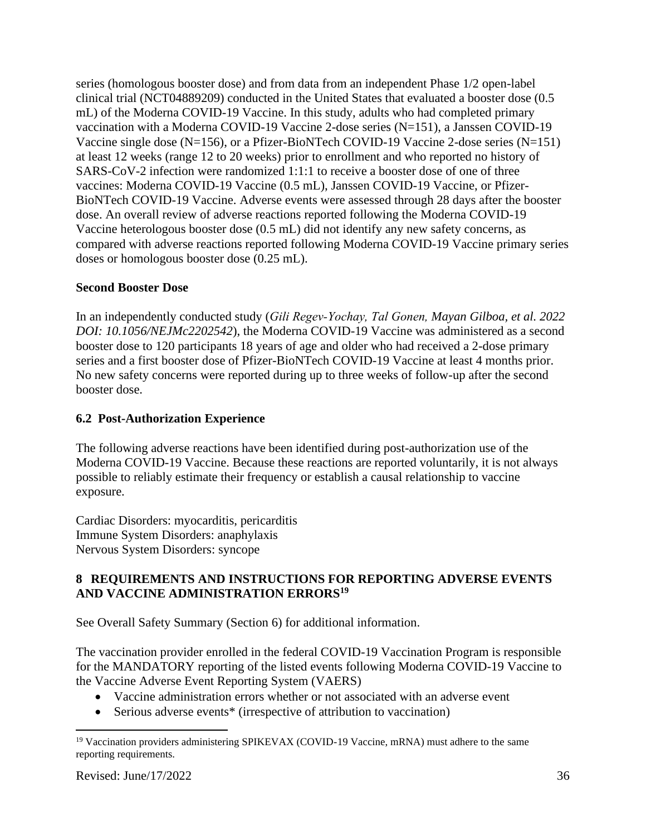series (homologous booster dose) and from data from an independent Phase 1/2 open-label clinical trial (NCT04889209) conducted in the United States that evaluated a booster dose (0.5 mL) of the Moderna COVID-19 Vaccine. In this study, adults who had completed primary vaccination with a Moderna COVID-19 Vaccine 2-dose series (N=151), a Janssen COVID-19 Vaccine single dose (N=156), or a Pfizer-BioNTech COVID-19 Vaccine 2-dose series (N=151) at least 12 weeks (range 12 to 20 weeks) prior to enrollment and who reported no history of SARS-CoV-2 infection were randomized 1:1:1 to receive a booster dose of one of three vaccines: Moderna COVID-19 Vaccine (0.5 mL), Janssen COVID-19 Vaccine, or Pfizer-BioNTech COVID-19 Vaccine. Adverse events were assessed through 28 days after the booster dose. An overall review of adverse reactions reported following the Moderna COVID-19 Vaccine heterologous booster dose (0.5 mL) did not identify any new safety concerns, as compared with adverse reactions reported following Moderna COVID-19 Vaccine primary series doses or homologous booster dose (0.25 mL).

## **Second Booster Dose**

In an independently conducted study (*Gili Regev‑Yochay, Tal Gonen, Mayan Gilboa, et al. 2022 DOI: 10.1056/NEJMc2202542*), the Moderna COVID-19 Vaccine was administered as a second booster dose to 120 participants 18 years of age and older who had received a 2-dose primary series and a first booster dose of Pfizer-BioNTech COVID-19 Vaccine at least 4 months prior. No new safety concerns were reported during up to three weeks of follow-up after the second booster dose.

# **6.2 Post-Authorization Experience**

The following adverse reactions have been identified during post-authorization use of the Moderna COVID-19 Vaccine. Because these reactions are reported voluntarily, it is not always possible to reliably estimate their frequency or establish a causal relationship to vaccine exposure.

Cardiac Disorders: myocarditis, pericarditis Immune System Disorders: anaphylaxis Nervous System Disorders: syncope

## **8 REQUIREMENTS AND INSTRUCTIONS FOR REPORTING ADVERSE EVENTS AND VACCINE ADMINISTRATION ERRORS<sup>19</sup>**

See Overall Safety Summary (Section 6) for additional information.

The vaccination provider enrolled in the federal COVID-19 Vaccination Program is responsible for the MANDATORY reporting of the listed events following Moderna COVID-19 Vaccine to the Vaccine Adverse Event Reporting System (VAERS)

- Vaccine administration errors whether or not associated with an adverse event
- Serious adverse events\* (irrespective of attribution to vaccination)

<sup>&</sup>lt;sup>19</sup> Vaccination providers administering SPIKEVAX (COVID-19 Vaccine, mRNA) must adhere to the same reporting requirements.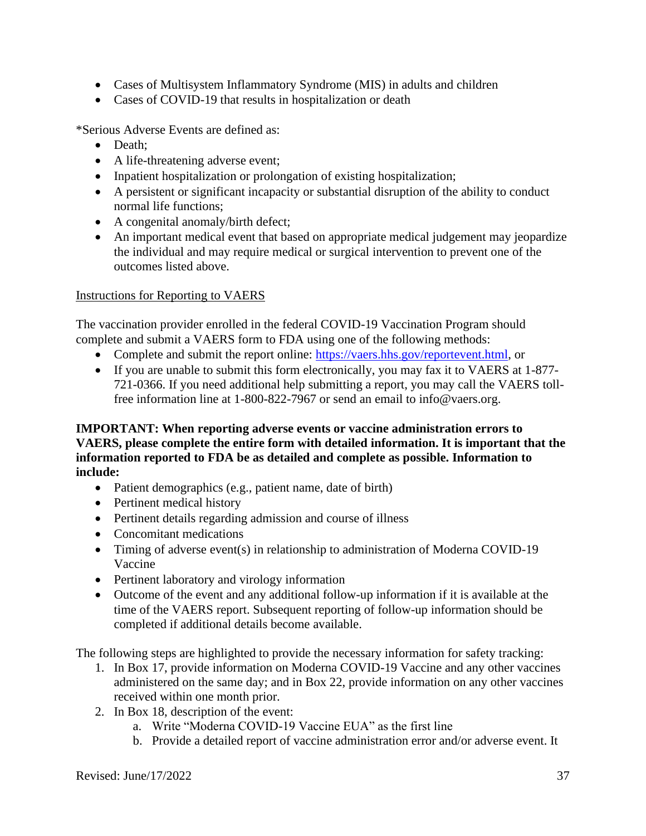- Cases of Multisystem Inflammatory Syndrome (MIS) in adults and children
- Cases of COVID-19 that results in hospitalization or death

\*Serious Adverse Events are defined as:

- Death:
- A life-threatening adverse event;
- Inpatient hospitalization or prolongation of existing hospitalization;
- A persistent or significant incapacity or substantial disruption of the ability to conduct normal life functions;
- A congenital anomaly/birth defect;
- An important medical event that based on appropriate medical judgement may jeopardize the individual and may require medical or surgical intervention to prevent one of the outcomes listed above.

## Instructions for Reporting to VAERS

The vaccination provider enrolled in the federal COVID-19 Vaccination Program should complete and submit a VAERS form to FDA using one of the following methods:

- Complete and submit the report online: https://vaers.hhs.gov/reportevent.html, or
- If you are unable to submit this form electronically, you may fax it to VAERS at 1-877- 721-0366. If you need additional help submitting a report, you may call the VAERS tollfree information line at 1-800-822-7967 or send an email to info@vaers.org.

### **IMPORTANT: When reporting adverse events or vaccine administration errors to VAERS, please complete the entire form with detailed information. It is important that the information reported to FDA be as detailed and complete as possible. Information to include:**

- Patient demographics (e.g., patient name, date of birth)
- Pertinent medical history
- Pertinent details regarding admission and course of illness
- Concomitant medications
- Timing of adverse event(s) in relationship to administration of Moderna COVID-19 Vaccine
- Pertinent laboratory and virology information
- Outcome of the event and any additional follow-up information if it is available at the time of the VAERS report. Subsequent reporting of follow-up information should be completed if additional details become available.

The following steps are highlighted to provide the necessary information for safety tracking:

- 1. In Box 17, provide information on Moderna COVID-19 Vaccine and any other vaccines administered on the same day; and in Box 22, provide information on any other vaccines received within one month prior.
- 2. In Box 18, description of the event:
	- a. Write "Moderna COVID-19 Vaccine EUA" as the first line
	- b. Provide a detailed report of vaccine administration error and/or adverse event. It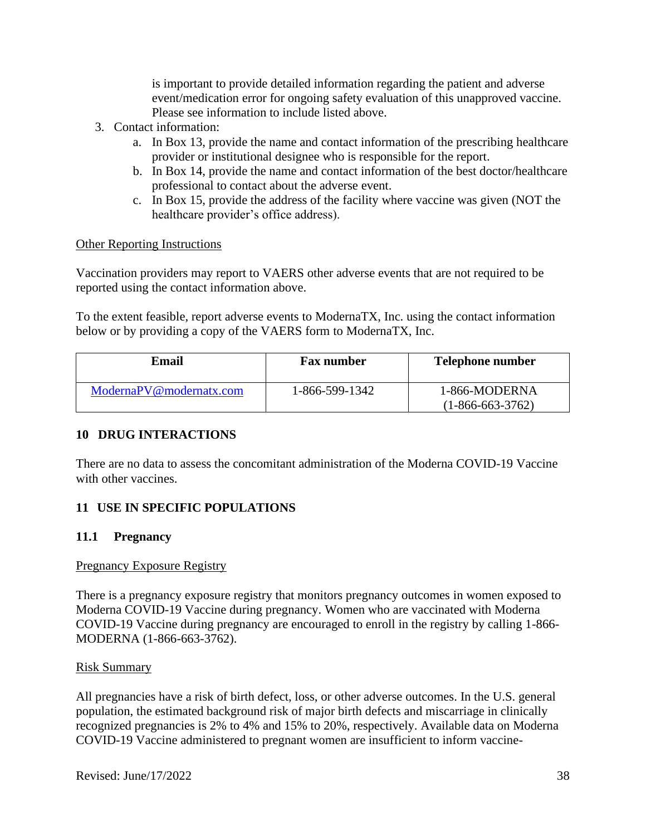is important to provide detailed information regarding the patient and adverse event/medication error for ongoing safety evaluation of this unapproved vaccine. Please see information to include listed above.

- 3. Contact information:
	- a. In Box 13, provide the name and contact information of the prescribing healthcare provider or institutional designee who is responsible for the report.
	- b. In Box 14, provide the name and contact information of the best doctor/healthcare professional to contact about the adverse event.
	- c. In Box 15, provide the address of the facility where vaccine was given (NOT the healthcare provider's office address).

#### Other Reporting Instructions

Vaccination providers may report to VAERS other adverse events that are not required to be reported using the contact information above.

To the extent feasible, report adverse events to ModernaTX, Inc. using the contact information below or by providing a copy of the VAERS form to ModernaTX, Inc.

| <b>Email</b>            | <b>Fax number</b> | <b>Telephone number</b>             |
|-------------------------|-------------------|-------------------------------------|
| ModernaPV@modernatx.com | 1-866-599-1342    | 1-866-MODERNA<br>$(1-866-663-3762)$ |

#### **10 DRUG INTERACTIONS**

There are no data to assess the concomitant administration of the Moderna COVID-19 Vaccine with other vaccines.

## **11 USE IN SPECIFIC POPULATIONS**

#### **11.1 Pregnancy**

#### Pregnancy Exposure Registry

There is a pregnancy exposure registry that monitors pregnancy outcomes in women exposed to Moderna COVID-19 Vaccine during pregnancy. Women who are vaccinated with Moderna COVID-19 Vaccine during pregnancy are encouraged to enroll in the registry by calling 1-866- MODERNA (1-866-663-3762).

#### Risk Summary

All pregnancies have a risk of birth defect, loss, or other adverse outcomes. In the U.S. general population, the estimated background risk of major birth defects and miscarriage in clinically recognized pregnancies is 2% to 4% and 15% to 20%, respectively. Available data on Moderna COVID-19 Vaccine administered to pregnant women are insufficient to inform vaccine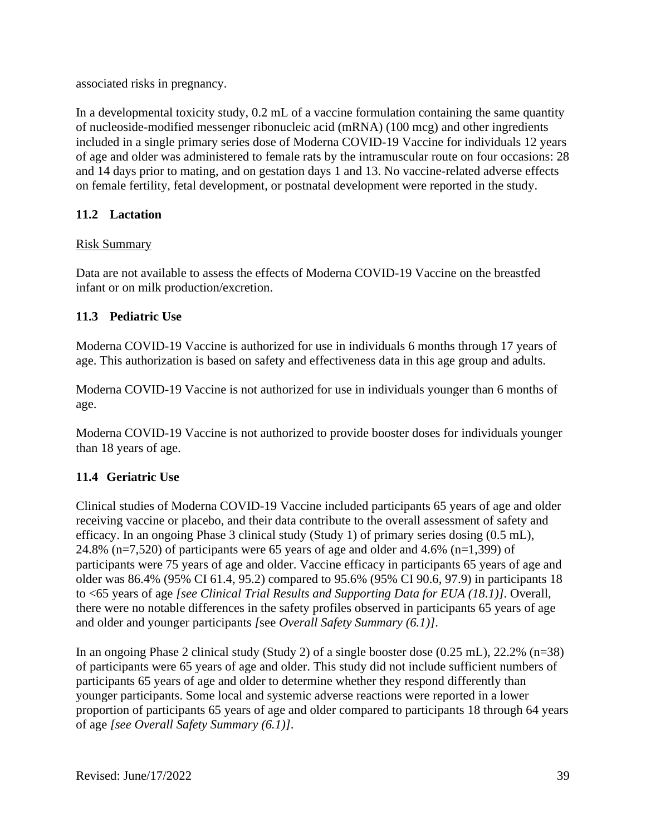associated risks in pregnancy.

In a developmental toxicity study, 0.2 mL of a vaccine formulation containing the same quantity of nucleoside-modified messenger ribonucleic acid (mRNA) (100 mcg) and other ingredients included in a single primary series dose of Moderna COVID-19 Vaccine for individuals 12 years of age and older was administered to female rats by the intramuscular route on four occasions: 28 and 14 days prior to mating, and on gestation days 1 and 13. No vaccine-related adverse effects on female fertility, fetal development, or postnatal development were reported in the study.

# **11.2 Lactation**

# Risk Summary

Data are not available to assess the effects of Moderna COVID-19 Vaccine on the breastfed infant or on milk production/excretion.

# **11.3 Pediatric Use**

Moderna COVID-19 Vaccine is authorized for use in individuals 6 months through 17 years of age. This authorization is based on safety and effectiveness data in this age group and adults.

Moderna COVID-19 Vaccine is not authorized for use in individuals younger than 6 months of age.

Moderna COVID-19 Vaccine is not authorized to provide booster doses for individuals younger than 18 years of age.

# **11.4 Geriatric Use**

Clinical studies of Moderna COVID-19 Vaccine included participants 65 years of age and older receiving vaccine or placebo, and their data contribute to the overall assessment of safety and efficacy. In an ongoing Phase 3 clinical study (Study 1) of primary series dosing (0.5 mL), 24.8% (n=7,520) of participants were 65 years of age and older and 4.6% (n=1,399) of participants were 75 years of age and older. Vaccine efficacy in participants 65 years of age and older was 86.4% (95% CI 61.4, 95.2) compared to 95.6% (95% CI 90.6, 97.9) in participants 18 to <65 years of age *[see Clinical Trial Results and Supporting Data for EUA (18.1)]*. Overall, there were no notable differences in the safety profiles observed in participants 65 years of age and older and younger participants *[*see *Overall Safety Summary (6.1)]*.

In an ongoing Phase 2 clinical study (Study 2) of a single booster dose (0.25 mL), 22.2% (n=38) of participants were 65 years of age and older. This study did not include sufficient numbers of participants 65 years of age and older to determine whether they respond differently than younger participants. Some local and systemic adverse reactions were reported in a lower proportion of participants 65 years of age and older compared to participants 18 through 64 years of age *[see Overall Safety Summary (6.1)]*.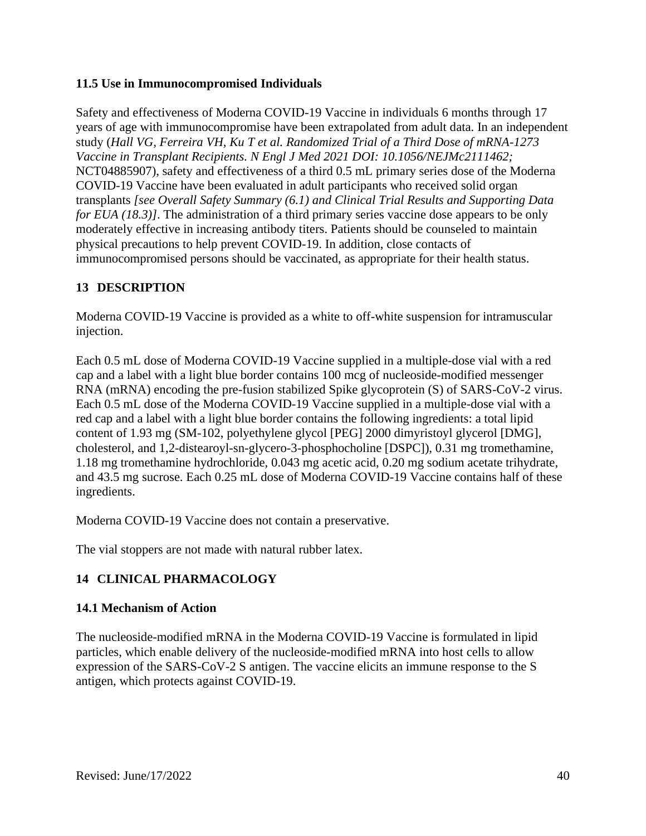## **11.5 Use in Immunocompromised Individuals**

Safety and effectiveness of Moderna COVID-19 Vaccine in individuals 6 months through 17 years of age with immunocompromise have been extrapolated from adult data. In an independent study (*Hall VG, Ferreira VH, Ku T et al. Randomized Trial of a Third Dose of mRNA-1273 Vaccine in Transplant Recipients. N Engl J Med 2021 DOI: 10.1056/NEJMc2111462;*  NCT04885907), safety and effectiveness of a third 0.5 mL primary series dose of the Moderna COVID-19 Vaccine have been evaluated in adult participants who received solid organ transplants *[see Overall Safety Summary (6.1) and Clinical Trial Results and Supporting Data for EUA (18.3)]*. The administration of a third primary series vaccine dose appears to be only moderately effective in increasing antibody titers. Patients should be counseled to maintain physical precautions to help prevent COVID-19. In addition, close contacts of immunocompromised persons should be vaccinated, as appropriate for their health status.

## **13 DESCRIPTION**

Moderna COVID-19 Vaccine is provided as a white to off-white suspension for intramuscular injection.

Each 0.5 mL dose of Moderna COVID-19 Vaccine supplied in a multiple-dose vial with a red cap and a label with a light blue border contains 100 mcg of nucleoside-modified messenger RNA (mRNA) encoding the pre-fusion stabilized Spike glycoprotein (S) of SARS-CoV-2 virus. Each 0.5 mL dose of the Moderna COVID-19 Vaccine supplied in a multiple-dose vial with a red cap and a label with a light blue border contains the following ingredients: a total lipid content of 1.93 mg (SM-102, polyethylene glycol [PEG] 2000 dimyristoyl glycerol [DMG], cholesterol, and 1,2-distearoyl-sn-glycero-3-phosphocholine [DSPC]), 0.31 mg tromethamine, 1.18 mg tromethamine hydrochloride, 0.043 mg acetic acid, 0.20 mg sodium acetate trihydrate, and 43.5 mg sucrose. Each 0.25 mL dose of Moderna COVID-19 Vaccine contains half of these ingredients.

Moderna COVID-19 Vaccine does not contain a preservative.

The vial stoppers are not made with natural rubber latex.

# **14 CLINICAL PHARMACOLOGY**

#### **14.1 Mechanism of Action**

The nucleoside-modified mRNA in the Moderna COVID-19 Vaccine is formulated in lipid particles, which enable delivery of the nucleoside-modified mRNA into host cells to allow expression of the SARS-CoV-2 S antigen. The vaccine elicits an immune response to the S antigen, which protects against COVID-19.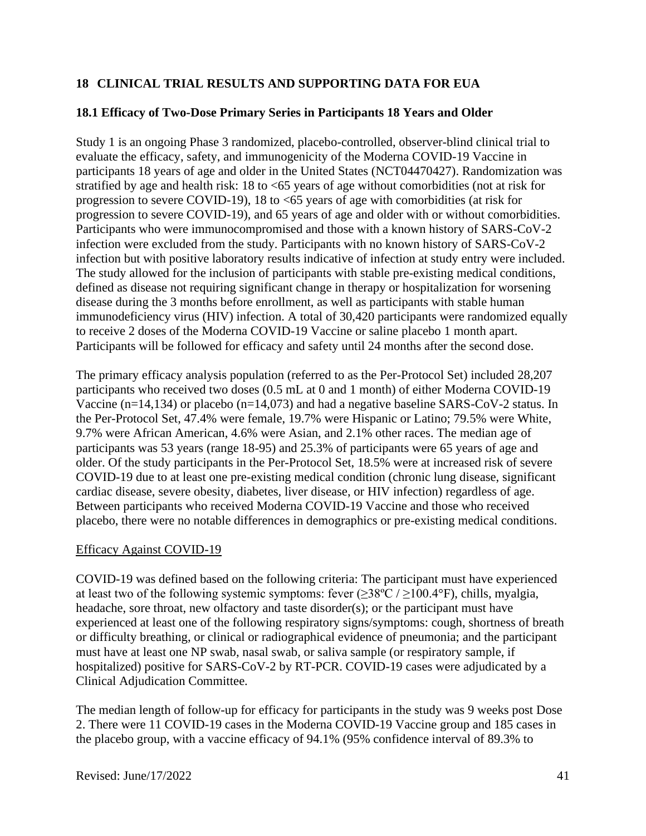# **18 CLINICAL TRIAL RESULTS AND SUPPORTING DATA FOR EUA**

## **18.1 Efficacy of Two-Dose Primary Series in Participants 18 Years and Older**

Study 1 is an ongoing Phase 3 randomized, placebo-controlled, observer-blind clinical trial to evaluate the efficacy, safety, and immunogenicity of the Moderna COVID-19 Vaccine in participants 18 years of age and older in the United States (NCT04470427). Randomization was stratified by age and health risk: 18 to <65 years of age without comorbidities (not at risk for progression to severe COVID-19), 18 to <65 years of age with comorbidities (at risk for progression to severe COVID-19), and 65 years of age and older with or without comorbidities. Participants who were immunocompromised and those with a known history of SARS-CoV-2 infection were excluded from the study. Participants with no known history of SARS-CoV-2 infection but with positive laboratory results indicative of infection at study entry were included. The study allowed for the inclusion of participants with stable pre-existing medical conditions, defined as disease not requiring significant change in therapy or hospitalization for worsening disease during the 3 months before enrollment, as well as participants with stable human immunodeficiency virus (HIV) infection. A total of 30,420 participants were randomized equally to receive 2 doses of the Moderna COVID-19 Vaccine or saline placebo 1 month apart. Participants will be followed for efficacy and safety until 24 months after the second dose.

The primary efficacy analysis population (referred to as the Per-Protocol Set) included 28,207 participants who received two doses (0.5 mL at 0 and 1 month) of either Moderna COVID-19 Vaccine (n=14,134) or placebo (n=14,073) and had a negative baseline SARS-CoV-2 status. In the Per-Protocol Set, 47.4% were female, 19.7% were Hispanic or Latino; 79.5% were White, 9.7% were African American, 4.6% were Asian, and 2.1% other races. The median age of participants was 53 years (range 18-95) and 25.3% of participants were 65 years of age and older. Of the study participants in the Per-Protocol Set, 18.5% were at increased risk of severe COVID-19 due to at least one pre-existing medical condition (chronic lung disease, significant cardiac disease, severe obesity, diabetes, liver disease, or HIV infection) regardless of age. Between participants who received Moderna COVID-19 Vaccine and those who received placebo, there were no notable differences in demographics or pre-existing medical conditions.

#### Efficacy Against COVID-19

COVID-19 was defined based on the following criteria: The participant must have experienced at least two of the following systemic symptoms: fever  $(\geq 38^{\circ}\text{C}/\geq 100.4^{\circ}\text{F})$ , chills, myalgia, headache, sore throat, new olfactory and taste disorder(s); or the participant must have experienced at least one of the following respiratory signs/symptoms: cough, shortness of breath or difficulty breathing, or clinical or radiographical evidence of pneumonia; and the participant must have at least one NP swab, nasal swab, or saliva sample (or respiratory sample, if hospitalized) positive for SARS-CoV-2 by RT-PCR. COVID-19 cases were adjudicated by a Clinical Adjudication Committee.

The median length of follow-up for efficacy for participants in the study was 9 weeks post Dose 2. There were 11 COVID-19 cases in the Moderna COVID-19 Vaccine group and 185 cases in the placebo group, with a vaccine efficacy of 94.1% (95% confidence interval of 89.3% to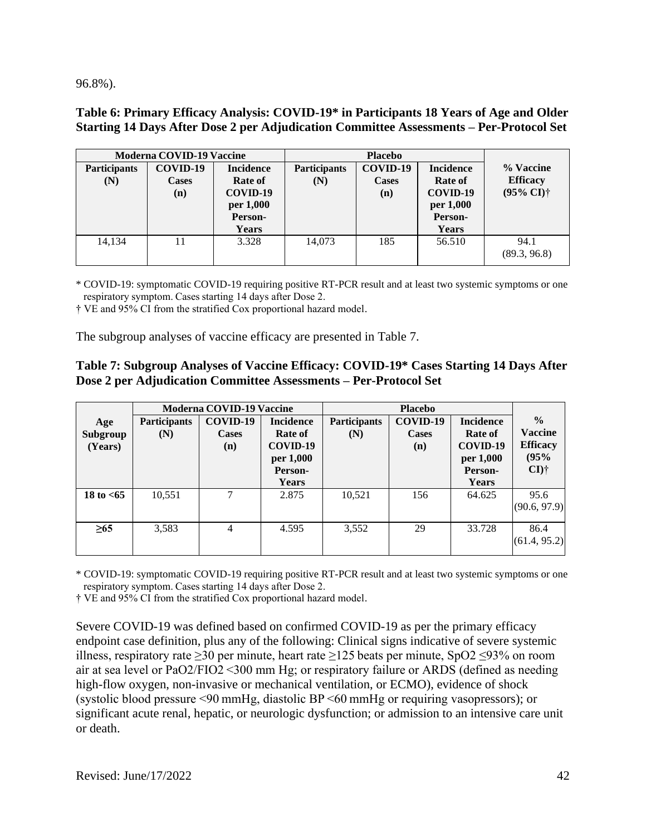96.8%).

### **Table 6: Primary Efficacy Analysis: COVID-19\* in Participants 18 Years of Age and Older Starting 14 Days After Dose 2 per Adjudication Committee Assessments – Per-Protocol Set**

|                            | <b>Moderna COVID-19 Vaccine</b> |                                                                                        |                            | <b>Placebo</b>                  |                                                                          |                                                       |
|----------------------------|---------------------------------|----------------------------------------------------------------------------------------|----------------------------|---------------------------------|--------------------------------------------------------------------------|-------------------------------------------------------|
| <b>Participants</b><br>(N) | COVID-19<br><b>Cases</b><br>(n) | <b>Incidence</b><br><b>Rate of</b><br>COVID-19<br>per 1,000<br>Person-<br><b>Years</b> | <b>Participants</b><br>(N) | COVID-19<br><b>Cases</b><br>(n) | <b>Incidence</b><br>Rate of<br>COVID-19<br>per 1,000<br>Person-<br>Years | % Vaccine<br><b>Efficacy</b><br>(95% CI) <sup>†</sup> |
| 14.134                     | 11                              | 3.328                                                                                  | 14.073                     | 185                             | 56.510                                                                   | 94.1<br>(89.3, 96.8)                                  |

\* COVID-19: symptomatic COVID-19 requiring positive RT-PCR result and at least two systemic symptoms or one respiratory symptom. Cases starting 14 days after Dose 2. 

† VE and 95% CI from the stratified Cox proportional hazard model.

The subgroup analyses of vaccine efficacy are presented in Table 7.

### **Table 7: Subgroup Analyses of Vaccine Efficacy: COVID-19\* Cases Starting 14 Days After Dose 2 per Adjudication Committee Assessments – Per-Protocol Set**

|                            |                     | <b>Moderna COVID-19 Vaccine</b> |                                                                                 |                            | <b>Placebo</b>                  |                                                                                 |                                                                       |
|----------------------------|---------------------|---------------------------------|---------------------------------------------------------------------------------|----------------------------|---------------------------------|---------------------------------------------------------------------------------|-----------------------------------------------------------------------|
| Age<br>Subgroup<br>(Years) | Participants<br>(N) | COVID-19<br>Cases<br>(n)        | <b>Incidence</b><br>Rate of<br>COVID-19<br>per 1,000<br>Person-<br><b>Years</b> | <b>Participants</b><br>(N) | COVID-19<br><b>Cases</b><br>(n) | <b>Incidence</b><br><b>Rate of</b><br>COVID-19<br>per 1,000<br>Person-<br>Years | $\frac{0}{0}$<br><b>Vaccine</b><br><b>Efficacy</b><br>(95%<br>$CI$ )† |
| 18 to $< 65$               | 10,551              |                                 | 2.875                                                                           | 10,521                     | 156                             | 64.625                                                                          | 95.6<br>(90.6, 97.9)                                                  |
| $\geq 65$                  | 3,583               | $\overline{4}$                  | 4.595                                                                           | 3,552                      | 29                              | 33.728                                                                          | 86.4<br>(61.4, 95.2)                                                  |

\* COVID-19: symptomatic COVID-19 requiring positive RT-PCR result and at least two systemic symptoms or one respiratory symptom. Cases starting 14 days after Dose 2.

† VE and 95% CI from the stratified Cox proportional hazard model.

Severe COVID-19 was defined based on confirmed COVID-19 as per the primary efficacy endpoint case definition, plus any of the following: Clinical signs indicative of severe systemic illness, respiratory rate ≥30 per minute, heart rate ≥125 beats per minute, SpO2 ≤93% on room air at sea level or PaO2/FIO2 <300 mm Hg; or respiratory failure or ARDS (defined as needing high-flow oxygen, non-invasive or mechanical ventilation, or ECMO), evidence of shock (systolic blood pressure <90 mmHg, diastolic BP <60 mmHg or requiring vasopressors); or significant acute renal, hepatic, or neurologic dysfunction; or admission to an intensive care unit or death.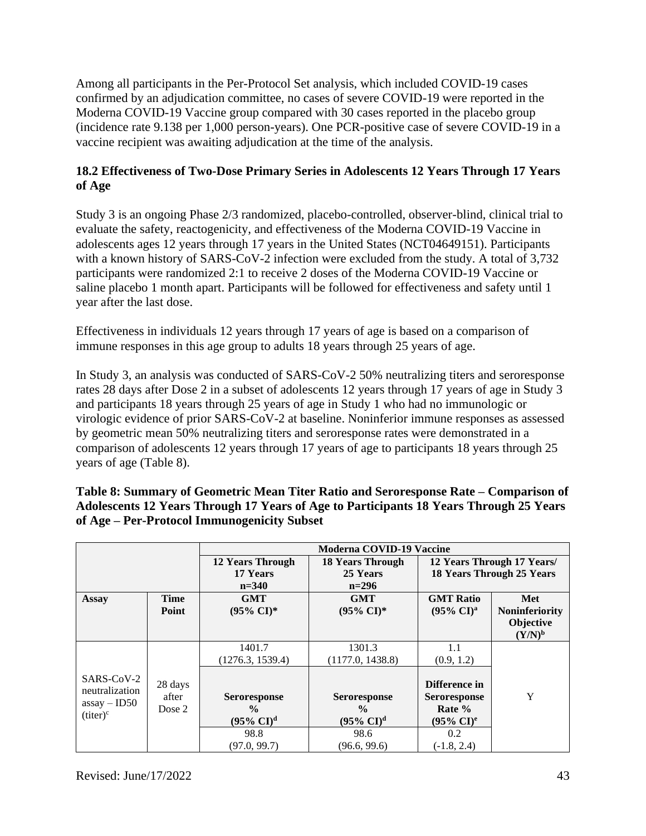Among all participants in the Per-Protocol Set analysis, which included COVID-19 cases confirmed by an adjudication committee, no cases of severe COVID-19 were reported in the Moderna COVID-19 Vaccine group compared with 30 cases reported in the placebo group (incidence rate 9.138 per 1,000 person-years). One PCR-positive case of severe COVID-19 in a vaccine recipient was awaiting adjudication at the time of the analysis.

# **18.2 Effectiveness of Two-Dose Primary Series in Adolescents 12 Years Through 17 Years of Age**

Study 3 is an ongoing Phase 2/3 randomized, placebo-controlled, observer-blind, clinical trial to evaluate the safety, reactogenicity, and effectiveness of the Moderna COVID-19 Vaccine in adolescents ages 12 years through 17 years in the United States (NCT04649151). Participants with a known history of SARS-CoV-2 infection were excluded from the study. A total of 3,732 participants were randomized 2:1 to receive 2 doses of the Moderna COVID-19 Vaccine or saline placebo 1 month apart. Participants will be followed for effectiveness and safety until 1 year after the last dose.

Effectiveness in individuals 12 years through 17 years of age is based on a comparison of immune responses in this age group to adults 18 years through 25 years of age.

In Study 3, an analysis was conducted of SARS-CoV-2 50% neutralizing titers and seroresponse rates 28 days after Dose 2 in a subset of adolescents 12 years through 17 years of age in Study 3 and participants 18 years through 25 years of age in Study 1 who had no immunologic or virologic evidence of prior SARS-CoV-2 at baseline. Noninferior immune responses as assessed by geometric mean 50% neutralizing titers and seroresponse rates were demonstrated in a comparison of adolescents 12 years through 17 years of age to participants 18 years through 25 years of age (Table 8).

|                                                |                            |                                                                    | <b>Moderna COVID-19 Vaccine</b>                                    |                                                                     |                                                                |
|------------------------------------------------|----------------------------|--------------------------------------------------------------------|--------------------------------------------------------------------|---------------------------------------------------------------------|----------------------------------------------------------------|
|                                                |                            | <b>12 Years Through</b><br>17 Years<br>$n=340$                     | <b>18 Years Through</b><br>25 Years<br>$n=296$                     |                                                                     | 12 Years Through 17 Years/<br><b>18 Years Through 25 Years</b> |
| <b>Assay</b>                                   | <b>Time</b><br>Point       | <b>GMT</b><br>$(95\% \text{ CI})^*$                                | <b>GMT</b><br>$(95\% \text{ CI})^*$                                | <b>GMT</b> Ratio<br>$(95\% \text{ CI})^{\text{a}}$                  | Met<br><b>Noninferiority</b><br>Objective<br>$(Y/N)^b$         |
| SARS-CoV-2<br>neutralization<br>$assay - ID50$ | 28 days<br>after<br>Dose 2 | 1401.7<br>(1276.3, 1539.4)<br><b>Seroresponse</b><br>$\frac{0}{0}$ | 1301.3<br>(1177.0, 1438.8)<br><b>Seroresponse</b><br>$\frac{6}{9}$ | 1.1<br>(0.9, 1.2)<br>Difference in<br><b>Seroresponse</b><br>Rate % | Y                                                              |
| $(titer)^c$                                    |                            | $(95\% \text{ CI})^d$<br>98.8<br>(97.0, 99.7)                      | $(95\% \text{ CI})^d$<br>98.6<br>(96.6, 99.6)                      | $(95\% \text{ CI})^e$<br>0.2<br>$(-1.8, 2.4)$                       |                                                                |

**Table 8: Summary of Geometric Mean Titer Ratio and Seroresponse Rate – Comparison of Adolescents 12 Years Through 17 Years of Age to Participants 18 Years Through 25 Years of Age – Per-Protocol Immunogenicity Subset**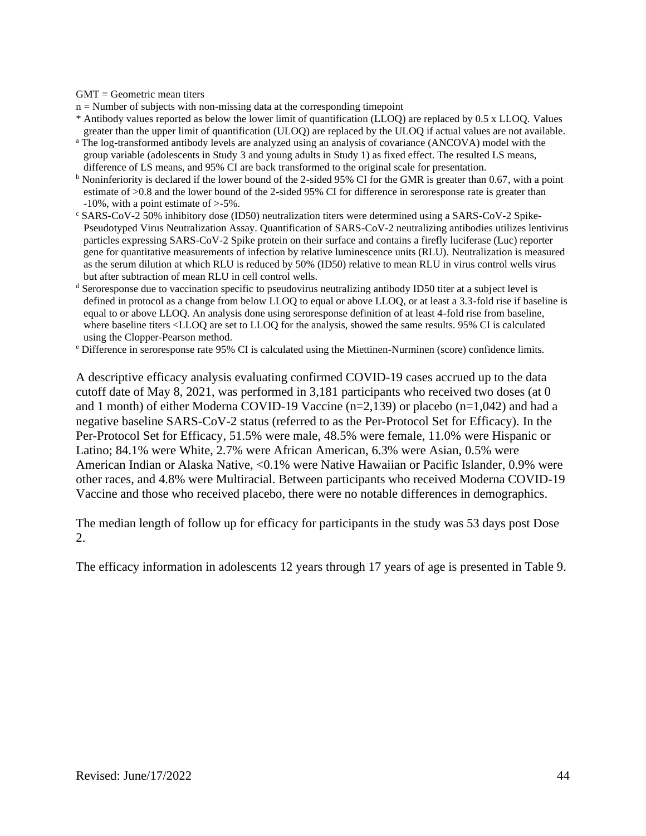$GMT = Geometric$  mean titers

- $n =$  Number of subjects with non-missing data at the corresponding timepoint
- \* Antibody values reported as below the lower limit of quantification (LLOQ) are replaced by 0.5 x LLOQ. Values greater than the upper limit of quantification (ULOQ) are replaced by the ULOQ if actual values are not available.
- <sup>a</sup> The log-transformed antibody levels are analyzed using an analysis of covariance (ANCOVA) model with the group variable (adolescents in Study 3 and young adults in Study 1) as fixed effect. The resulted LS means, difference of LS means, and 95% CI are back transformed to the original scale for presentation.
- <sup>b</sup> Noninferiority is declared if the lower bound of the 2-sided 95% CI for the GMR is greater than 0.67, with a point estimate of >0.8 and the lower bound of the 2-sided 95% CI for difference in seroresponse rate is greater than -10%, with a point estimate of >-5%.
- <sup>c</sup> SARS-CoV-2 50% inhibitory dose (ID50) neutralization titers were determined using a SARS-CoV-2 Spike-Pseudotyped Virus Neutralization Assay. Quantification of SARS-CoV-2 neutralizing antibodies utilizes lentivirus particles expressing SARS-CoV-2 Spike protein on their surface and contains a firefly luciferase (Luc) reporter gene for quantitative measurements of infection by relative luminescence units (RLU). Neutralization is measured as the serum dilution at which RLU is reduced by 50% (ID50) relative to mean RLU in virus control wells virus but after subtraction of mean RLU in cell control wells.
- <sup>d</sup> Seroresponse due to vaccination specific to pseudovirus neutralizing antibody ID50 titer at a subject level is defined in protocol as a change from below LLOQ to equal or above LLOQ, or at least a 3.3-fold rise if baseline is equal to or above LLOQ. An analysis done using seroresponse definition of at least 4-fold rise from baseline, where baseline titers <LLOQ are set to LLOQ for the analysis, showed the same results. 95% CI is calculated using the Clopper-Pearson method.
- <sup>e</sup> Difference in seroresponse rate 95% CI is calculated using the Miettinen-Nurminen (score) confidence limits.

A descriptive efficacy analysis evaluating confirmed COVID-19 cases accrued up to the data cutoff date of May 8, 2021, was performed in 3,181 participants who received two doses (at 0 and 1 month) of either Moderna COVID-19 Vaccine (n=2,139) or placebo (n=1,042) and had a negative baseline SARS-CoV-2 status (referred to as the Per-Protocol Set for Efficacy). In the Per-Protocol Set for Efficacy, 51.5% were male, 48.5% were female, 11.0% were Hispanic or Latino; 84.1% were White, 2.7% were African American, 6.3% were Asian, 0.5% were American Indian or Alaska Native, <0.1% were Native Hawaiian or Pacific Islander, 0.9% were other races, and 4.8% were Multiracial. Between participants who received Moderna COVID-19 Vaccine and those who received placebo, there were no notable differences in demographics.

The median length of follow up for efficacy for participants in the study was 53 days post Dose 2.

The efficacy information in adolescents 12 years through 17 years of age is presented in Table 9.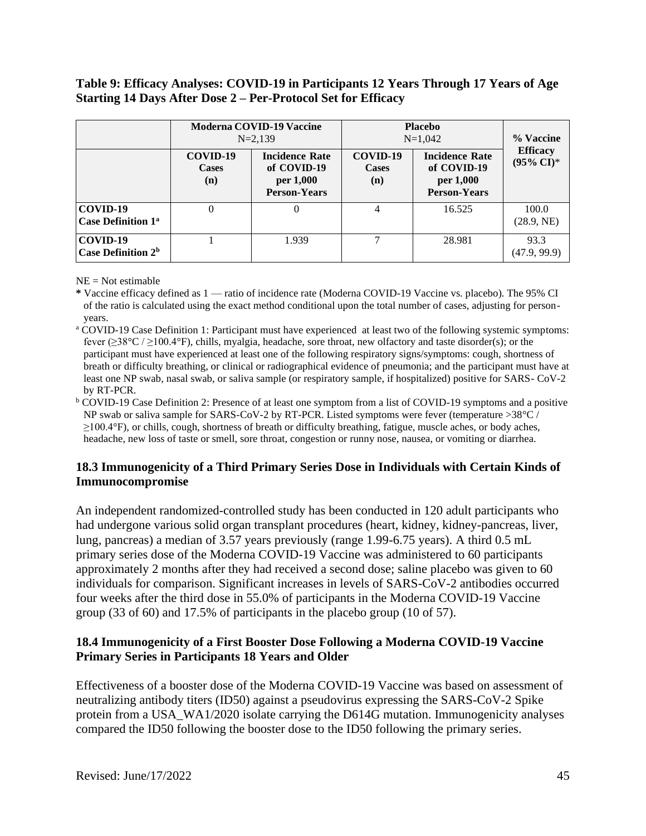### **Table 9: Efficacy Analyses: COVID-19 in Participants 12 Years Through 17 Years of Age Starting 14 Days After Dose 2 – Per-Protocol Set for Efficacy**

|                                                  | <b>Moderna COVID-19 Vaccine</b><br>$N = 2.139$ |                                                                          | <b>Placebo</b><br>$N=1,042$     | % Vaccine                                                                |                                          |
|--------------------------------------------------|------------------------------------------------|--------------------------------------------------------------------------|---------------------------------|--------------------------------------------------------------------------|------------------------------------------|
|                                                  | COVID-19<br><b>Cases</b><br>(n)                | <b>Incidence Rate</b><br>of COVID-19<br>per 1,000<br><b>Person-Years</b> | COVID-19<br><b>Cases</b><br>(n) | <b>Incidence Rate</b><br>of COVID-19<br>per 1,000<br><b>Person-Years</b> | <b>Efficacy</b><br>$(95\% \text{ CI})^*$ |
| COVID-19<br><b>Case Definition 1<sup>a</sup></b> | 0                                              |                                                                          |                                 | 16.525                                                                   | 100.0<br>(28.9, NE)                      |
| COVID-19<br>Case Definition 2 <sup>b</sup>       |                                                | 1.939                                                                    |                                 | 28.981                                                                   | 93.3<br>(47.9, 99.9)                     |

 $NE = Not$  estimable

- **\*** Vaccine efficacy defined as 1 ratio of incidence rate (Moderna COVID-19 Vaccine vs. placebo). The 95% CI of the ratio is calculated using the exact method conditional upon the total number of cases, adjusting for personyears.
- <sup>a</sup> COVID-19 Case Definition 1: Participant must have experienced at least two of the following systemic symptoms: fever (≥38°C / ≥100.4°F), chills, myalgia, headache, sore throat, new olfactory and taste disorder(s); or the participant must have experienced at least one of the following respiratory signs/symptoms: cough, shortness of breath or difficulty breathing, or clinical or radiographical evidence of pneumonia; and the participant must have at least one NP swab, nasal swab, or saliva sample (or respiratory sample, if hospitalized) positive for SARS- CoV-2 by RT-PCR.
- <sup>b</sup> COVID-19 Case Definition 2: Presence of at least one symptom from a list of COVID-19 symptoms and a positive NP swab or saliva sample for SARS-CoV-2 by RT-PCR. Listed symptoms were fever (temperature >38°C / ≥100.4°F), or chills, cough, shortness of breath or difficulty breathing, fatigue, muscle aches, or body aches, headache, new loss of taste or smell, sore throat, congestion or runny nose, nausea, or vomiting or diarrhea.

## **18.3 Immunogenicity of a Third Primary Series Dose in Individuals with Certain Kinds of Immunocompromise**

An independent randomized-controlled study has been conducted in 120 adult participants who had undergone various solid organ transplant procedures (heart, kidney, kidney-pancreas, liver, lung, pancreas) a median of 3.57 years previously (range 1.99-6.75 years). A third 0.5 mL primary series dose of the Moderna COVID-19 Vaccine was administered to 60 participants approximately 2 months after they had received a second dose; saline placebo was given to 60 individuals for comparison. Significant increases in levels of SARS-CoV-2 antibodies occurred four weeks after the third dose in 55.0% of participants in the Moderna COVID-19 Vaccine group (33 of 60) and 17.5% of participants in the placebo group (10 of 57).

## **18.4 Immunogenicity of a First Booster Dose Following a Moderna COVID-19 Vaccine Primary Series in Participants 18 Years and Older**

Effectiveness of a booster dose of the Moderna COVID-19 Vaccine was based on assessment of neutralizing antibody titers (ID50) against a pseudovirus expressing the SARS-CoV-2 Spike protein from a USA\_WA1/2020 isolate carrying the D614G mutation. Immunogenicity analyses compared the ID50 following the booster dose to the ID50 following the primary series.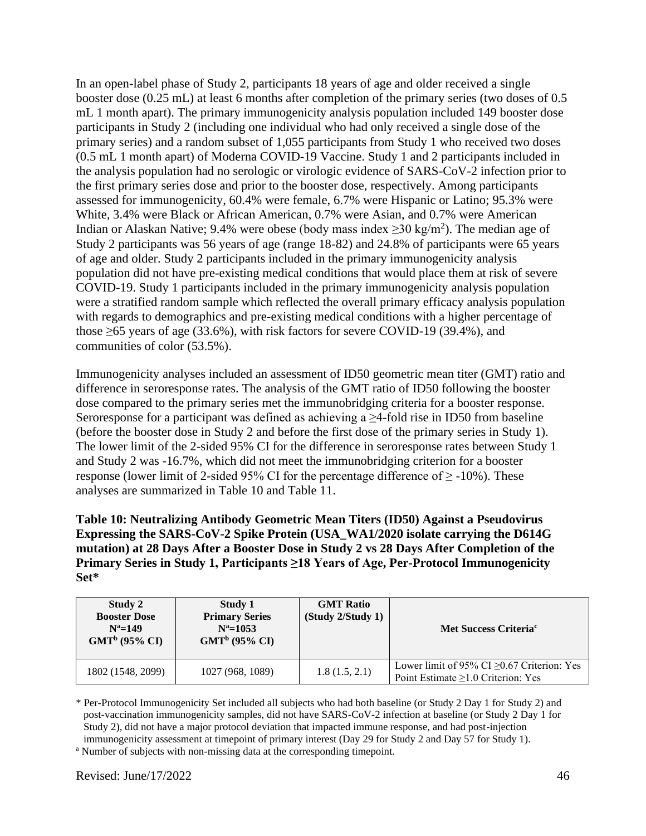In an open-label phase of Study 2, participants 18 years of age and older received a single booster dose (0.25 mL) at least 6 months after completion of the primary series (two doses of 0.5 mL 1 month apart). The primary immunogenicity analysis population included 149 booster dose participants in Study 2 (including one individual who had only received a single dose of the primary series) and a random subset of 1,055 participants from Study 1 who received two doses (0.5 mL 1 month apart) of Moderna COVID-19 Vaccine. Study 1 and 2 participants included in the analysis population had no serologic or virologic evidence of SARS-CoV-2 infection prior to the first primary series dose and prior to the booster dose, respectively. Among participants assessed for immunogenicity, 60.4% were female, 6.7% were Hispanic or Latino; 95.3% were White, 3.4% were Black or African American, 0.7% were Asian, and 0.7% were American Indian or Alaskan Native; 9.4% were obese (body mass index  $\geq$ 30 kg/m<sup>2</sup>). The median age of Study 2 participants was 56 years of age (range 18-82) and 24.8% of participants were 65 years of age and older. Study 2 participants included in the primary immunogenicity analysis population did not have pre-existing medical conditions that would place them at risk of severe COVID-19. Study 1 participants included in the primary immunogenicity analysis population were a stratified random sample which reflected the overall primary efficacy analysis population with regards to demographics and pre-existing medical conditions with a higher percentage of those  $\geq$  65 years of age (33.6%), with risk factors for severe COVID-19 (39.4%), and communities of color (53.5%).

Immunogenicity analyses included an assessment of ID50 geometric mean titer (GMT) ratio and difference in seroresponse rates. The analysis of the GMT ratio of ID50 following the booster dose compared to the primary series met the immunobridging criteria for a booster response. Seroresponse for a participant was defined as achieving a  $\geq$ 4-fold rise in ID50 from baseline (before the booster dose in Study 2 and before the first dose of the primary series in Study 1). The lower limit of the 2-sided 95% CI for the difference in seroresponse rates between Study 1 and Study 2 was -16.7%, which did not meet the immunobridging criterion for a booster response (lower limit of 2-sided 95% CI for the percentage difference of  $\geq$  -10%). These analyses are summarized in Table 10 and Table 11.

**Table 10: Neutralizing Antibody Geometric Mean Titers (ID50) Against a Pseudovirus Expressing the SARS-CoV-2 Spike Protein (USA\_WA1/2020 isolate carrying the D614G mutation) at 28 Days After a Booster Dose in Study 2 vs 28 Days After Completion of the Primary Series in Study 1, Participants ≥18 Years of Age, Per-Protocol Immunogenicity Set\***

| Study 2<br><b>Booster Dose</b><br>$N^a=149$<br>$GMT^b$ (95% CI) | Study 1<br><b>Primary Series</b><br>$N^a = 1053$<br>$GMT^b$ (95% CI) | <b>GMT Ratio</b><br>(Study 2/Study 1) | Met Success Criteria <sup>c</sup>                                                            |
|-----------------------------------------------------------------|----------------------------------------------------------------------|---------------------------------------|----------------------------------------------------------------------------------------------|
| 1802 (1548, 2099)                                               | 1027 (968, 1089)                                                     | 1.8(1.5, 2.1)                         | Lower limit of 95% CI $\geq$ 0.67 Criterion: Yes<br>Point Estimate $\geq 1.0$ Criterion: Yes |

\* Per-Protocol Immunogenicity Set included all subjects who had both baseline (or Study 2 Day 1 for Study 2) and post-vaccination immunogenicity samples, did not have SARS-CoV-2 infection at baseline (or Study 2 Day 1 for Study 2), did not have a major protocol deviation that impacted immune response, and had post-injection immunogenicity assessment at timepoint of primary interest (Day 29 for Study 2 and Day 57 for Study 1).

<sup>a</sup> Number of subjects with non-missing data at the corresponding timepoint.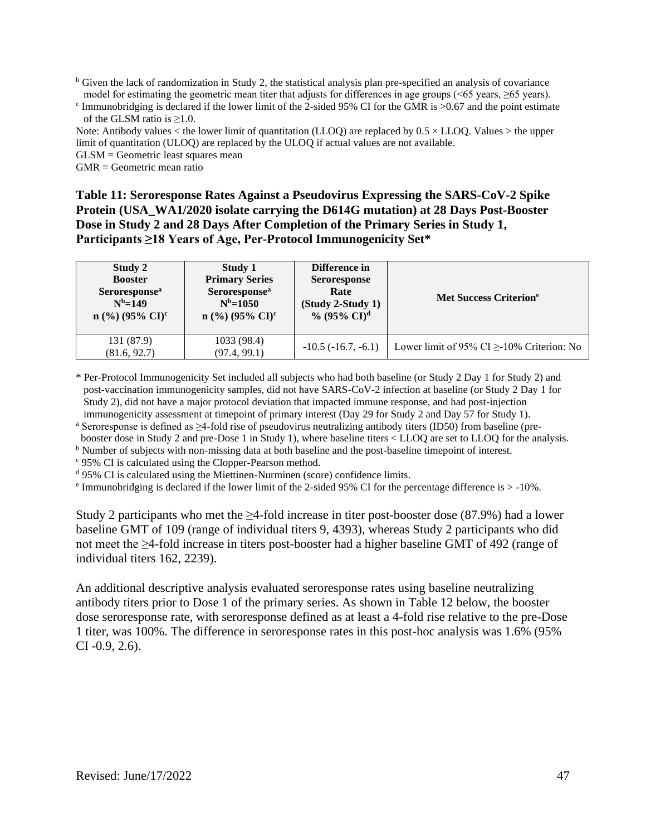$\overline{b}$  Given the lack of randomization in Study 2, the statistical analysis plan pre-specified an analysis of covariance model for estimating the geometric mean titer that adjusts for differences in age groups  $(< 65$  years,  $> 65$  years).

<sup>c</sup> Immunobridging is declared if the lower limit of the 2-sided 95% CI for the GMR is >0.67 and the point estimate of the GLSM ratio is  $\geq 1.0$ .

Note: Antibody values  $\lt$  the lower limit of quantitation (LLOO) are replaced by  $0.5 \times$  LLOO. Values  $>$  the upper limit of quantitation (ULOQ) are replaced by the ULOQ if actual values are not available.

GLSM = Geometric least squares mean

GMR = Geometric mean ratio

**Table 11: Seroresponse Rates Against a Pseudovirus Expressing the SARS-CoV-2 Spike Protein (USA\_WA1/2020 isolate carrying the D614G mutation) at 28 Days Post-Booster Dose in Study 2 and 28 Days After Completion of the Primary Series in Study 1, Participants ≥18 Years of Age, Per-Protocol Immunogenicity Set\***

| Study 2                       | Study 1                       | Difference in              | Met Success Criterion <sup>e</sup>              |
|-------------------------------|-------------------------------|----------------------------|-------------------------------------------------|
| <b>Booster</b>                | <b>Primary Series</b>         | <b>Seroresponse</b>        |                                                 |
| Seroresponse <sup>a</sup>     | Seroresponse <sup>a</sup>     | Rate                       |                                                 |
| $N^b = 149$                   | $N^b = 1050$                  | (Study 2-Study 1)          |                                                 |
| $n$ (%) (95% CI) <sup>c</sup> | $n$ (%) (95% CI) <sup>c</sup> | $\%$ (95% CI) <sup>d</sup> |                                                 |
| 131 (87.9)<br>(81.6, 92.7)    | 1033 (98.4)<br>(97.4, 99.1)   | $-10.5$ ( $-16.7, -6.1$ )  | Lower limit of 95% CI $\geq$ -10% Criterion: No |

\* Per-Protocol Immunogenicity Set included all subjects who had both baseline (or Study 2 Day 1 for Study 2) and post-vaccination immunogenicity samples, did not have SARS-CoV-2 infection at baseline (or Study 2 Day 1 for Study 2), did not have a major protocol deviation that impacted immune response, and had post-injection immunogenicity assessment at timepoint of primary interest (Day 29 for Study 2 and Day 57 for Study 1).

<sup>a</sup> Seroresponse is defined as ≥4-fold rise of pseudovirus neutralizing antibody titers (ID50) from baseline (prebooster dose in Study 2 and pre-Dose 1 in Study 1), where baseline titers < LLOQ are set to LLOQ for the analysis.

<sup>b</sup> Number of subjects with non-missing data at both baseline and the post-baseline timepoint of interest.

<sup>c</sup> 95% CI is calculated using the Clopper-Pearson method.

<sup>d</sup> 95% CI is calculated using the Miettinen-Nurminen (score) confidence limits.

<sup>e</sup> Immunobridging is declared if the lower limit of the 2-sided 95% CI for the percentage difference is  $>$  -10%.

Study 2 participants who met the ≥4-fold increase in titer post-booster dose (87.9%) had a lower baseline GMT of 109 (range of individual titers 9, 4393), whereas Study 2 participants who did not meet the ≥4-fold increase in titers post-booster had a higher baseline GMT of 492 (range of individual titers 162, 2239).

An additional descriptive analysis evaluated seroresponse rates using baseline neutralizing antibody titers prior to Dose 1 of the primary series. As shown in Table 12 below, the booster dose seroresponse rate, with seroresponse defined as at least a 4-fold rise relative to the pre-Dose 1 titer, was 100%. The difference in seroresponse rates in this post-hoc analysis was 1.6% (95% CI -0.9, 2.6).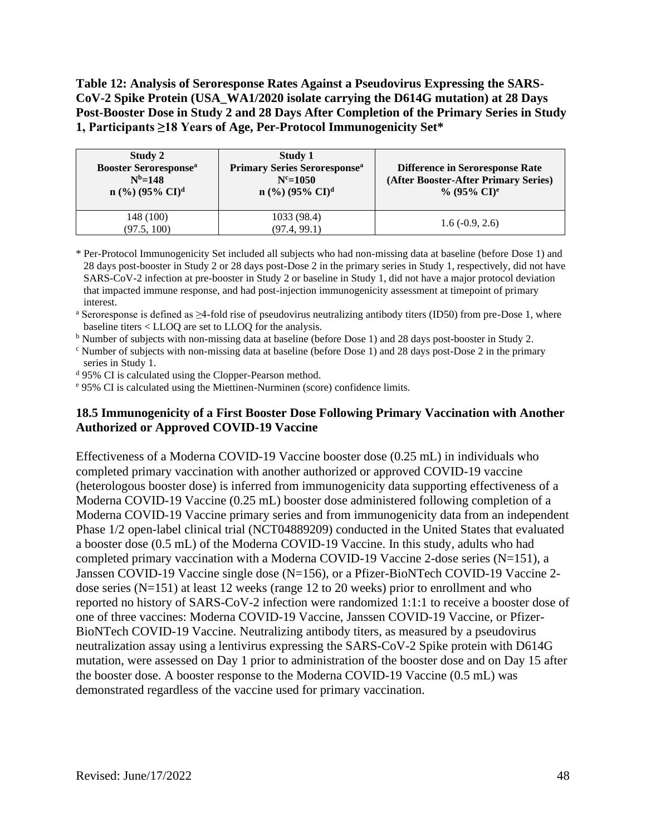**Table 12: Analysis of Seroresponse Rates Against a Pseudovirus Expressing the SARS-CoV-2 Spike Protein (USA\_WA1/2020 isolate carrying the D614G mutation) at 28 Days Post-Booster Dose in Study 2 and 28 Days After Completion of the Primary Series in Study 1, Participants ≥18 Years of Age, Per-Protocol Immunogenicity Set\***

| Study 2<br><b>Booster Seroresponse</b> <sup>a</sup><br>$N^b = 148$<br>$n$ (%) (95% CI) <sup>d</sup> | Study 1<br><b>Primary Series Seroresponse</b> <sup>a</sup><br>$N^c = 1050$<br>$n$ (%) (95% CI) <sup>d</sup> | <b>Difference in Seroresponse Rate</b><br>(After Booster-After Primary Series)<br>% (95% $\rm{CI}^e$ ) |
|-----------------------------------------------------------------------------------------------------|-------------------------------------------------------------------------------------------------------------|--------------------------------------------------------------------------------------------------------|
| 148 (100)<br>(97.5, 100)                                                                            | 1033 (98.4)<br>(97.4, 99.1)                                                                                 | $1.6(-0.9, 2.6)$                                                                                       |

\* Per-Protocol Immunogenicity Set included all subjects who had non-missing data at baseline (before Dose 1) and 28 days post-booster in Study 2 or 28 days post-Dose 2 in the primary series in Study 1, respectively, did not have SARS-CoV-2 infection at pre-booster in Study 2 or baseline in Study 1, did not have a major protocol deviation that impacted immune response, and had post-injection immunogenicity assessment at timepoint of primary interest.

<sup>a</sup> Seroresponse is defined as  $\geq$ 4-fold rise of pseudovirus neutralizing antibody titers (ID50) from pre-Dose 1, where baseline titers < LLOQ are set to LLOQ for the analysis.

<sup>b</sup> Number of subjects with non-missing data at baseline (before Dose 1) and 28 days post-booster in Study 2.

<sup>c</sup> Number of subjects with non-missing data at baseline (before Dose 1) and 28 days post-Dose 2 in the primary series in Study 1.

<sup>d</sup> 95% CI is calculated using the Clopper-Pearson method.

<sup>e</sup> 95% CI is calculated using the Miettinen-Nurminen (score) confidence limits.

#### **18.5 Immunogenicity of a First Booster Dose Following Primary Vaccination with Another Authorized or Approved COVID-19 Vaccine**

Effectiveness of a Moderna COVID-19 Vaccine booster dose (0.25 mL) in individuals who completed primary vaccination with another authorized or approved COVID-19 vaccine (heterologous booster dose) is inferred from immunogenicity data supporting effectiveness of a Moderna COVID-19 Vaccine (0.25 mL) booster dose administered following completion of a Moderna COVID-19 Vaccine primary series and from immunogenicity data from an independent Phase 1/2 open-label clinical trial (NCT04889209) conducted in the United States that evaluated a booster dose (0.5 mL) of the Moderna COVID-19 Vaccine. In this study, adults who had completed primary vaccination with a Moderna COVID-19 Vaccine 2-dose series (N=151), a Janssen COVID-19 Vaccine single dose (N=156), or a Pfizer-BioNTech COVID-19 Vaccine 2 dose series (N=151) at least 12 weeks (range 12 to 20 weeks) prior to enrollment and who reported no history of SARS-CoV-2 infection were randomized 1:1:1 to receive a booster dose of one of three vaccines: Moderna COVID-19 Vaccine, Janssen COVID-19 Vaccine, or Pfizer-BioNTech COVID-19 Vaccine. Neutralizing antibody titers, as measured by a pseudovirus neutralization assay using a lentivirus expressing the SARS-CoV-2 Spike protein with D614G mutation, were assessed on Day 1 prior to administration of the booster dose and on Day 15 after the booster dose. A booster response to the Moderna COVID-19 Vaccine (0.5 mL) was demonstrated regardless of the vaccine used for primary vaccination.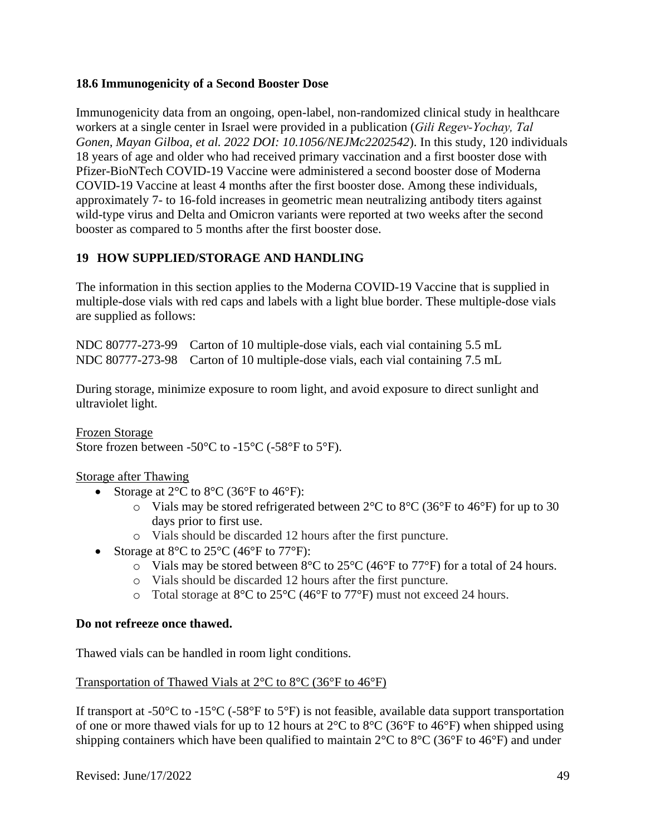### **18.6 Immunogenicity of a Second Booster Dose**

Immunogenicity data from an ongoing, open-label, non-randomized clinical study in healthcare workers at a single center in Israel were provided in a publication (*Gili Regev‑Yochay, Tal Gonen, Mayan Gilboa, et al. 2022 DOI: 10.1056/NEJMc2202542*). In this study, 120 individuals 18 years of age and older who had received primary vaccination and a first booster dose with Pfizer-BioNTech COVID-19 Vaccine were administered a second booster dose of Moderna COVID-19 Vaccine at least 4 months after the first booster dose. Among these individuals, approximately 7- to 16-fold increases in geometric mean neutralizing antibody titers against wild-type virus and Delta and Omicron variants were reported at two weeks after the second booster as compared to 5 months after the first booster dose.

## **19 HOW SUPPLIED/STORAGE AND HANDLING**

The information in this section applies to the Moderna COVID-19 Vaccine that is supplied in multiple-dose vials with red caps and labels with a light blue border. These multiple-dose vials are supplied as follows:

NDC 80777-273-99 Carton of 10 multiple-dose vials, each vial containing 5.5 mL NDC 80777-273-98 Carton of 10 multiple-dose vials, each vial containing 7.5 mL

During storage, minimize exposure to room light, and avoid exposure to direct sunlight and ultraviolet light.

Frozen Storage Store frozen between -50°C to -15°C (-58°F to 5°F).

Storage after Thawing

- Storage at  $2^{\circ}$ C to  $8^{\circ}$ C (36 $^{\circ}$ F to 46 $^{\circ}$ F):
	- $\circ$  Vials may be stored refrigerated between 2°C to 8°C (36°F to 46°F) for up to 30 days prior to first use.
	- o Vials should be discarded 12 hours after the first puncture.
- Storage at  $8^{\circ}$ C to  $25^{\circ}$ C (46 $^{\circ}$ F to  $77^{\circ}$ F):
	- $\circ$  Vials may be stored between 8°C to 25°C (46°F to 77°F) for a total of 24 hours.
	- o Vials should be discarded 12 hours after the first puncture.
	- o Total storage at 8°C to 25°C (46°F to 77°F) must not exceed 24 hours.

#### **Do not refreeze once thawed.**

Thawed vials can be handled in room light conditions.

#### Transportation of Thawed Vials at 2°C to 8°C (36°F to 46°F)

If transport at -50 $\rm{°C}$  to -15 $\rm{°C}$  (-58 $\rm{°F}$ ) is not feasible, available data support transportation of one or more thawed vials for up to 12 hours at  $2^{\circ}$ C to  $8^{\circ}$ C (36°F to 46°F) when shipped using shipping containers which have been qualified to maintain  $2^{\circ}C$  to  $8^{\circ}C$  (36°F to 46°F) and under